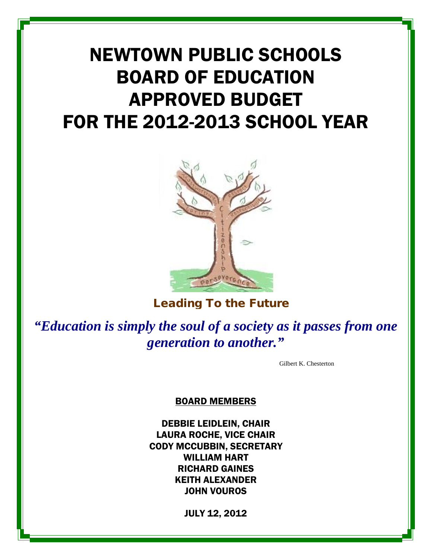# NEWTOWN PUBLIC SCHOOLS BOARD OF EDUCATION APPROVED BUDGET FOR THE 2012-2013 SCHOOL YEAR



Leading To the Future

*"Education is simply the soul of a society as it passes from one generation to another."*

Gilbert K. Chesterton

BOARD MEMBERS

DEBBIE LEIDLEIN, CHAIR LAURA ROCHE, VICE CHAIR CODY MCCUBBIN, SECRETARY WILLIAM HART RICHARD GAINES KEITH ALEXANDER JOHN VOUROS

JULY 12, 2012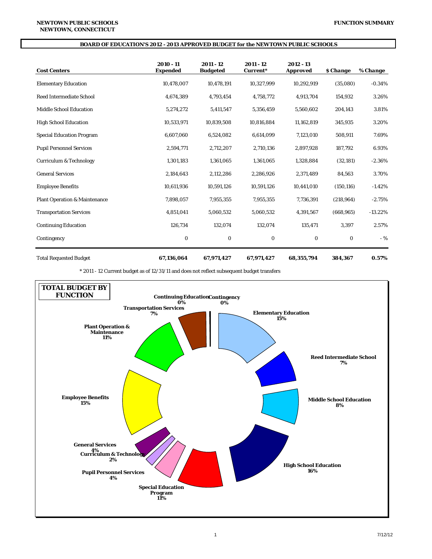#### **BOARD OF EDUCATION'S 2012 - 2013 APPROVED BUDGET for the NEWTOWN PUBLIC SCHOOLS**

| <b>Cost Centers</b>                      | $2010 - 11$<br><b>Expended</b> | 2011 - 12<br><b>Budgeted</b> | 2011 - 12<br>Current* | 2012 - 13<br><b>Approved</b> | <b><i><u>S</u></i></b> Change | % Change  |
|------------------------------------------|--------------------------------|------------------------------|-----------------------|------------------------------|-------------------------------|-----------|
| <b>Elementary Education</b>              | 10,478,007                     | 10,478,191                   | 10,327,999            | 10,292,919                   | (35,080)                      | $-0.34%$  |
| <b>Reed Intermediate School</b>          | 4,674,389                      | 4,793,454                    | 4,758,772             | 4,913,704                    | 154,932                       | 3.26%     |
| <b>Middle School Education</b>           | 5,274,272                      | 5,411,547                    | 5,356,459             | 5,560,602                    | 204,143                       | 3.81%     |
| <b>High School Education</b>             | 10,533,971                     | 10,839,508                   | 10,816,884            | 11,162,819                   | 345,935                       | 3.20%     |
| <b>Special Education Program</b>         | 6,607,060                      | 6,524,082                    | 6,614,099             | 7,123,010                    | 508,911                       | 7.69%     |
| <b>Pupil Personnel Services</b>          | 2,594,771                      | 2,712,207                    | 2,710,136             | 2,897,928                    | 187,792                       | 6.93%     |
| <b>Curriculum &amp; Technology</b>       | 1,301,183                      | 1,361,065                    | 1,361,065             | 1,328,884                    | (32, 181)                     | $-2.36%$  |
| <b>General Services</b>                  | 2,184,643                      | 2,112,286                    | 2,286,926             | 2,371,489                    | 84,563                        | 3.70%     |
| <b>Employee Benefits</b>                 | 10.611.936                     | 10.591.126                   | 10,591,126            | 10,441,010                   | (150, 116)                    | $-1.42%$  |
| <b>Plant Operation &amp; Maintenance</b> | 7,898,057                      | 7,955,355                    | 7,955,355             | 7,736,391                    | (218, 964)                    | $-2.75%$  |
| <b>Transportation Services</b>           | 4,851,041                      | 5,060,532                    | 5,060,532             | 4,391,567                    | (668, 965)                    | $-13.22%$ |
| <b>Continuing Education</b>              | 126,734                        | 132,074                      | 132,074               | 135,471                      | 3,397                         | 2.57%     |
| Contingency                              | $\bf{0}$                       | $\bf{0}$                     | 0                     | $\bf{0}$                     | $\bf{0}$                      | $-9/6$    |

Total Requested Budget **67,136,064 67,971,427 67,971,427 68,355,794 384,367 0.57%**

\* 2011 - 12 Current budget as of 12/31/11 and does not reflect subsequent budget transfers

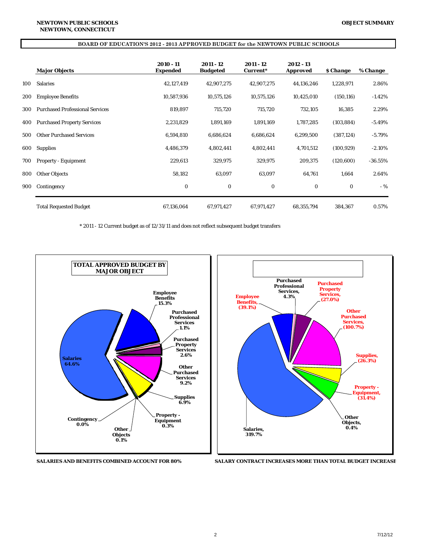#### **BOARD OF EDUCATION'S 2012 - 2013 APPROVED BUDGET for the NEWTOWN PUBLIC SCHOOLS**

|     | <b>Major Objects</b>                   | 2010 - 11<br><b>Expended</b> | 2011 - 12<br><b>Budgeted</b> | 2011 - 12<br>Current* | 2012 - 13<br><b>Approved</b> | \$ Change  | % Change  |
|-----|----------------------------------------|------------------------------|------------------------------|-----------------------|------------------------------|------------|-----------|
| 100 | <b>Salaries</b>                        | 42,127,419                   | 42,907,275                   | 42,907,275            | 44,136,246                   | 1,228,971  | 2.86%     |
| 200 | <b>Employee Benefits</b>               | 10,587,936                   | 10,575,126                   | 10,575,126            | 10,425,010                   | (150, 116) | $-1.42\%$ |
| 300 | <b>Purchased Professional Services</b> | 819,897                      | 715,720                      | 715,720               | 732,105                      | 16,385     | 2.29%     |
| 400 | <b>Purchased Property Services</b>     | 2,231,829                    | 1,891,169                    | 1,891,169             | 1,787,285                    | (103, 884) | $-5.49%$  |
| 500 | <b>Other Purchased Services</b>        | 6,594,810                    | 6,686,624                    | 6,686,624             | 6,299,500                    | (387, 124) | $-5.79\%$ |
| 600 | <b>Supplies</b>                        | 4,486,379                    | 4,802,441                    | 4,802,441             | 4,701,512                    | (100, 929) | $-2.10%$  |
| 700 | <b>Property - Equipment</b>            | 229,613                      | 329,975                      | 329,975               | 209,375                      | (120, 600) | $-36.55%$ |
| 800 | <b>Other Objects</b>                   | 58,182                       | 63,097                       | 63,097                | 64,761                       | 1,664      | 2.64%     |
| 900 | Contingency                            | $\bf{0}$                     | $\bf{0}$                     | $\bf{0}$              | $\bf{0}$                     | $\bf{0}$   | $-$ %     |
|     | <b>Total Requested Budget</b>          | 67,136,064                   | 67,971,427                   | 67,971,427            | 68,355,794                   | 384,367    | 0.57%     |

\* 2011 - 12 Current budget as of 12/31/11 and does not reflect subsequent budget transfers







**SALARIES AND BENEFITS COMBINED ACCOUNT FOR 80% SALARY CONTRACT INCREASES MORE THAN TOTAL BUDGET INCREASE**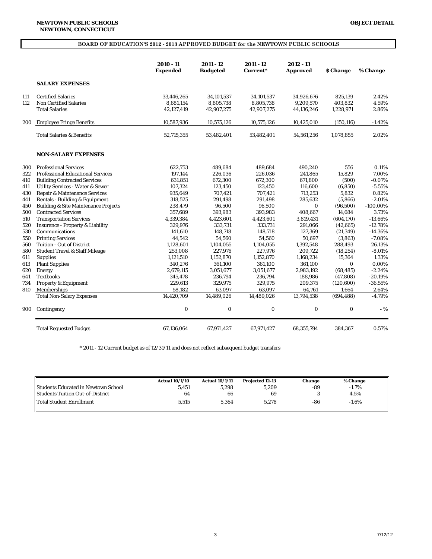|     |                                                 | $2010 - 11$<br><b>Expended</b> | $2011 - 12$<br><b>Budgeted</b> | 2011 - 12<br>Current* | 2012 - 13<br><b>Approved</b> | <b><i><u>S</u></i></b> Change | % Change    |
|-----|-------------------------------------------------|--------------------------------|--------------------------------|-----------------------|------------------------------|-------------------------------|-------------|
|     | <b>SALARY EXPENSES</b>                          |                                |                                |                       |                              |                               |             |
| 111 | <b>Certified Salaries</b>                       | 33,446,265                     | 34,101,537                     | 34,101,537            | 34,926,676                   | 825,139                       | 2.42%       |
| 112 | <b>Non Certified Salaries</b>                   | 8,681,154                      | 8,805,738                      | 8,805,738             | 9,209,570                    | 403,832                       | 4.59%       |
|     | <b>Total Salaries</b>                           | 42,127,419                     | 42,907,275                     | 42,907,275            | 44,136,246                   | 1,228,971                     | 2.86%       |
| 200 | <b>Employee Fringe Benefits</b>                 | 10,587,936                     | 10,575,126                     | 10,575,126            | 10,425,010                   | (150, 116)                    | $-1.42%$    |
|     | <b>Total Salaries &amp; Benefits</b>            | 52,715,355                     | 53,482,401                     | 53,482,401            | 54,561,256                   | 1,078,855                     | 2.02%       |
|     | <b>NON-SALARY EXPENSES</b>                      |                                |                                |                       |                              |                               |             |
| 300 | <b>Professional Services</b>                    | 622,753                        | 489.684                        | 489.684               | 490,240                      | 556                           | 0.11%       |
| 322 | <b>Professional Educational Services</b>        | 197.144                        | 226.036                        | 226,036               | 241.865                      | 15.829                        | 7.00%       |
| 410 | <b>Building Contracted Services</b>             | 631,851                        | 672,300                        | 672,300               | 671,800                      | (500)                         | $-0.07%$    |
| 411 | <b>Utility Services - Water &amp; Sewer</b>     | 107,324                        | 123,450                        | 123,450               | 116,600                      | (6, 850)                      | $-5.55%$    |
| 430 | Repair & Maintenance Services                   | 935,649                        | 707,421                        | 707,421               | 713,253                      | 5,832                         | 0.82%       |
| 441 | Rentals - Building & Equipment                  | 318,525                        | 291,498                        | 291,498               | 285,632                      | (5,866)                       | $-2.01%$    |
| 450 | <b>Building &amp; Site Maintenance Projects</b> | 238,479                        | 96,500                         | 96,500                | $\bf{0}$                     | (96, 500)                     | $-100.00\%$ |
| 500 | <b>Contracted Services</b>                      | 357,689                        | 393.983                        | 393.983               | 408,667                      | 14.684                        | 3.73%       |
| 510 | <b>Transportation Services</b>                  | 4,339,384                      | 4,423,601                      | 4,423,601             | 3,819,431                    | (604, 170)                    | $-13.66%$   |
| 520 | <b>Insurance - Property &amp; Liability</b>     | 329,976                        | 333,731                        | 333,731               | 291,066                      | (42, 665)                     | $-12.78%$   |
| 530 | Communications                                  | 141,610                        | 148,718                        | 148,718               | 127,369                      | (21, 349)                     | $-14.36%$   |
| 550 | <b>Printing Services</b>                        | 44,542                         | 54,560                         | 54,560                | 50,697                       | (3, 863)                      | $-7.08%$    |
| 560 | <b>Tuition - Out of District</b>                | 1,128,601                      | 1,104,055                      | 1,104,055             | 1,392,548                    | 288,493                       | 26.13%      |
| 580 | <b>Student Travel &amp; Staff Mileage</b>       | 253,008                        | 227,976                        | 227,976               | 209,722                      | (18, 254)                     | $-8.01%$    |
| 611 | <b>Supplies</b>                                 | 1,121,510                      | 1,152,870                      | 1.152.870             | 1.168.234                    | 15,364                        | 1.33%       |
| 613 | <b>Plant Supplies</b>                           | 340,276                        | 361,100                        | 361,100               | 361,100                      | $\mathbf{0}$                  | 0.00%       |
| 620 | Energy                                          | 2,679,115                      | 3,051,677                      | 3,051,677             | 2,983,192                    | (68, 485)                     | $-2.24%$    |
| 641 | <b>Textbooks</b>                                | 345,478                        | 236,794                        | 236,794               | 188,986                      | (47, 808)                     | $-20.19%$   |
| 734 | <b>Property &amp; Equipment</b>                 | 229,613                        | 329,975                        | 329,975               | 209,375                      | (120, 600)                    | $-36.55%$   |
| 810 | Memberships                                     | 58,182                         | 63,097                         | 63,097                | 64,761                       | 1,664                         | 2.64%       |
|     | <b>Total Non-Salary Expenses</b>                | 14,420,709                     | 14,489,026                     | 14,489,026            | 13,794,538                   | (694, 488)                    | $-4.79%$    |
| 900 | Contingency                                     | $\boldsymbol{0}$               | 0                              | $\bf{0}$              | $\bf{0}$                     | $\bf{0}$                      | $-9/6$      |
|     | <b>Total Requested Budget</b>                   | 67,136,064                     | 67,971,427                     | 67,971,427            | 68,355,794                   | 384,367                       | 0.57%       |

\* 2011 - 12 Current budget as of 12/31/11 and does not reflect subsequent budget transfers

|                                            | <b>Actual 10/1/10</b> | <b>Actual 10/1/11</b> | <b>Projected 12-13</b> | Change | % Change |  |
|--------------------------------------------|-----------------------|-----------------------|------------------------|--------|----------|--|
| <b>Students Educated in Newtown School</b> | 5,451                 | 5.298                 | 5.209                  | -89    | $-1.7%$  |  |
| <b>Students Tuition Out-of-District</b>    | 64                    | 66                    | 69                     |        | 4.5%     |  |
| <b>Total Student Enrollment</b>            | 5.515                 | 5.364                 | 5.278                  | -86    | $-1.6\%$ |  |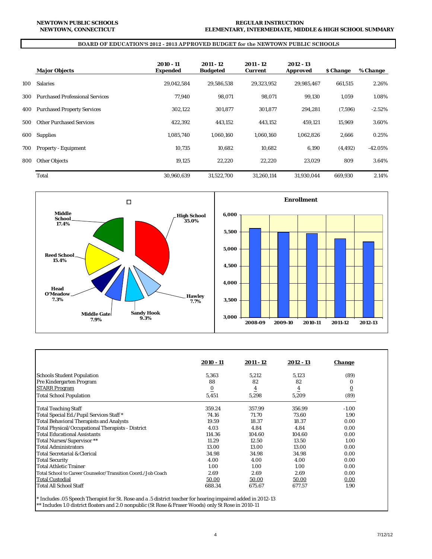#### **BOARD OF EDUCATION'S 2012 - 2013 APPROVED BUDGET for the NEWTOWN PUBLIC SCHOOLS**

|     | <b>Major Objects</b>                   | 2010 - 11<br><b>Expended</b> | 2011 - 12<br><b>Budgeted</b> | 2011 - 12<br><b>Current</b> | 2012 - 13<br><b>Approved</b> | <b><i><u>S</u></i></b> Change | % Change  |
|-----|----------------------------------------|------------------------------|------------------------------|-----------------------------|------------------------------|-------------------------------|-----------|
| 100 | <b>Salaries</b>                        | 29,042,584                   | 29,586,538                   | 29,323,952                  | 29,985,467                   | 661,515                       | 2.26%     |
| 300 | <b>Purchased Professional Services</b> | 77,940                       | 98,071                       | 98,071                      | 99,130                       | 1,059                         | 1.08%     |
| 400 | <b>Purchased Property Services</b>     | 302,122                      | 301,877                      | 301,877                     | 294,281                      | (7,596)                       | $-2.52%$  |
| 500 | <b>Other Purchased Services</b>        | 422,392                      | 443,152                      | 443,152                     | 459,121                      | 15,969                        | 3.60%     |
| 600 | <b>Supplies</b>                        | 1,085,740                    | 1.060.160                    | 1,060,160                   | 1,062,826                    | 2,666                         | 0.25%     |
| 700 | <b>Property - Equipment</b>            | 10.735                       | 10.682                       | 10.682                      | 6,190                        | (4, 492)                      | $-42.05%$ |
| 800 | <b>Other Objects</b>                   | 19.125                       | 22.220                       | 22.220                      | 23.029                       | 809                           | 3.64%     |
|     | Total                                  | 30.960.639                   | 31.522.700                   | 31.260.114                  | 31.930.044                   | 669.930                       | 2.14%     |



|                                                              | 2010 - 11      | 2011 - 12      | 2012 - 13      | <b>Change</b> |
|--------------------------------------------------------------|----------------|----------------|----------------|---------------|
| <b>Schools Student Population</b>                            | 5,363          | 5,212          | 5,123          | (89)          |
| Pre Kindergarten Program                                     | 88             | 82             | 82             | 0             |
| <b>STARR Program</b>                                         | $\overline{0}$ | $\overline{4}$ | $\overline{4}$ | <u>0</u>      |
| <b>Total School Population</b>                               | 5,451          | 5,298          | 5,209          | (89)          |
| <b>Total Teaching Staff</b>                                  | 359.24         | 357.99         | 356.99         | $-1.00$       |
| Total Special Ed./Pupil Services Staff*                      | 74.16          | 71.70          | 73.60          | 1.90          |
| <b>Total Behavioral Therapists and Analysts</b>              | 19.59          | 18.37          | 18.37          | 0.00          |
| Total Physical/Occupational Therapists - District            | 4.03           | 4.84           | 4.84           | 0.00          |
| <b>Total Educational Assistants</b>                          | 114.36         | 104.60         | 104.60         | 0.00          |
| Total Nurses/Supervisor**                                    | 11.29          | 12.50          | 13.50          | 1.00          |
| <b>Total Administrators</b>                                  | 13.00          | 13.00          | 13.00          | 0.00          |
| <b>Total Secretarial &amp; Clerical</b>                      | 34.98          | 34.98          | 34.98          | 0.00          |
| <b>Total Security</b>                                        | 4.00           | 4.00           | 4.00           | 0.00          |
| <b>Total Athletic Trainer</b>                                | 1.00           | 1.00           | 1.00           | 0.00          |
| Total School to Career Counselor/Transition Coord./Job Coach | 2.69           | 2.69           | 2.69           | 0.00          |
| <b>Total Custodial</b>                                       | 50.00          | 50.00          | 50.00          | 0.00          |
| Total All School Staff                                       | 688.34         | 675.67         | 677.57         | 1.90          |

\*\* Includes 1.0 district floaters and 2.0 nonpublic (St Rose & Fraser Woods) only St Rose in 2010-11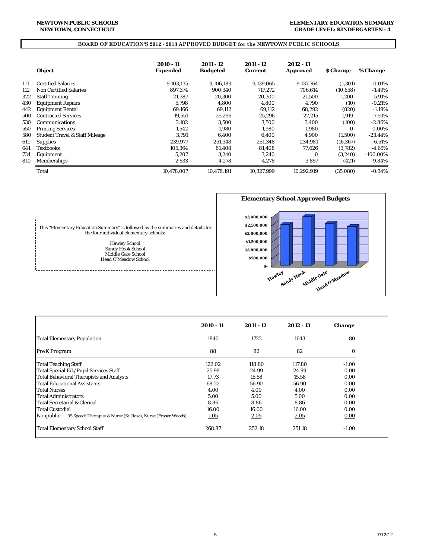#### **NEWTOWN, CONNECTICUT NEWTOWN PUBLIC SCHOOLS**

#### **ELEMENTARY EDUCATION SUMMARY GRADE LEVEL: KINDERGARTEN - 4**

#### **BOARD OF EDUCATION'S 2012 - 2013 APPROVED BUDGET for the NEWTOWN PUBLIC SCHOOLS**

|     | <b>Object</b>                             | 2010 - 11<br>Expended | 2011 - 12<br><b>Budgeted</b> | 2011 - 12<br><b>Current</b> | 2012 - 13<br><b>Approved</b> | <b><i>S</i></b> Change | % Change    |
|-----|-------------------------------------------|-----------------------|------------------------------|-----------------------------|------------------------------|------------------------|-------------|
| 111 | <b>Certified Salaries</b>                 | 9,103,135             | 9.106.189                    | 9,139,065                   | 9.137.764                    | (1,301)                | $-0.01%$    |
| 112 | <b>Non Certified Salaries</b>             | 897.374               | 900.340                      | 717.272                     | 706.614                      |                        |             |
|     |                                           |                       |                              |                             |                              | (10, 658)              | $-1.49%$    |
| 322 | <b>Staff Training</b>                     | 21.387                | 20.300                       | 20.300                      | 21.500                       | 1,200                  | 5.91%       |
| 430 | <b>Equipment Repairs</b>                  | 5.798                 | 4.800                        | 4.800                       | 4.790                        | (10)                   | $-0.21%$    |
| 442 | <b>Equipment Rental</b>                   | 69.166                | 69,112                       | 69,112                      | 68,292                       | (820)                  | $-1.19%$    |
| 500 | <b>Contracted Services</b>                | 19.551                | 25,296                       | 25.296                      | 27.215                       | 1,919                  | 7.59%       |
| 530 | <b>Communications</b>                     | 3.182                 | 3.500                        | 3.500                       | 3.400                        | (100)                  | $-2.86%$    |
| 550 | <b>Printing Services</b>                  | 1.542                 | 1.980                        | 1.980                       | 1,980                        | 0                      | 0.00%       |
| 580 | <b>Student Travel &amp; Staff Mileage</b> | 3.791                 | 6,400                        | 6.400                       | 4,900                        | (1,500)                | $-23.44%$   |
| 611 | <b>Supplies</b>                           | 239.977               | 251,348                      | 251.348                     | 234,981                      | (16, 367)              | $-6.51%$    |
| 641 | <b>Textbooks</b>                          | 105.364               | 81,408                       | 81,408                      | 77,626                       | (3, 782)               | $-4.65\%$   |
| 734 | Equipment                                 | 5.207                 | 3.240                        | 3.240                       | $\Omega$                     | (3,240)                | $-100.00\%$ |
| 810 | Memberships                               | 2,533                 | 4,278                        | 4,278                       | 3,857                        | (421)                  | $-9.84\%$   |
|     | Total                                     | 10.478.007            | 10.478.191                   | 10.327.999                  | 10.292.919                   | (35.080)               | $-0.34%$    |



This "Elementary Education Summary" is followed by the summaries and details for the four individual elementary schools:

Hawley School Sandy Hook School Middle Gate School Head O'Meadow School

÷

|                                                                                  | 2010 - 11 | $2011 - 12$ | 2012 - 13 | <b>Change</b> |
|----------------------------------------------------------------------------------|-----------|-------------|-----------|---------------|
| <b>Total Elementary Population</b>                                               | 1840      | 1723        | 1643      | $-80$         |
| Pre K Program                                                                    | 88        | 82          | 82        | $\bf{0}$      |
| Total Teaching Staff                                                             | 122.02    | 118.80      | 117.80    | $-1.00$       |
| Total Special Ed./Pupil Services Staff                                           | 25.99     | 24.99       | 24.99     | 0.00          |
| Total Behavioral Therapists and Analysts                                         | 17.73     | 15.58       | 15.58     | 0.00          |
| Total Educational Assistants                                                     | 68.22     | 56.90       | 56.90     | 0.00          |
| Total Nurses                                                                     | 4.00      | 4.00        | 4.00      | 0.00          |
| Total Administrators                                                             | 5.00      | 5.00        | 5.00      | 0.00          |
| Total Secretarial & Clerical                                                     | 8.86      | 8.86        | 8.86      | 0.00          |
| <b>Total Custodial</b>                                                           | 16.00     | 16.00       | 16.00     | 0.00          |
| <b>Nonpublic:</b> . 05 Speech Therapist & Nurse (St. Rose), Nurse (Fraser Woods) | 1.05      | 2.05        | 2.05      | 0.00          |
| Total Elementary School Staff                                                    | 268.87    | 252.18      | 251.18    | $-1.00$       |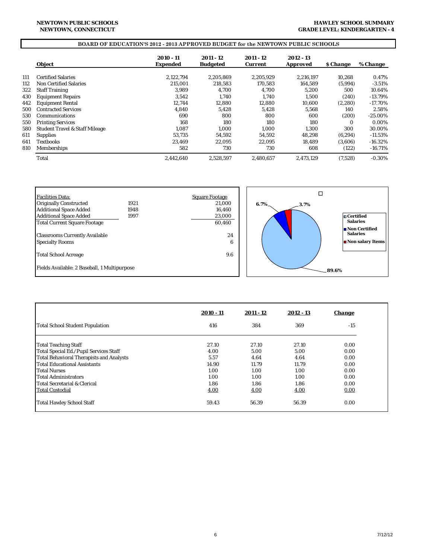#### **HAWLEY SCHOOL SUMMARY GRADE LEVEL: KINDERGARTEN - 4**

# **BOARD OF EDUCATION'S 2012 - 2013 APPROVED BUDGET for the NEWTOWN PUBLIC SCHOOLS**

|     | <b>Object</b>                             | 2010 - 11<br><b>Expended</b> | 2011 - 12<br><b>Budgeted</b> | 2011 - 12<br><b>Current</b> | 2012 - 13<br><b>Approved</b> | <i><b>S</b></i> Change | % Change   |
|-----|-------------------------------------------|------------------------------|------------------------------|-----------------------------|------------------------------|------------------------|------------|
|     |                                           |                              |                              |                             |                              |                        |            |
| 111 | <b>Certified Salaries</b>                 | 2.122.794                    | 2.205.869                    | 2.205.929                   | 2.216.197                    | 10,268                 | 0.47%      |
| 112 | Non Certified Salaries                    | 215.001                      | 218.583                      | 170.583                     | 164.589                      | (5,994)                | $-3.51\%$  |
| 322 | <b>Staff Training</b>                     | 3.989                        | 4.700                        | 4.700                       | 5.200                        | 500                    | 10.64%     |
| 430 | <b>Equipment Repairs</b>                  | 3.542                        | 1.740                        | 1.740                       | 1.500                        | (240)                  | $-13.79%$  |
| 442 | <b>Equipment Rental</b>                   | 12,744                       | 12,880                       | 12,880                      | 10,600                       | (2,280)                | $-17.70\%$ |
| 500 | <b>Contracted Services</b>                | 4,840                        | 5,428                        | 5.428                       | 5,568                        | 140                    | 2.58%      |
| 530 | Communications                            | 690                          | 800                          | 800                         | 600                          | (200)                  | $-25.00\%$ |
| 550 | <b>Printing Services</b>                  | 168                          | 180                          | 180                         | 180                          | $\Omega$               | 0.00%      |
| 580 | <b>Student Travel &amp; Staff Mileage</b> | 1.087                        | 1.000                        | 1.000                       | 1,300                        | 300                    | 30.00%     |
| 611 | <b>Supplies</b>                           | 53.735                       | 54.592                       | 54.592                      | 48.298                       | (6, 294)               | $-11.53%$  |
| 641 | <b>Textbooks</b>                          | 23,469                       | 22,095                       | 22.095                      | 18,489                       | (3,606)                | $-16.32\%$ |
| 810 | <b>Memberships</b>                        | 582                          | 730                          | 730                         | 608                          | (122)                  | $-16.71\%$ |
|     | Total                                     | 2.442.640                    | 2.528.597                    | 2.480.657                   | 2.473.129                    | (7,528)                | $-0.30%$   |

| Facilities Data:                                                |      | <b>Square Footage</b> |         |      |                                                      |
|-----------------------------------------------------------------|------|-----------------------|---------|------|------------------------------------------------------|
| <b>Originally Constructed</b>                                   | 1921 | 21,000                | $6.7\%$ | 3.7% |                                                      |
| Additional Space Added                                          | 1948 | 16,460                |         |      |                                                      |
| Additional Space Added                                          | 1997 | 23,000                |         |      | $\Box$ Certified                                     |
| Total Current Square Footage                                    |      | 60,460                |         |      | <b>Salaries</b>                                      |
| <b>Classrooms Currently Available</b><br><b>Specialty Rooms</b> |      | 24<br>6               |         |      | Non Certified<br><b>Salaries</b><br>Non salary Items |
|                                                                 |      |                       |         |      |                                                      |
| Total School Acreage                                            |      | 9.6                   |         |      |                                                      |
| Fields Available: 2 Baseball, 1 Multipurpose                    |      |                       |         |      | .89.6%                                               |

|                                          | $2010 - 11$ | 2011 - 12 | $2012 - 13$ | <b>Change</b> |
|------------------------------------------|-------------|-----------|-------------|---------------|
| <b>Total School Student Population</b>   | 416         | 384       | 369         | $-15$         |
| <b>Total Teaching Staff</b>              | 27.10       | 27.10     | 27.10       | 0.00          |
| Total Special Ed./Pupil Services Staff   | 4.00        | 5.00      | 5.00        | 0.00          |
| Total Behavioral Therapists and Analysts | 5.57        | 4.64      | 4.64        | 0.00          |
| <b>Total Educational Assistants</b>      | 14.90       | 11.79     | 11.79       | 0.00          |
| <b>Total Nurses</b>                      | 1.00        | 1.00      | 1.00        | 0.00          |
| <b>Total Administrators</b>              | 1.00        | 1.00      | 1.00        | 0.00          |
| <b>Total Secretarial &amp; Clerical</b>  | 1.86        | 1.86      | 1.86        | 0.00          |
| <b>Total Custodial</b>                   | 4.00        | 4.00      | 4.00        | 0.00          |
| Total Hawley School Staff                | 59.43       | 56.39     | 56.39       | 0.00          |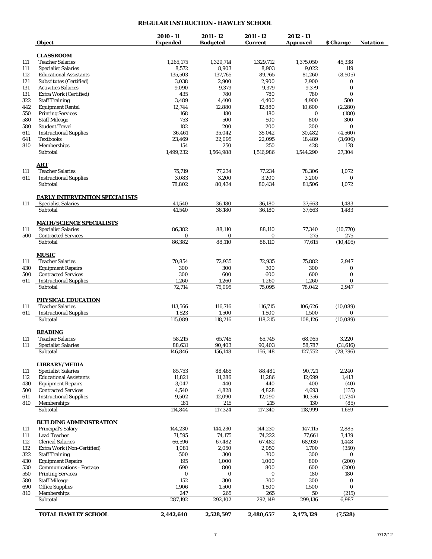## **REGULAR INSTRUCTION - HAWLEY SCHOOL**

| <i><b>Object</b></i>                  | 2010 - 11<br><b>Expended</b> | 2011 - 12<br><b>Budgeted</b> | 2011 - 12<br><b>Current</b> | 2012 - 13<br><b>Approved</b> | \$ Change | <b>Notation</b> |
|---------------------------------------|------------------------------|------------------------------|-----------------------------|------------------------------|-----------|-----------------|
| <b>CLASSROOM</b>                      |                              |                              |                             |                              |           |                 |
| <b>Teacher Salaries</b>               | 1,265,175                    | 1,329,714                    | 1,329,712                   | 1,375,050                    | 45,338    |                 |
|                                       |                              |                              |                             |                              | 119       |                 |
| <b>Specialist Salaries</b>            | 8,572                        | 8,903                        | 8,903                       | 9,022                        |           |                 |
| <b>Educational Assistants</b>         | 135,503                      | 137,765                      | 89,765                      | 81,260                       | (8, 505)  |                 |
| Substitutes (Certified)               | 3,038                        | 2,900                        | 2,900                       | 2,900                        | 0         |                 |
| <b>Activities Salaries</b>            | 9,090                        | 9,379                        | 9,379                       | 9,379                        | $\bf{0}$  |                 |
| Extra Work (Certified)                | 435                          | 780                          | 780                         | 780                          | 0         |                 |
| 322<br><b>Staff Training</b>          | 3,489                        | 4,400                        | 4,400                       | 4,900                        | 500       |                 |
| 442<br><b>Equipment Rental</b>        | 12,744                       | 12,880                       | 12,880                      | 10,600                       | (2, 280)  |                 |
| <b>Printing Services</b><br>550       | 168                          | 180                          | 180                         | $\bf{0}$                     | (180)     |                 |
| <b>Staff Mileage</b><br>580           | 753                          | 500                          | 500                         | 800                          | 300       |                 |
| <b>Student Travel</b><br>580          | 182                          | 200                          | 200                         | 200                          | $\bf{0}$  |                 |
| <b>Instructional Supplies</b>         | 36,461                       | 35,042                       | 35,042                      | 30.482                       | (4,560)   |                 |
| <b>Textbooks</b>                      | 23,469                       | 22,095                       | 22,095                      | 18,489                       | (3,606)   |                 |
| 810<br>Memberships                    | 154                          | 250                          | 250                         | 428                          | 178       |                 |
| Subtotal                              | 1,499,232                    | 1,564,988                    | 1,516,986                   | 1,544,290                    | 27,304    |                 |
| ART                                   |                              |                              |                             |                              |           |                 |
| <b>Teacher Salaries</b>               | 75,719                       | 77,234                       | 77,234                      | 78,306                       | 1,072     |                 |
| <b>Instructional Supplies</b>         | 3,083                        | 3,200                        | 3,200                       | 3,200                        | 0         |                 |
| Subtotal                              | 78,802                       | 80,434                       | 80,434                      | 81,506                       | 1,072     |                 |
| <b>EARLY INTERVENTION SPECIALISTS</b> |                              |                              |                             |                              |           |                 |
| <b>Specialist Salaries</b>            | 41,540                       | 36,180                       | 36,180                      | 37,663                       | 1,483     |                 |
| Subtotal                              | 41.540                       | 36,180                       | 36,180                      | 37,663                       | 1,483     |                 |
| <b>MATH/SCIENCE SPECIALISTS</b>       |                              |                              |                             |                              |           |                 |
| <b>Specialist Salaries</b>            | 86,382                       | 88,110                       | 88,110                      | 77,340                       | (10, 770) |                 |
| <b>Contracted Services</b><br>500     | $\bf{0}$                     | 0                            | 0                           | 275                          | 275       |                 |
| Subtotal                              | 86,382                       | 88,110                       | 88,110                      | 77,615                       | (10, 495) |                 |
| <b>MUSIC</b>                          |                              |                              |                             |                              |           |                 |
| <b>Teacher Salaries</b>               | 70,854                       | 72,935                       | 72,935                      | 75,882                       | 2,947     |                 |
| 430<br><b>Equipment Repairs</b>       | 300                          | 300                          | 300                         | 300                          | 0         |                 |
| <b>Contracted Services</b>            | 300                          | 600                          | 600                         | 600                          | $\bf{0}$  |                 |
| 500<br><b>Instructional Supplies</b>  | 1,260                        | 1,260                        | 1,260                       | 1,260                        | 0         |                 |
| Subtotal                              | 72,714                       | 75,095                       | 75,095                      | 78,042                       | 2,947     |                 |
| <b>PHYSICAL EDUCATION</b>             |                              |                              |                             |                              |           |                 |
| <b>Teacher Salaries</b>               | 113,566                      | 116,716                      | 116,715                     | 106,626                      | (10,089)  |                 |
| <b>Instructional Supplies</b>         | 1,523                        | 1,500                        | 1,500                       | 1,500                        | 0         |                 |
| Subtotal                              | 115,089                      | 118,216                      | 118,215                     | 108,126                      | (10,089)  |                 |
| <u>READING</u>                        |                              |                              |                             |                              |           |                 |
| <b>Teacher Salaries</b>               | 58,215                       | 65,745                       | 65,745                      | 68,965                       | 3,220     |                 |
| <b>Specialist Salaries</b>            |                              |                              |                             |                              |           |                 |
|                                       | 88,631                       | 90,403                       | 90,403                      | 58,787                       | (31, 616) |                 |
| Subtotal                              | 146,846                      | 156,148                      | 156,148                     | 127,752                      | (28, 396) |                 |
| <b>LIBRARY/MEDIA</b>                  |                              |                              |                             |                              |           |                 |
| <b>Specialist Salaries</b>            | 85,753                       | 88,465                       | 88.481                      | 90,721                       | 2,240     |                 |
| <b>Educational Assistants</b>         | 11,821                       | 11,286                       | 11,286                      | 12,699                       | 1,413     |                 |
| <b>Equipment Repairs</b>              | 3,047                        | 440                          | 440                         | 400                          | (40)      |                 |
| <b>Contracted Services</b>            | 4,540                        | 4,828                        | 4,828                       | 4,693                        | (135)     |                 |
| <b>Instructional Supplies</b>         | 9,502                        | 12,090                       | 12,090                      | 10,356                       | (1,734)   |                 |
| Memberships                           | 181                          | 215                          | 215                         | 130                          | (85)      |                 |
| Subtotal                              | 114,844                      | 117,324                      | 117,340                     | 118,999                      | 1,659     |                 |
| <b>BUILDING ADMINISTRATION</b>        |                              |                              |                             |                              |           |                 |
| <b>Principal's Salary</b>             | 144,230                      | 144,230                      | 144,230                     | 147,115                      | 2,885     |                 |
| <b>Lead Teacher</b>                   | 71,595                       | 74,175                       | 74,222                      | 77,661                       | 3,439     |                 |
| <b>Clerical Salaries</b>              | 66,596                       | 67,482                       | 67,482                      | 68,930                       | 1,448     |                 |
| Extra Work (Non-Certified)            | 1,081                        | 2,050                        | 2,050                       | 1,700                        | (350)     |                 |
| <b>Staff Training</b>                 | 500                          | 300                          | 300                         | 300                          | 0         |                 |
| <b>Equipment Repairs</b>              | 195                          | 1,000                        | 1,000                       | 800                          | (200)     |                 |
| <b>Communications - Postage</b>       | 690                          | 800                          | 800                         | 600                          | (200)     |                 |
| <b>Printing Services</b>              | 0                            | 0                            | 0                           | 180                          | 180       |                 |
| <b>Staff Mileage</b>                  | 152                          | 300                          | 300                         | 300                          | 0         |                 |
| <b>Office Supplies</b>                | 1,906                        | 1,500                        | 1,500                       | 1,500                        | 0         |                 |
| Memberships                           | 247                          | 265                          | 265                         | 50                           | (215)     |                 |
| Subtotal                              | 287,192                      | 292,102                      | 292,149                     | 299,136                      | 6,987     |                 |
|                                       |                              |                              |                             |                              |           |                 |
| <b>TOTAL HAWLEY SCHOOL</b>            | 2,442,640                    | 2,528,597                    | 2,480,657                   | 2,473,129                    | (7,528)   |                 |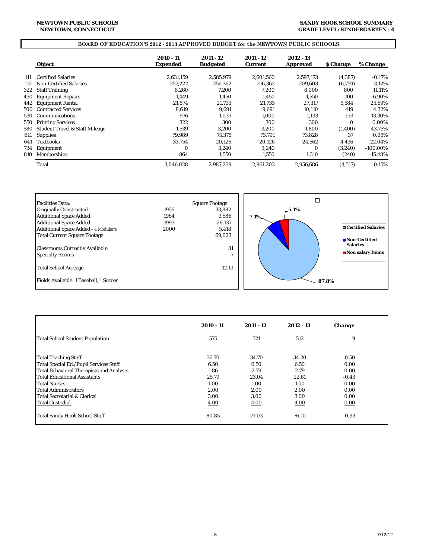#### **SANDY HOOK SCHOOL SUMMARY GRADE LEVEL: KINDERGARTEN - 4**

## **BOARD OF EDUCATION'S 2012 - 2013 APPROVED BUDGET for the NEWTOWN PUBLIC SCHOOLS**

|     | Object                                    | 2010 - 11<br><b>Expended</b> | 2011 - 12<br><b>Budgeted</b> | 2011 - 12<br><b>Current</b> | 2012 - 13<br><b>Approved</b> | <b><i>S</i></b> Change | % Change    |
|-----|-------------------------------------------|------------------------------|------------------------------|-----------------------------|------------------------------|------------------------|-------------|
| 111 | <b>Certified Salaries</b>                 | 2,631,159                    | 2,585,979                    | 2.601.560                   | 2.597.173                    | (4, 387)               | $-0.17\%$   |
| 112 | <b>Non-Certified Salaries</b>             | 257.222                      | 256.362                      | 216.362                     | 209.603                      | (6,759)                | $-3.12%$    |
| 322 | <b>Staff Training</b>                     | 8.260                        | 7,200                        | 7.200                       | 8.000                        | 800                    | 11.11%      |
| 430 | <b>Equipment Repairs</b>                  | 1.449                        | 1,450                        | 1.450                       | 1.550                        | 100                    | 6.90%       |
| 442 | <b>Equipment Rental</b>                   | 21.874                       | 21.733                       | 21.733                      | 27.317                       | 5.584                  | 25.69%      |
| 500 | <b>Contracted Services</b>                | 8,619                        | 9,691                        | 9,691                       | 10,110                       | 419                    | 4.32%       |
| 530 | <b>Communications</b>                     | 976                          | 1,033                        | 1.000                       | 1,133                        | 133                    | 13.30%      |
| 550 | <b>Printing Services</b>                  | 322                          | 300                          | 300                         | 300                          | $\Omega$               | 0.00%       |
| 580 | <b>Student Travel &amp; Staff Mileage</b> | 1,539                        | 3,200                        | 3.200                       | 1.800                        | (1,400)                | $-43.75%$   |
| 611 | <b>Supplies</b>                           | 79.989                       | 75.375                       | 73.791                      | 73.828                       | 37                     | 0.05%       |
| 641 | <b>Textbooks</b>                          | 33.754                       | 20,126                       | 20,126                      | 24,562                       | 4,436                  | 22.04%      |
| 734 | Equipment                                 | $\bf{0}$                     | 3,240                        | 3.240                       | $\bf{0}$                     | (3,240)                | $-100.00\%$ |
| 810 | Memberships                               | 864                          | 1,550                        | 1,550                       | 1,310                        | (240)                  | $-15.48%$   |
|     | Total                                     | 3.046.028                    | 2.987.239                    | 2.961.203                   | 2.956.686                    | (4,517)                | $-0.15%$    |



|                                          | 2010 - 11 | $2011 - 12$ | 2012 - 13 | <b><i><u>Change</u></i></b> |
|------------------------------------------|-----------|-------------|-----------|-----------------------------|
| <b>Total School Student Population</b>   | 575       | 521         | 512       | -9                          |
| Total Teaching Staff                     | 36.70     | 34.70       | 34.20     | $-0.50$                     |
| Total Special Ed./Pupil Services Staff   | 6.50      | 6.50        | 6.50      | 0.00                        |
| Total Behavioral Therapists and Analysts | 1.86      | 2.79        | 2.79      | 0.00                        |
| Total Educational Assistants             | 25.79     | 23.04       | 22.61     | $-0.43$                     |
| <b>Total Nurses</b>                      | 1.00      | 1.00        | 1.00      | 0.00                        |
| <b>Total Administrators</b>              | 2.00      | 2.00        | 2.00      | 0.00                        |
| lTotal Secretarial & Clerical            | 3.00      | 3.00        | 3.00      | 0.00                        |
| l Total Custodial                        | 4.00      | 4.00        | 4.00      | 0.00                        |
| <b>Total Sandy Hook School Staff</b>     | 80.85     | 77.03       | 76.10     | $-0.93$                     |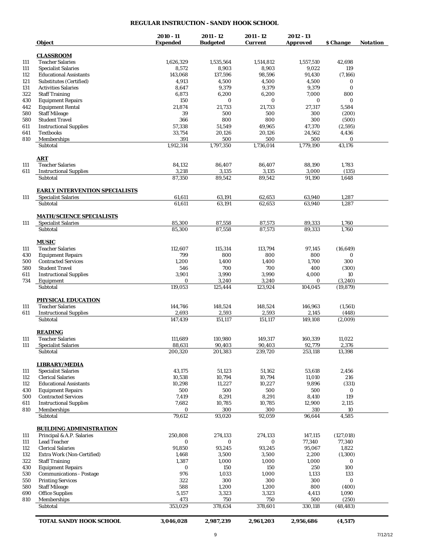## **REGULAR INSTRUCTION - SANDY HOOK SCHOOL**

|            | Object                                                              | 2010 - 11<br><b>Expended</b> | 2011 - 12<br><b>Budgeted</b> | 2011 - 12<br><b>Current</b> | 2012 - 13<br><b>Approved</b> | \$ Change       | <b>Notation</b> |
|------------|---------------------------------------------------------------------|------------------------------|------------------------------|-----------------------------|------------------------------|-----------------|-----------------|
|            | <b>CLASSROOM</b>                                                    |                              |                              |                             |                              |                 |                 |
| 111        | <b>Teacher Salaries</b>                                             | 1,626,329                    | 1,535,564                    | 1,514,812                   | 1,557,510                    | 42,698          |                 |
| 111        | <b>Specialist Salaries</b>                                          | 8,572                        | 8,903                        | 8,903                       | 9,022                        | 119             |                 |
| 112        | <b>Educational Assistants</b>                                       | 143,068                      | 137,596                      | 98,596                      | 91,430                       | (7,166)         |                 |
| 121        | Substitutes (Certified)                                             | 4,913                        | 4,500                        | 4,500                       | 4,500                        | 0               |                 |
| 131        | <b>Activities Salaries</b>                                          | 8,647                        | 9,379                        | 9,379                       | 9,379                        | $\bf{0}$        |                 |
| 322        | <b>Staff Training</b>                                               | 6,873                        | 6,200                        | 6,200                       | 7,000                        | 800             |                 |
| 430        | <b>Equipment Repairs</b>                                            | 150                          | 0                            | 0                           | 0                            | $\bf{0}$        |                 |
| 442        | <b>Equipment Rental</b>                                             | 21,874                       | 21,733                       | 21,733                      | 27,317                       | 5,584           |                 |
| 580        | <b>Staff Mileage</b>                                                | 39                           | 500                          | 500                         | 300                          | (200)           |                 |
| 580        | <b>Student Travel</b>                                               | 366                          | 800                          | 800                         | 300                          | (500)           |                 |
| 611        | <b>Instructional Supplies</b>                                       | 57,338                       | 51,549                       | 49,965                      | 47,370                       | (2,595)         |                 |
| 641        | <b>Textbooks</b>                                                    | 33,754                       | 20,126                       | 20,126                      | 24,562                       | 4,436           |                 |
| 810        | Memberships                                                         | 391                          | 500                          | 500                         | 500                          | 0               |                 |
|            | Subtotal                                                            | 1,912,314                    | 1,797,350                    | 1,736,014                   | 1,779,190                    | 43,176          |                 |
|            | <u>ART</u>                                                          |                              |                              |                             |                              |                 |                 |
| 111        | <b>Teacher Salaries</b>                                             | 84,132                       | 86,407                       | 86,407                      | 88,190                       | 1,783           |                 |
| 611        | <b>Instructional Supplies</b>                                       | 3,218                        | 3,135                        | 3,135                       | 3,000                        | (135)           |                 |
|            | Subtotal                                                            | 87,350                       | 89.542                       | 89,542                      | 91,190                       | 1,648           |                 |
| 111        | <b>EARLY INTERVENTION SPECIALISTS</b><br><b>Specialist Salaries</b> | 61,611                       | 63,191                       | 62,653                      |                              | 1,287           |                 |
|            | Subtotal                                                            | 61,611                       | 63.191                       | 62,653                      | 63,940<br>63,940             | 1,287           |                 |
|            |                                                                     |                              |                              |                             |                              |                 |                 |
| 111        | <b>MATH/SCIENCE SPECIALISTS</b><br><b>Specialist Salaries</b>       | 85,300                       | 87,558                       | 87,573                      | 89,333                       | 1,760           |                 |
|            | Subtotal                                                            | 85,300                       | 87,558                       | 87,573                      | 89,333                       | 1,760           |                 |
|            |                                                                     |                              |                              |                             |                              |                 |                 |
|            | <b>MUSIC</b>                                                        |                              |                              |                             |                              |                 |                 |
| 111        | <b>Teacher Salaries</b>                                             | 112,607                      | 115,314                      | 113,794                     | 97,145                       | (16, 649)       |                 |
| 430        | <b>Equipment Repairs</b>                                            | 799                          | 800                          | 800                         | 800                          | 0               |                 |
| 500        | <b>Contracted Services</b>                                          | 1,200                        | 1,400                        | 1,400                       | 1,700                        | 300             |                 |
| 580        | <b>Student Travel</b>                                               | 546                          | 700                          | 700                         | 400                          | (300)           |                 |
| 611        | <b>Instructional Supplies</b>                                       | 3,901                        | 3,990                        | 3,990                       | 4,000                        | 10              |                 |
| 734        | Equipment                                                           | 0                            | 3,240                        | 3,240                       | 0                            | (3, 240)        |                 |
|            | Subtotal                                                            | 119,053                      | 125,444                      | 123,924                     | 104,045                      | (19, 879)       |                 |
|            | <b>PHYSICAL EDUCATION</b>                                           |                              |                              |                             |                              |                 |                 |
| 111        | <b>Teacher Salaries</b>                                             | 144,746                      | 148,524                      | 148,524                     | 146,963                      | (1, 561)        |                 |
| 611        | <b>Instructional Supplies</b>                                       | 2,693                        | 2,593                        | 2,593                       | 2,145                        | (448)           |                 |
|            | Subtotal                                                            | 147,439                      | 151,117                      | 151,117                     | 149,108                      | (2,009)         |                 |
|            | <u>READING</u>                                                      |                              |                              |                             |                              |                 |                 |
| 111        | <b>Teacher Salaries</b>                                             | 111,689                      | 110,980                      | 149,317                     | 160,339                      | 11,022          |                 |
| 111        | <b>Specialist Salaries</b><br>Subtotal                              | 88,631<br>200,320            | 90,403<br>201,383            | 90,403<br>239,720           | 92,779<br>253,118            | 2,376<br>13,398 |                 |
|            |                                                                     |                              |                              |                             |                              |                 |                 |
|            | <b>LIBRARY/MEDIA</b>                                                |                              |                              |                             |                              |                 |                 |
| 111        | <b>Specialist Salaries</b><br><b>Clerical Salaries</b>              | 43,175<br>10,538             | 51,123                       | 51,162                      | 53,618                       | 2,456<br>216    |                 |
| 112<br>112 | <b>Educational Assistants</b>                                       | 10,298                       | 10,794<br>11,227             | 10,794<br>10,227            | 11,010<br>9,896              | (331)           |                 |
| 430        | <b>Equipment Repairs</b>                                            | 500                          | 500                          | 500                         | 500                          | 0               |                 |
| 500        | <b>Contracted Services</b>                                          | 7,419                        | 8,291                        | 8,291                       | 8,410                        | 119             |                 |
| 611        | <b>Instructional Supplies</b>                                       | 7,682                        | 10,785                       | 10,785                      | 12,900                       | 2,115           |                 |
| 810        | <b>Memberships</b>                                                  | $\bf{0}$                     | 300                          | 300                         | 310                          | 10              |                 |
|            | Subtotal                                                            | 79,612                       | 93,020                       | 92,059                      | 96,644                       | 4,585           |                 |
|            | <b>BUILDING ADMINISTRATION</b>                                      |                              |                              |                             |                              |                 |                 |
| 111        | Principal & A.P. Salaries                                           | 250,808                      | 274,133                      | 274,133                     | 147,115                      | (127, 018)      |                 |
| 111        | <b>Lead Teacher</b>                                                 | 0                            | 0                            | 0                           | 77,340                       | 77,340          |                 |
| 112        | <b>Clerical Salaries</b>                                            | 91,850                       | 93,245                       | 93,245                      | 95,067                       | 1,822           |                 |
| 132        | Extra Work (Non-Certified)                                          | 1,468                        | 3,500                        | 3,500                       | 2,200                        | (1, 300)        |                 |
| 322        | <b>Staff Training</b>                                               | 1,387                        | 1,000                        | 1,000                       | 1,000                        | 0               |                 |
| 430        | <b>Equipment Repairs</b>                                            | $\bf{0}$                     | 150                          | 150                         | 250                          | 100             |                 |
| 530        | <b>Communications - Postage</b>                                     | 976                          | 1,033                        | 1,000                       | 1,133                        | 133             |                 |
| 550        | <b>Printing Services</b>                                            | 322                          | 300                          | 300                         | 300                          | 0               |                 |
| 580        | <b>Staff Mileage</b>                                                | 588                          | 1,200                        | 1,200                       | 800                          | (400)           |                 |
| 690        | <b>Office Supplies</b>                                              | 5,157                        | 3,323                        | 3,323                       | 4,413                        | 1,090           |                 |
| 810        | Memberships<br>Subtotal                                             | 473<br>353,029               | 750<br>378,634               | 750<br>378,601              | 500                          | (250)           |                 |
|            |                                                                     |                              |                              |                             | 330,118                      | (48, 483)       |                 |
|            | TOTAL SANDY HOOK SCHOOL                                             | 3,046,028                    | 2,987,239                    | 2,961,203                   | 2,956,686                    | (4,517)         |                 |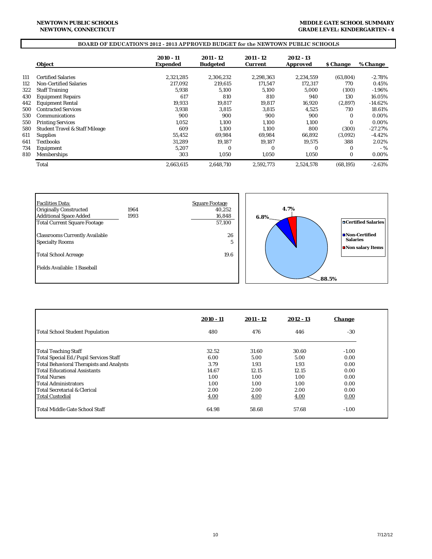#### **MIDDLE GATE SCHOOL SUMMARY GRADE LEVEL: KINDERGARTEN - 4**

## **BOARD OF EDUCATION'S 2012 - 2013 APPROVED BUDGET for the NEWTOWN PUBLIC SCHOOLS**

|     | <b>Object</b>                             | 2010 - 11<br><b>Expended</b> | 2011 - 12<br><b>Budgeted</b> | 2011 - 12<br><b>Current</b> | 2012 - 13<br><b>Approved</b> | <b>S</b> Change | % Change   |
|-----|-------------------------------------------|------------------------------|------------------------------|-----------------------------|------------------------------|-----------------|------------|
| 111 | <b>Certified Salaries</b>                 | 2,321,285                    | 2,306,232                    | 2.298.363                   | 2,234,559                    | (63, 804)       | $-2.78%$   |
| 112 | <b>Non-Certified Salaries</b>             | 217.092                      | 219.615                      | 171.547                     | 172.317                      | 770             | 0.45%      |
| 322 | <b>Staff Training</b>                     | 5.938                        | 5,100                        | 5.100                       | 5.000                        | (100)           | $-1.96\%$  |
| 430 | <b>Equipment Repairs</b>                  | 617                          | 810                          | 810                         | 940                          | 130             | 16.05%     |
| 442 | <b>Equipment Rental</b>                   | 19.933                       | 19.817                       | 19.817                      | 16.920                       | (2,897)         | $-14.62\%$ |
| 500 | <b>Contracted Services</b>                | 3.938                        | 3,815                        | 3,815                       | 4,525                        | 710             | 18.61%     |
| 530 | Communications                            | 900                          | 900                          | 900                         | 900                          | $\Omega$        | 0.00%      |
| 550 | <b>Printing Services</b>                  | 1.052                        | 1,100                        | 1.100                       | 1,100                        | $\Omega$        | 0.00%      |
| 580 | <b>Student Travel &amp; Staff Mileage</b> | 609                          | 1.100                        | 1.100                       | 800                          | (300)           | $-27.27%$  |
| 611 | <b>Supplies</b>                           | 55,452                       | 69.984                       | 69.984                      | 66,892                       | (3,092)         | $-4.42%$   |
| 641 | Textbooks                                 | 31.289                       | 19.187                       | 19.187                      | 19.575                       | 388             | 2.02%      |
| 734 | Equipment                                 | 5.207                        | $\Omega$                     | $\Omega$                    | $\Omega$                     | $\Omega$        | $-$ %      |
| 810 | Memberships                               | 303                          | 1,050                        | 1,050                       | 1,050                        | $\bf{0}$        | 0.00%      |
|     | Total                                     | 2,663,615                    | 2.648.710                    | 2.592.773                   | 2,524,578                    | (68, 195)       | $-2.63%$   |



|                                          | $2010 - 11$ | $2011 - 12$ | $2012 - 13$ | <i><b>Change</b></i> |
|------------------------------------------|-------------|-------------|-------------|----------------------|
| Total School Student Population          | 480         | 476         | 446         | $-30$                |
| <b>Total Teaching Staff</b>              | 32.52       | 31.60       | 30.60       | $-1.00$              |
| Total Special Ed./Pupil Services Staff   | 6.00        | 5.00        | 5.00        | 0.00                 |
| Total Behavioral Therapists and Analysts | 3.79        | 1.93        | 1.93        | 0.00                 |
| <b>Total Educational Assistants</b>      | 14.67       | 12.15       | 12.15       | 0.00                 |
| <b>Total Nurses</b>                      | 1.00        | 1.00        | 1.00        | 0.00                 |
| lTotal Administrators                    | 1.00        | 1.00        | 1.00        | 0.00                 |
| <b>Total Secretarial &amp; Clerical</b>  | 2.00        | 2.00        | 2.00        | 0.00                 |
| <b>Total Custodial</b>                   | 4.00        | 4.00        | 4.00        | 0.00                 |
| <b>Total Middle Gate School Staff</b>    | 64.98       | 58.68       | 57.68       | $-1.00$              |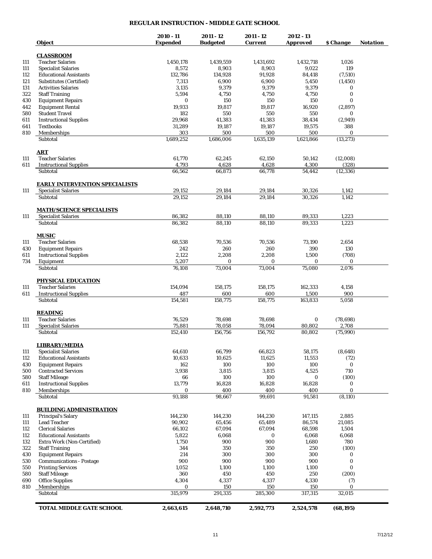## **REGULAR INSTRUCTION - MIDDLE GATE SCHOOL**

| Object                                    | 2010 - 11<br><b>Expended</b> | 2011 - 12<br><b>Budgeted</b> | 2011 - 12<br><b>Current</b> | 2012 - 13<br><b>Approved</b> | \$ Change    | <b>Notation</b> |
|-------------------------------------------|------------------------------|------------------------------|-----------------------------|------------------------------|--------------|-----------------|
|                                           |                              |                              |                             |                              |              |                 |
| <b>CLASSROOM</b>                          |                              |                              |                             |                              |              |                 |
| <b>Teacher Salaries</b>                   | 1,450,178                    | 1,439,559                    | 1,431,692                   | 1,432,718                    | 1,026        |                 |
| <b>Specialist Salaries</b>                | 8,572                        | 8,903                        | 8,903                       | 9,022                        | 119          |                 |
| <b>Educational Assistants</b>             | 132,786                      | 134,928                      | 91,928                      | 84,418                       | (7,510)      |                 |
| Substitutes (Certified)                   | 7,313                        | 6,900                        | 6,900                       | 5,450                        | (1, 450)     |                 |
| <b>Activities Salaries</b>                | 3,135                        | 9,379                        | 9,379                       | 9,379                        | 0            |                 |
| <b>Staff Training</b>                     | 5,594                        | 4,750                        | 4,750                       | 4,750                        | $\bf{0}$     |                 |
| <b>Equipment Repairs</b>                  | 0                            | 150                          | 150                         | 150                          | $\bf{0}$     |                 |
| <b>Equipment Rental</b>                   | 19,933                       | 19,817                       | 19,817                      | 16,920                       | (2,897)      |                 |
| <b>Student Travel</b>                     | 182                          | 550                          | 550                         | 550                          | 0            |                 |
| <b>Instructional Supplies</b>             | 29,968                       | 41,383                       | 41.383                      | 38,434                       | (2,949)      |                 |
| <b>Textbooks</b>                          | 31,289                       | 19,187                       | 19,187                      | 19,575                       | 388          |                 |
| Memberships                               | 303                          | 500                          | 500                         | 500                          | $\bf{0}$     |                 |
| Subtotal                                  | 1,689,252                    | 1,686,006                    | 1,635,139                   | 1,621,866                    | (13, 273)    |                 |
| <b>ART</b>                                |                              |                              |                             |                              |              |                 |
| <b>Teacher Salaries</b>                   | 61,770                       | 62,245                       | 62,150                      | 50,142                       | (12,008)     |                 |
| <b>Instructional Supplies</b>             | 4,793                        | 4,628                        | 4,628                       | 4,300                        | (328)        |                 |
| Subtotal                                  | 66,562                       | 66,873                       | 66,778                      | 54,442                       | (12, 336)    |                 |
| <b>EARLY INTERVENTION SPECIALISTS</b>     |                              |                              |                             |                              |              |                 |
| <b>Specialist Salaries</b>                | 29,152                       | 29,184                       | 29,184                      | 30,326                       | 1,142        |                 |
| Subtotal                                  | 29,152                       | 29,184                       | 29,184                      | 30,326                       | 1,142        |                 |
| <b>MATH/SCIENCE SPECIALISTS</b>           |                              |                              |                             |                              |              |                 |
| <b>Specialist Salaries</b>                | 86,382                       | 88,110                       | 88,110                      | 89,333                       | 1,223        |                 |
| Subtotal                                  | 86.382                       | 88,110                       | 88,110                      | 89,333                       | 1,223        |                 |
| <b>MUSIC</b>                              |                              |                              |                             |                              |              |                 |
| <b>Teacher Salaries</b>                   | 68,538                       | 70,536                       | 70,536                      | 73,190                       | 2,654        |                 |
| <b>Equipment Repairs</b>                  | 242                          | 260                          | 260                         | 390                          | 130          |                 |
| <b>Instructional Supplies</b>             | 2,122                        | 2,208                        | 2,208                       | 1,500                        | (708)        |                 |
| Equipment                                 | 5,207                        | 0                            | $\bf{0}$                    | 0                            | 0            |                 |
| Subtotal                                  | 76,108                       | 73,004                       | 73,004                      | 75,080                       | 2,076        |                 |
| PHYSICAL EDUCATION                        |                              |                              |                             |                              |              |                 |
| <b>Teacher Salaries</b>                   | 154,094                      | 158,175                      | 158,175                     | 162,333                      | 4,158        |                 |
|                                           |                              |                              |                             |                              |              |                 |
| <b>Instructional Supplies</b><br>Subtotal | 487<br>154,581               | 600<br>158,775               | 600<br>158,775              | 1,500<br>163,833             | 900<br>5,058 |                 |
|                                           |                              |                              |                             |                              |              |                 |
| <b>READING</b>                            |                              |                              |                             |                              |              |                 |
| <b>Teacher Salaries</b>                   | 76,529                       | 78,698                       | 78,698                      | $\bf{0}$                     | (78, 698)    |                 |
| <b>Specialist Salaries</b>                | 75,881                       | 78,058                       | 78,094                      | 80,802                       | 2,708        |                 |
| Subtotal                                  | 152,410                      | 156.756                      | 156,792                     | 80,802                       | (75,990)     |                 |
| <b>LIBRARY/MEDIA</b>                      |                              |                              |                             |                              |              |                 |
| <b>Specialist Salaries</b>                | 64,610                       | 66,799                       | 66,823                      | 58,175                       | (8, 648)     |                 |
| <b>Educational Assistants</b>             | 10,633                       | 10,625                       | 11,625                      | 11,553                       | (72)         |                 |
| <b>Equipment Repairs</b>                  | 162                          | 100                          | 100                         | 100                          | 0            |                 |
| <b>Contracted Services</b>                | 3,938                        | 3,815                        | 3,815                       | 4,525                        | 710          |                 |
| <b>Staff Mileage</b>                      | 66                           | 100                          | 100                         | $\bf{0}$                     | (100)        |                 |
| <b>Instructional Supplies</b>             | 13,779                       | 16,828                       | 16,828                      | 16,828                       | 0            |                 |
| Memberships                               | 0                            | 400                          | 400                         | 400                          | $\bf{0}$     |                 |
| Subtotal                                  | 93,188                       | 98,667                       | 99,691                      | 91,581                       | (8,110)      |                 |
| <b>BUILDING ADMINISTRATION</b>            |                              |                              |                             |                              |              |                 |
| <b>Principal's Salary</b>                 | 144.230                      | 144,230                      | 144,230                     | 147,115                      | 2,885        |                 |
| <b>Lead Teacher</b>                       | 90,902                       | 65,456                       | 65,489                      | 86,574                       | 21,085       |                 |
| <b>Clerical Salaries</b>                  | 66,102                       | 67,094                       | 67,094                      | 68,598                       | 1,504        |                 |
| <b>Educational Assistants</b>             | 5,822                        | 6,068                        | 0                           | 6,068                        | 6,068        |                 |
| Extra Work (Non-Certified)                | 1,750                        | 900                          | 900                         | 1,680                        | 780          |                 |
|                                           |                              |                              |                             |                              |              |                 |
| <b>Staff Training</b>                     | 344                          | 350                          | 350                         | 250                          | (100)        |                 |
| <b>Equipment Repairs</b>                  | 214                          | 300                          | 300                         | 300                          | 0            |                 |
| <b>Communications - Postage</b>           | 900                          | 900                          | 900                         | 900                          | 0            |                 |
| <b>Printing Services</b>                  | 1,052                        | 1,100                        | 1,100                       | 1,100                        | $\bf{0}$     |                 |
| <b>Staff Mileage</b>                      | 360                          | 450                          | 450                         | 250                          | (200)        |                 |
| <b>Office Supplies</b>                    | 4,304                        | 4,337                        | 4,337                       | 4,330                        | (7)          |                 |
| Memberships<br>Subtotal                   | 0<br>315,979                 | 150<br>291,335               | 150<br>285,300              | 150<br>317,315               | 0<br>32,015  |                 |
|                                           |                              |                              |                             |                              |              |                 |
| <b>TOTAL MIDDLE GATE SCHOOL</b>           | 2,663,615                    | 2,648,710                    | 2,592,773                   | 2,524,578                    | (68, 195)    |                 |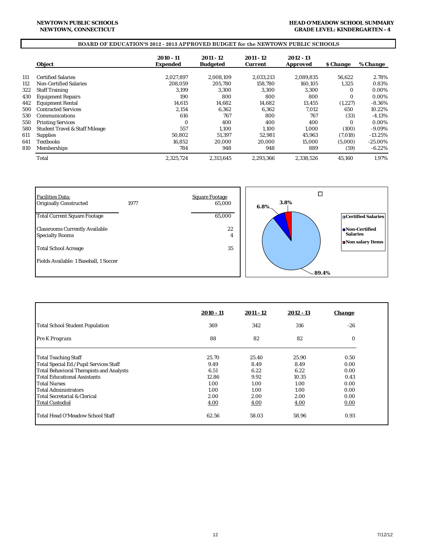#### **HEAD O'MEADOW SCHOOL SUMMARY GRADE LEVEL: KINDERGARTEN - 4**

# **BOARD OF EDUCATION'S 2012 - 2013 APPROVED BUDGET for the NEWTOWN PUBLIC SCHOOLS**

|     | <b>Object</b>                             | $2010 - 11$<br><b>Expended</b> | 2011 - 12<br><b>Budgeted</b> | 2011 - 12<br><b>Current</b> | 2012 - 13<br><b>Approved</b> | <i><b>S</b></i> Change | % Change   |
|-----|-------------------------------------------|--------------------------------|------------------------------|-----------------------------|------------------------------|------------------------|------------|
|     |                                           |                                |                              |                             |                              |                        |            |
| 111 | <b>Certified Salaries</b>                 | 2.027.897                      | 2,008,109                    | 2,033,213                   | 2.089.835                    | 56,622                 | 2.78%      |
| 112 | <b>Non-Certified Salaries</b>             | 208.059                        | 205,780                      | 158,780                     | 160.105                      | 1,325                  | 0.83%      |
| 322 | <b>Staff Training</b>                     | 3.199                          | 3.300                        | 3.300                       | 3.300                        | 0                      | 0.00%      |
| 430 | <b>Equipment Repairs</b>                  | 190                            | 800                          | 800                         | 800                          | $\Omega$               | 0.00%      |
| 442 | <b>Equipment Rental</b>                   | 14,615                         | 14,682                       | 14,682                      | 13,455                       | (1,227)                | $-8.36%$   |
| 500 | <b>Contracted Services</b>                | 2,154                          | 6,362                        | 6,362                       | 7,012                        | 650                    | 10.22%     |
| 530 | Communications                            | 616                            | 767                          | 800                         | 767                          | (33)                   | $-4.13%$   |
| 550 | <b>Printing Services</b>                  | $\Omega$                       | 400                          | 400                         | 400                          | $\Omega$               | 0.00%      |
| 580 | <b>Student Travel &amp; Staff Mileage</b> | 557                            | 1.100                        | 1.100                       | 1.000                        | (100)                  | $-9.09%$   |
| 611 | <b>Supplies</b>                           | 50.802                         | 51,397                       | 52.981                      | 45.963                       | (7,018)                | $-13.25%$  |
| 641 | <b>Textbooks</b>                          | 16.852                         | 20.000                       | 20.000                      | 15,000                       | (5,000)                | $-25.00\%$ |
| 810 | <b>Memberships</b>                        | 784                            | 948                          | 948                         | 889                          | (59)                   | $-6.22\%$  |
|     | Total                                     | 2.325.724                      | 2.313.645                    | 2,293,366                   | 2,338,526                    | 45,160                 | 1.97%      |



|                                                 | $2010 - 11$ | 2011 - 12 | $2012 - 13$ | <b>Change</b> |
|-------------------------------------------------|-------------|-----------|-------------|---------------|
| <b>Total School Student Population</b>          | 369         | 342       | 316         | $-26$         |
| Pre K Program                                   | 88          | 82        | 82          | $\bf{0}$      |
| <b>Total Teaching Staff</b>                     | 25.70       | 25.40     | 25.90       | 0.50          |
| Total Special Ed./Pupil Services Staff          | 9.49        | 8.49      | 8.49        | 0.00          |
| <b>Total Behavioral Therapists and Analysts</b> | 6.51        | 6.22      | 6.22        | 0.00          |
| Total Educational Assistants                    | 12.86       | 9.92      | 10.35       | 0.43          |
| <b>Total Nurses</b>                             | 1.00        | 1.00      | 1.00        | 0.00          |
| <b>Total Administrators</b>                     | 1.00        | 1.00      | 1.00        | 0.00          |
| Total Secretarial & Clerical                    | 2.00        | 2.00      | 2.00        | 0.00          |
| <b>Total Custodial</b>                          | 4.00        | 4.00      | 4.00        | 0.00          |
| <b>Total Head O'Meadow School Staff</b>         | 62.56       | 58.03     | 58.96       | 0.93          |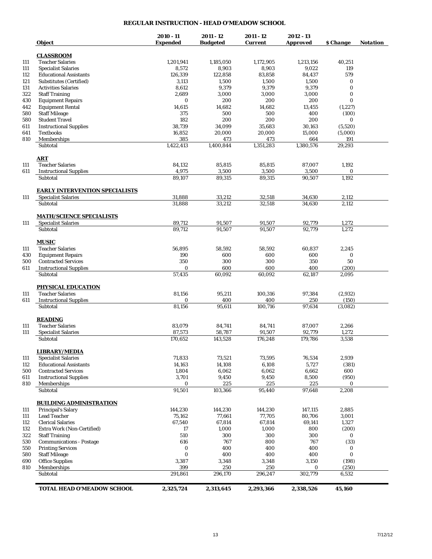## **REGULAR INSTRUCTION - HEAD O'MEADOW SCHOOL**

|            | <b>Object</b>                                                 | $2010 - 11$<br><b>Expended</b> | $2011 - 12$<br><b>Budgeted</b> | 2011 - 12<br><b>Current</b> | 2012 - 13<br><b>Approved</b> | \$ Change      | Notation |
|------------|---------------------------------------------------------------|--------------------------------|--------------------------------|-----------------------------|------------------------------|----------------|----------|
|            |                                                               |                                |                                |                             |                              |                |          |
|            | <b>CLASSROOM</b>                                              |                                |                                |                             |                              |                |          |
| 111        | <b>Teacher Salaries</b><br><b>Specialist Salaries</b>         | 1,201,941<br>8,572             | 1,185,050<br>8,903             | 1,172,905<br>8,903          | 1,213,156<br>9,022           | 40,251<br>119  |          |
| 111<br>112 | <b>Educational Assistants</b>                                 | 126,339                        | 122.858                        | 83,858                      | 84,437                       | 579            |          |
| 121        | <b>Substitutes (Certified)</b>                                | 3,113                          | 1,500                          | 1,500                       | 1,500                        | $\bf{0}$       |          |
| 131        | <b>Activities Salaries</b>                                    | 8,612                          | 9,379                          | 9,379                       | 9,379                        | $\bf{0}$       |          |
| 322        | <b>Staff Training</b>                                         | 2,689                          | 3,000                          | 3,000                       | 3,000                        | $\bf{0}$       |          |
| 430        | <b>Equipment Repairs</b>                                      | $\bf{0}$                       | 200                            | 200                         | 200                          | $\bf{0}$       |          |
| 442        | <b>Equipment Rental</b>                                       | 14,615                         | 14,682                         | 14,682                      | 13,455                       | (1, 227)       |          |
| 580        | <b>Staff Mileage</b>                                          | 375                            | 500                            | 500                         | 400                          | (100)          |          |
| 580        | <b>Student Travel</b>                                         | 182                            | 200                            | 200                         | 200                          | $\bf{0}$       |          |
| 611        | <b>Instructional Supplies</b>                                 | 38,739                         | 34,099                         | 35,683                      | 30,163                       | (5,520)        |          |
| 641        | <b>Textbooks</b>                                              | 16,852                         | 20,000                         | 20,000                      | 15,000                       | (5,000)        |          |
| 810        | Memberships                                                   | 385                            | 473                            | 473                         | 664                          | 191            |          |
|            | Subtotal                                                      | 1,422,413                      | 1,400,844                      | 1,351,283                   | 1,380,576                    | 29,293         |          |
|            | <b>ART</b>                                                    |                                |                                |                             |                              |                |          |
| 111        | <b>Teacher Salaries</b>                                       | 84,132                         | 85,815                         | 85,815                      | 87,007                       | 1,192          |          |
| 611        | <b>Instructional Supplies</b>                                 | 4,975                          | 3,500                          | 3,500                       | 3,500                        | $\bf{0}$       |          |
|            | Subtotal                                                      | 89,107                         | 89,315                         | 89,315                      | 90,507                       | 1,192          |          |
|            | <b>EARLY INTERVENTION SPECIALISTS</b>                         |                                |                                |                             |                              |                |          |
| 111        | <b>Specialist Salaries</b>                                    | 31,888                         | 33,212                         | 32,518                      | 34,630                       | 2,112          |          |
|            | Subtotal                                                      | 31,888                         | 33,212                         | 32,518                      | 34,630                       | 2,112          |          |
| 111        | <b>MATH/SCIENCE SPECIALISTS</b><br><b>Specialist Salaries</b> | 89,712                         | 91,507                         | 91,507                      | 92,779                       | 1,272          |          |
|            | Subtotal                                                      | 89,712                         | 91,507                         | 91,507                      | 92,779                       | 1,272          |          |
|            |                                                               |                                |                                |                             |                              |                |          |
|            | <b>MUSIC</b>                                                  |                                |                                |                             |                              |                |          |
| 111        | <b>Teacher Salaries</b>                                       | 56,895                         | 58,592                         | 58,592                      | 60,837                       | 2,245          |          |
| 430<br>500 | <b>Equipment Repairs</b><br><b>Contracted Services</b>        | 190<br>350                     | 600<br>300                     | 600<br>300                  | 600<br>350                   | $\bf{0}$<br>50 |          |
| 611        | <b>Instructional Supplies</b>                                 | $\bf{0}$                       | 600                            | 600                         | 400                          | (200)          |          |
|            | Subtotal                                                      | 57,435                         | 60,092                         | 60,092                      | 62,187                       | 2,095          |          |
|            | PHYSICAL EDUCATION                                            |                                |                                |                             |                              |                |          |
| 111        | <b>Teacher Salaries</b>                                       | 81,156                         | 95,211                         | 100,316                     | 97,384                       | (2,932)        |          |
| 611        | <b>Instructional Supplies</b>                                 | 0                              | 400                            | 400                         | 250                          | (150)          |          |
|            | Subtotal                                                      | 81,156                         | 95,611                         | 100,716                     | 97.634                       | (3,082)        |          |
|            | <b>READING</b>                                                |                                |                                |                             |                              |                |          |
| 111        | <b>Teacher Salaries</b>                                       | 83,079                         | 84,741                         | 84,741                      | 87,007                       | 2,266          |          |
| 111        | <b>Specialist Salaries</b>                                    | 87,573                         | 58,787                         | 91,507                      | 92.779                       | 1,272          |          |
|            | Subtotal                                                      | 170,652                        | 143,528                        | 176,248                     | 179,786                      | 3,538          |          |
|            | <b>LIBRARY/MEDIA</b>                                          |                                |                                |                             |                              |                |          |
| 111        | <b>Specialist Salaries</b>                                    | 71,833                         | 73,521                         | 73,595                      | 76,534                       | 2,939          |          |
| 112        | <b>Educational Assistants</b>                                 | 14,163                         | 14,108                         | 6,108                       | 5,727                        | (381)          |          |
| 500        | <b>Contracted Services</b>                                    | 1,804                          | 6,062                          | 6,062                       | 6,662                        | 600            |          |
| 611<br>810 | <b>Instructional Supplies</b>                                 | 3,701                          | 9,450                          | 9,450                       | 8,500                        | (950)<br>0     |          |
|            | Memberships<br>Subtotal                                       | 0<br>91,501                    | 225<br>103,366                 | 225<br>95,440               | 225<br>97,648                | 2,208          |          |
|            | <b>BUILDING ADMINISTRATION</b>                                |                                |                                |                             |                              |                |          |
| 111        | <b>Principal's Salary</b>                                     | 144,230                        | 144,230                        | 144,230                     | 147,115                      | 2,885          |          |
| 111        | <b>Lead Teacher</b>                                           | 75.162                         | 77,661                         | 77,705                      | 80,706                       | 3,001          |          |
| 112        | <b>Clerical Salaries</b>                                      | 67,540                         | 67,814                         | 67,814                      | 69,141                       | 1,327          |          |
| 132        | Extra Work (Non-Certified)                                    | 17                             | 1,000                          | 1,000                       | 800                          | (200)          |          |
| 322        | <b>Staff Training</b>                                         | 510                            | 300                            | 300                         | 300                          | 0              |          |
| 530        | <b>Communications - Postage</b>                               | 616                            | 767                            | 800                         | 767                          | (33)           |          |
| 550        | <b>Printing Services</b>                                      | $\bf{0}$                       | 400                            | 400                         | 400                          | 0              |          |
| 580        | <b>Staff Mileage</b>                                          | $\bf{0}$                       | 400                            | 400                         | 400                          | $\bf{0}$       |          |
| 690        | <b>Office Supplies</b>                                        | 3,387                          | 3,348                          | 3,348                       | 3,150                        | (198)          |          |
| 810        | Memberships                                                   | 399                            | 250                            | 250                         | 0                            | (250)          |          |
|            | Subtotal                                                      | 291,861                        | 296,170                        | 296,247                     | 302,779                      | 6,532          |          |
|            | TOTAL HEAD O'MEADOW SCHOOL                                    | 2,325,724                      | 2,313,645                      | 2,293,366                   | 2,338,526                    | 45,160         |          |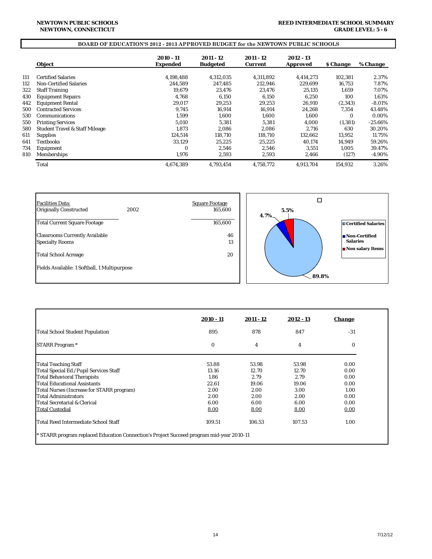#### **REED INTERMEDIATE SCHOOL SUMMARY GRADE LEVEL: 5 - 6**

#### **BOARD OF EDUCATION'S 2012 - 2013 APPROVED BUDGET for the NEWTOWN PUBLIC SCHOOLS**

|     | Object                                    | 2010 - 11<br><b>Expended</b> | 2011 - 12<br><b>Budgeted</b> | 2011 - 12<br><b>Current</b> | 2012 - 13<br><b>Approved</b> | <b><i>S</i></b> Change | % Change  |
|-----|-------------------------------------------|------------------------------|------------------------------|-----------------------------|------------------------------|------------------------|-----------|
|     |                                           |                              |                              |                             |                              |                        |           |
| 111 | <b>Certified Salaries</b>                 | 4,198,488                    | 4,312,035                    | 4.311.892                   | 4,414,273                    | 102,381                | 2.37%     |
| 112 | <b>Non-Certified Salaries</b>             | 244.589                      | 247.485                      | 212.946                     | 229.699                      | 16,753                 | 7.87%     |
| 322 | <b>Staff Training</b>                     | 19.679                       | 23.476                       | 23.476                      | 25,135                       | 1.659                  | 7.07%     |
| 430 | <b>Equipment Repairs</b>                  | 4.768                        | 6.150                        | 6.150                       | 6.250                        | 100                    | 1.63%     |
| 442 | <b>Equipment Rental</b>                   | 29,017                       | 29,253                       | 29,253                      | 26,910                       | (2,343)                | $-8.01%$  |
| 500 | <b>Contracted Services</b>                | 9,745                        | 16,914                       | 16,914                      | 24,268                       | 7,354                  | 43.48%    |
| 530 | Communications                            | 1,599                        | 1,600                        | 1,600                       | 1,600                        | 0                      | 0.00%     |
| 550 | <b>Printing Services</b>                  | 5.010                        | 5,381                        | 5.381                       | 4.000                        | (1, 381)               | $-25.66%$ |
| 580 | <b>Student Travel &amp; Staff Mileage</b> | 1.873                        | 2,086                        | 2.086                       | 2,716                        | 630                    | 30.20%    |
| 611 | <b>Supplies</b>                           | 124.514                      | 118.710                      | 118.710                     | 132.662                      | 13,952                 | 11.75%    |
| 641 | <b>Textbooks</b>                          | 33,129                       | 25,225                       | 25,225                      | 40.174                       | 14,949                 | 59.26%    |
| 734 | Equipment                                 | 0                            | 2,546                        | 2,546                       | 3,551                        | 1,005                  | 39.47%    |
| 810 | Memberships                               | 1,976                        | 2,593                        | 2,593                       | 2,466                        | (127)                  | -4.90%    |
|     | Total                                     | 4.674.389                    | 4.793.454                    | 4,758,772                   | 4.913.704                    | 154,932                | 3.26%     |



|                                           | 2010 - 11 | 2011 - 12 | 2012 - 13 | <b>Change</b> |
|-------------------------------------------|-----------|-----------|-----------|---------------|
| Total School Student Population           | 895       | 878       | 847       | $-31$         |
| <b>STARR Program</b> *                    | $\bf{0}$  | 4         | 4         | 0             |
| <b>Total Teaching Staff</b>               | 53.88     | 53.98     | 53.98     | 0.00          |
| Total Special Ed./Pupil Services Staff    | 13.16     | 12.70     | 12.70     | 0.00          |
| <b>Total Behavioral Therapists</b>        | 1.86      | 2.79      | 2.79      | 0.00          |
| Total Educational Assistants              | 22.61     | 19.06     | 19.06     | 0.00          |
| Total Nurses (Increase for STARR program) | 2.00      | 2.00      | 3.00      | 1.00          |
| Total Administrators                      | 2.00      | 2.00      | 2.00      | 0.00          |
| Total Secretarial & Clerical              | 6.00      | 6.00      | 6.00      | 0.00          |
| <b>Total Custodial</b>                    | 8.00      | 8.00      | 8.00      | 0.00          |
| Total Reed Intermediate School Staff      | 109.51    | 106.53    | 107.53    | 1.00          |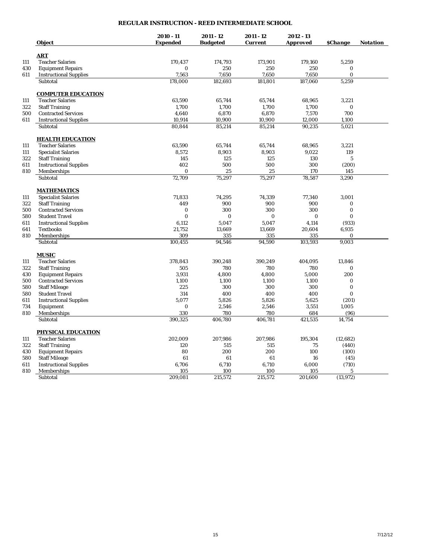# **REGULAR INSTRUCTION - REED INTERMEDIATE SCHOOL**

|     |                               | $2010 - 11$     | $2011 - 12$     | 2011 - 12      | $2012 - 13$     |                              |                 |
|-----|-------------------------------|-----------------|-----------------|----------------|-----------------|------------------------------|-----------------|
|     | <b>Object</b>                 | <b>Expended</b> | <b>Budgeted</b> | <b>Current</b> | <b>Approved</b> | <b><i><u>SChange</u></i></b> | <b>Notation</b> |
|     | <b>ART</b>                    |                 |                 |                |                 |                              |                 |
| 111 | <b>Teacher Salaries</b>       | 170,437         | 174,793         | 173,901        | 179,160         | 5,259                        |                 |
| 430 | <b>Equipment Repairs</b>      | $\bf{0}$        | 250             | 250            | 250             | 0                            |                 |
| 611 | <b>Instructional Supplies</b> | 7,563           | 7,650           | 7,650          | 7,650           | $\mathbf{0}$                 |                 |
|     | Subtotal                      | 178,000         | 182,693         | 181,801        | 187,060         | 5,259                        |                 |
|     |                               |                 |                 |                |                 |                              |                 |
|     | <b>COMPUTER EDUCATION</b>     |                 |                 |                |                 |                              |                 |
| 111 | <b>Teacher Salaries</b>       | 63,590          | 65,744          | 65,744         | 68,965          | 3,221                        |                 |
| 322 | <b>Staff Training</b>         | 1,700           | 1,700           | 1,700          | 1,700           | $\bf{0}$                     |                 |
| 500 | <b>Contracted Services</b>    | 4,640           | 6,870           | 6,870          | 7,570           | 700                          |                 |
| 611 | <b>Instructional Supplies</b> | 10,914          | 10,900          | 10,900         | 12,000          | 1,100                        |                 |
|     | Subtotal                      | 80,844          | 85,214          | 85,214         | 90,235          | 5,021                        |                 |
|     | <b>HEALTH EDUCATION</b>       |                 |                 |                |                 |                              |                 |
| 111 | <b>Teacher Salaries</b>       | 63,590          | 65,744          | 65,744         | 68,965          | 3,221                        |                 |
| 111 | <b>Specialist Salaries</b>    | 8,572           | 8,903           | 8,903          | 9,022           | 119                          |                 |
| 322 | <b>Staff Training</b>         | 145             | 125             | 125            | 130             | $\overline{5}$               |                 |
| 611 | <b>Instructional Supplies</b> | 402             | 500             | 500            | 300             | (200)                        |                 |
| 810 | Memberships                   | $\Omega$        | 25              | 25             | 170             | 145                          |                 |
|     | Subtotal                      | 72,709          | 75,297          | 75,297         | 78,587          | 3,290                        |                 |
|     |                               |                 |                 |                |                 |                              |                 |
|     | <b>MATHEMATICS</b>            |                 |                 |                |                 |                              |                 |
| 111 | <b>Specialist Salaries</b>    | 71,833<br>449   | 74,295<br>900   | 74,339<br>900  | 77,340<br>900   | 3,001                        |                 |
| 322 | <b>Staff Training</b>         |                 |                 |                |                 | 0                            |                 |
| 500 | <b>Contracted Services</b>    | $\mathbf{0}$    | 300             | 300            | 300             | $\mathbf{0}$                 |                 |
| 580 | <b>Student Travel</b>         | $\mathbf{0}$    | 0               | 0              | $\bf{0}$        | $\bf{0}$                     |                 |
| 611 | <b>Instructional Supplies</b> | 6,112           | 5,047           | 5,047          | 4,114           | (933)                        |                 |
| 641 | <b>Textbooks</b>              | 21,752          | 13,669          | 13,669         | 20,604          | 6,935                        |                 |
| 810 | Memberships                   | 309             | 335             | 335            | 335             | 0                            |                 |
|     | Subtotal                      | 100,455         | 94,546          | 94,590         | 103,593         | 9,003                        |                 |
|     | <b>MUSIC</b>                  |                 |                 |                |                 |                              |                 |
| 111 | <b>Teacher Salaries</b>       | 378,843         | 390,248         | 390,249        | 404,095         | 13,846                       |                 |
| 322 | <b>Staff Training</b>         | 505             | 780             | 780            | 780             | 0                            |                 |
| 430 | <b>Equipment Repairs</b>      | 3.931           | 4,800           | 4,800          | 5.000           | 200                          |                 |
| 500 | <b>Contracted Services</b>    | 1,100           | 1,100           | 1,100          | 1,100           | $\bf{0}$                     |                 |
| 580 | <b>Staff Mileage</b>          | 225             | 300             | 300            | 300             | $\bf{0}$                     |                 |
| 580 | <b>Student Travel</b>         | 314             | 400             | 400            | 400             | $\bf{0}$                     |                 |
| 611 | <b>Instructional Supplies</b> | 5,077           | 5,826           | 5,826          | 5,625           | (201)                        |                 |
| 734 | Equipment                     | $\bf{0}$        | 2,546           | 2,546          | 3,551           | 1,005                        |                 |
| 810 | Memberships                   | 330             | 780             | 780            | 684             | (96)                         |                 |
|     | Subtotal                      | 390,325         | 406,780         | 406,781        | 421,535         | 14,754                       |                 |
|     | PHYSICAL EDUCATION            |                 |                 |                |                 |                              |                 |
| 111 | <b>Teacher Salaries</b>       | 202,009         | 207,986         | 207,986        | 195,304         | (12, 682)                    |                 |
| 322 | <b>Staff Training</b>         | 120             | 515             | 515            | 75              | (440)                        |                 |
| 430 | <b>Equipment Repairs</b>      | 80              | 200             | 200            | 100             | (100)                        |                 |
| 580 | <b>Staff Mileage</b>          | 61              | 61              | 61             | 16              | (45)                         |                 |
| 611 | <b>Instructional Supplies</b> | 6,706           | 6,710           | 6,710          | 6,000           | (710)                        |                 |
| 810 | <b>Memberships</b>            | 105             | 100             | 100            | 105             | $\sqrt{5}$                   |                 |
|     | Subtotal                      | 209,081         | 215,572         | 215,572        | 201,600         | (13, 972)                    |                 |
|     |                               |                 |                 |                |                 |                              |                 |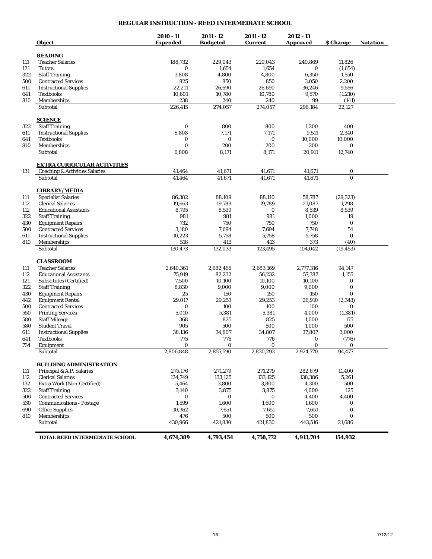# **REGULAR INSTRUCTION - REED INTERMEDIATE SCHOOL**

|     | Object                                    | $2010 - 11$<br><b>Expended</b> | 2011 - 12<br><b>Budgeted</b> | 2011 - 12<br><b>Current</b> | 2012 - 13<br><b>Approved</b> | \$ Change | <b>Notation</b> |
|-----|-------------------------------------------|--------------------------------|------------------------------|-----------------------------|------------------------------|-----------|-----------------|
|     |                                           |                                |                              |                             |                              |           |                 |
|     | <b>READING</b>                            |                                |                              |                             |                              |           |                 |
| 111 | <b>Teacher Salaries</b>                   | 188,732                        | 229,043                      | 229,043                     | 240,869                      | 11,826    |                 |
| 121 | <b>Tutors</b>                             | $\bf{0}$                       | 1,654                        | 1,654                       | 0                            | (1,654)   |                 |
| 322 | <b>Staff Training</b>                     | 3,808                          | 4,800                        | 4,800                       | 6,350                        | 1,550     |                 |
| 500 | <b>Contracted Services</b>                | 825                            | 850                          | 850                         | 3,050                        | 2,200     |                 |
| 611 | <b>Instructional Supplies</b>             | 22,211                         | 26,690                       | 26,690                      | 36,246                       | 9,556     |                 |
| 641 | <b>Textbooks</b>                          | 10,601                         | 10,780                       | 10,780                      | 9,570                        | (1,210)   |                 |
| 810 | Memberships                               | 238                            | 240                          | 240                         | 99                           | (141)     |                 |
|     | Subtotal                                  | 226,415                        | 274,057                      | 274,057                     | 296,184                      | 22,127    |                 |
|     | <b>SCIENCE</b>                            |                                |                              |                             |                              |           |                 |
| 322 | <b>Staff Training</b>                     | $\boldsymbol{0}$               | 800                          | 800                         | 1,200                        | 400       |                 |
| 611 | <b>Instructional Supplies</b>             | 6,808                          | 7,171                        | 7,171                       | 9,511                        | 2,340     |                 |
| 641 | <b>Textbooks</b>                          | $\bf{0}$                       | $\bf{0}$                     | $\bf{0}$                    | 10,000                       | 10,000    |                 |
| 810 | Memberships                               | $\bf{0}$                       | 200                          | 200                         | 200                          | $\bf{0}$  |                 |
|     | Subtotal                                  | 6,808                          | 8,171                        | 8,171                       | 20,911                       | 12,740    |                 |
|     | <b>EXTRA CURRICULAR ACTIVITIES</b>        |                                |                              |                             |                              |           |                 |
| 131 | <b>Coaching &amp; Activities Salaries</b> | 41,464                         | 41,671                       | 41,671                      | 41,671                       | $\bf{0}$  |                 |
|     | Subtotal                                  | 41,464                         | 41,671                       | 41,671                      | 41,671                       | $\bf{0}$  |                 |
|     | <b>LIBRARY/MEDIA</b>                      |                                |                              |                             |                              |           |                 |
| 111 | <b>Specialist Salaries</b>                | 86,382                         | 88,109                       | 88,110                      | 58,787                       | (29, 323) |                 |
| 112 | <b>Clerical Salaries</b>                  | 19,663                         | 19,789                       | 19,789                      | 21,087                       | 1,298     |                 |
| 112 | <b>Educational Assistants</b>             | 8,795                          | 8,539                        | $\bf{0}$                    | 8,539                        | 8,539     |                 |
| 322 | <b>Staff Training</b>                     | 981                            | 981                          | 981                         | 1,000                        | 19        |                 |
| 430 | <b>Equipment Repairs</b>                  | 732                            | 750                          | 750                         | 750                          | $\bf{0}$  |                 |
| 500 | <b>Contracted Services</b>                | 3,180                          | 7,694                        | 7,694                       | 7,748                        | 54        |                 |
| 611 | <b>Instructional Supplies</b>             | 10,223                         | 5,758                        | 5,758                       | 5,758                        | $\bf{0}$  |                 |
| 810 | Memberships                               | 518                            | 413                          | 413                         | 373                          | (40)      |                 |
|     | Subtotal                                  | 130,473                        | 132,033                      | 123,495                     | 104,042                      | (19, 453) |                 |
|     | <b>CLASSROOM</b>                          |                                |                              |                             |                              |           |                 |
|     | <b>Teacher Salaries</b>                   | 2,640,361                      | 2,682,466                    | 2,683,169                   | 2,777,316                    | 94,147    |                 |
| 112 | <b>Educational Assistants</b>             | 75,919                         | 82,232                       | 56,232                      | 57,387                       | 1,155     |                 |
| 121 | Substitutes (Certified)                   | 7,500                          | 10,100                       | 10,100                      | 10,100                       | $\bf{0}$  |                 |
| 322 | <b>Staff Training</b>                     | 8,830                          | 9,000                        | 9,000                       | 9,000                        | $\bf{0}$  |                 |
| 430 | <b>Equipment Repairs</b>                  | 25                             | 150                          | 150                         | 150                          | $\bf{0}$  |                 |
| 442 | <b>Equipment Rental</b>                   | 29,017                         | 29,253                       | 29,253                      | 26,910                       | (2, 343)  |                 |
| 500 | <b>Contracted Services</b>                | $\bf{0}$                       | 100                          | 100                         | 100                          | $\bf{0}$  |                 |
| 550 | <b>Printing Services</b>                  | 5,010                          | 5,381                        | 5,381                       | 4,000                        | (1, 381)  |                 |
| 580 | <b>Staff Mileage</b>                      | 368                            | 825                          | 825                         | 1,000                        | 175       |                 |
| 580 | <b>Student Travel</b>                     | 905                            | 500                          | 500                         | 1,000                        | 500       |                 |
| 611 | <b>Instructional Supplies</b>             | 38,136                         | 34,807                       | 34,807                      | 37,807                       | 3,000     |                 |
| 641 | <b>Textbooks</b>                          | 775                            | 776                          | 776                         | $\bf{0}$                     | (776)     |                 |
| 734 | Equipment                                 | 0                              | $\bf{0}$                     | $\bf{0}$                    | $\bf{0}$                     | $\bf{0}$  |                 |
|     | Subtotal                                  | 2,806,848                      | 2,855,590                    | 2,830,293                   | 2,924,770                    | 94,477    |                 |
|     | <b>BUILDING ADMINISTRATION</b>            |                                |                              |                             |                              |           |                 |
|     | Principal & A.P. Salaries                 | 275,176                        | 271,279                      | 271,279                     | 282,679                      | 11,400    |                 |
| 112 | <b>Clerical Salaries</b>                  | 134,749                        | 133,125                      | 133,125                     | 138,386                      | 5,261     |                 |
| 132 | Extra Work (Non-Certified)                | 5,464                          | 3,800                        | 3,800                       | 4,300                        | 500       |                 |
| 322 | <b>Staff Training</b>                     | 3,140                          | 3,875                        | 3,875                       | 4,000                        | 125       |                 |
| 500 | <b>Contracted Services</b>                | $\bf{0}$                       | $\bf{0}$                     | 0                           | 4,400                        | 4,400     |                 |
| 530 | <b>Communications - Postage</b>           | 1,599                          | 1,600                        | 1,600                       | 1,600                        | 0         |                 |
| 690 | <b>Office Supplies</b>                    | 10,362                         | 7,651                        | 7,651                       | 7,651                        | $\bf{0}$  |                 |
| 810 | Memberships                               | 476                            | 500                          | 500                         | 500                          | $\bf{0}$  |                 |
|     | Subtotal                                  | 430,966                        | 421,830                      | 421,830                     | 443,516                      | 21,686    |                 |
|     |                                           |                                |                              |                             |                              |           |                 |
|     | TOTAL REED INTERMEDIATE SCHOOL            | 4,674,389                      | 4,793,454                    | 4,758,772                   | 4,913,704                    | 154,932   |                 |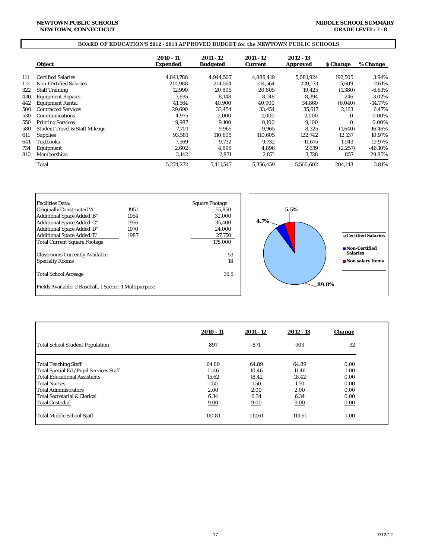#### **NEWTOWN, CONNECTICUT NEWTOWN PUBLIC SCHOOLS**

## **BOARD OF EDUCATION'S 2012 - 2013 APPROVED BUDGET for the NEWTOWN PUBLIC SCHOOLS**

|     | Object                                    | 2010 - 11<br><b>Expended</b> | 2011 - 12<br><b>Budgeted</b> | 2011 - 12<br><b>Current</b> | $2012 - 13$<br>Approved | <b><i>S</i></b> Change | % Change   |
|-----|-------------------------------------------|------------------------------|------------------------------|-----------------------------|-------------------------|------------------------|------------|
| 111 | <b>Certified Salaries</b>                 | 4.841.788                    | 4.944.507                    | 4.889.419                   | 5.081.924               | 192,505                | 3.94%      |
| 112 | <b>Non-Certified Salaries</b>             | 210.988                      | 214.564                      | 214.564                     | 220.173                 | 5.609                  | 2.61%      |
| 322 | <b>Staff Training</b>                     | 12.990                       | 20,805                       | 20.805                      | 19,425                  | (1,380)                | $-6.63%$   |
|     |                                           |                              |                              |                             |                         |                        |            |
| 430 | <b>Equipment Repairs</b>                  | 7.695                        | 8.148                        | 8.148                       | 8.394                   | 246                    | 3.02%      |
| 442 | <b>Equipment Rental</b>                   | 41.564                       | 40.900                       | 40.900                      | 34.860                  | (6,040)                | $-14.77%$  |
| 500 | <b>Contracted Services</b>                | 29.690                       | 33,454                       | 33.454                      | 35,617                  | 2,163                  | 6.47%      |
| 530 | Communications                            | 4.975                        | 2,000                        | 2.000                       | 2,000                   | $\Omega$               | 0.00%      |
| 550 | <b>Printing Services</b>                  | 9.987                        | 9,100                        | 9,100                       | 9,100                   | $\Omega$               | 0.00%      |
| 580 | <b>Student Travel &amp; Staff Mileage</b> | 7.701                        | 9,965                        | 9.965                       | 8.325                   | (1,640)                | $-16.46\%$ |
| 611 | <b>Supplies</b>                           | 93,581                       | 110,605                      | 110,605                     | 122,742                 | 12,137                 | 10.97%     |
| 641 | Textbooks                                 | 7.569                        | 9.732                        | 9.732                       | 11.675                  | 1.943                  | 19.97%     |
| 734 | Equipment                                 | 2.602                        | 4.896                        | 4.896                       | 2,639                   | (2,257)                | $-46.10\%$ |
| 810 | Memberships                               | 3,142                        | 2,871                        | 2,871                       | 3,728                   | 857                    | 29.85%     |
|     | Total                                     | 5,274,272                    | 5.411.547                    | 5.356.459                   | 5.560.602               | 204.143                | 3.81%      |



|                                        | $2010 - 11$ | 2011 - 12 | 2012 - 13 | <b>Change</b> |
|----------------------------------------|-------------|-----------|-----------|---------------|
| Total School Student Population        | 897         | 871       | 903       | 32            |
| <b>Total Teaching Staff</b>            | 64.89       | 64.89     | 64.89     | 0.00          |
| Total Special Ed./Pupil Services Staff | 11.46       | 10.46     | 11.46     | 1.00          |
| <b>Total Educational Assistants</b>    | 15.62       | 18.42     | 18.42     | 0.00          |
| <b>Total Nurses</b>                    | 1.50        | 1.50      | 1.50      | 0.00          |
| <b>Total Administrators</b>            | 2.00        | 2.00      | 2.00      | 0.00          |
| Total Secretarial & Clerical           | 6.34        | 6.34      | 6.34      | 0.00          |
| <b>Total Custodial</b>                 | 9.00        | 9.00      | 9.00      | 0.00          |
| <b>Total Middle School Staff</b>       | 110.81      | 112.61    | 113.61    | 1.00          |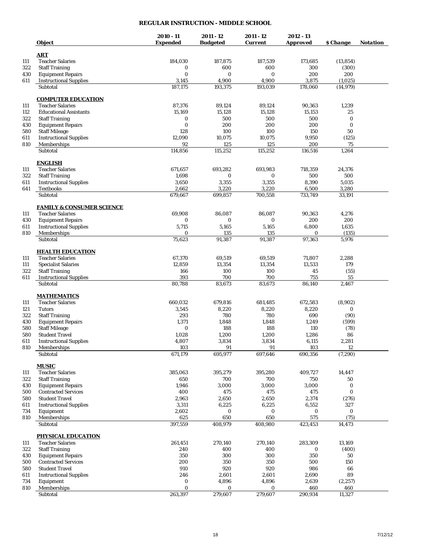## **REGULAR INSTRUCTION - MIDDLE SCHOOL**

|            | Object                                            | 2010 - 11<br><b>Expended</b> | 2011 - 12<br><b>Budgeted</b> | 2011 - 12<br><b>Current</b> | $2012 - 13$<br><b>Approved</b> | \$ Change            | <b>Notation</b> |
|------------|---------------------------------------------------|------------------------------|------------------------------|-----------------------------|--------------------------------|----------------------|-----------------|
|            |                                                   |                              |                              |                             |                                |                      |                 |
|            | <b>ART</b>                                        |                              |                              |                             |                                |                      |                 |
| 111        | <b>Teacher Salaries</b>                           | 184,030                      | 187,875                      | 187,539                     | 173,685                        | (13, 854)            |                 |
| 322        | <b>Staff Training</b>                             | $\bf{0}$                     | 600                          | 600                         | 300                            | (300)                |                 |
| 430        | <b>Equipment Repairs</b>                          | $\bf{0}$                     | 0                            | 0                           | 200                            | 200                  |                 |
| 611        | <b>Instructional Supplies</b><br>Subtotal         | 3,145<br>187,175             | 4,900<br>193,375             | 4,900<br>193,039            | 3,875<br>178,060               | (1,025)<br>(14, 979) |                 |
|            |                                                   |                              |                              |                             |                                |                      |                 |
|            | <b>COMPUTER EDUCATION</b>                         |                              |                              |                             |                                |                      |                 |
| 111        | <b>Teacher Salaries</b>                           | 87,376                       | 89,124                       | 89,124                      | 90,363                         | 1,239                |                 |
| 112        | <b>Educational Assistants</b>                     | 15,169                       | 15,128                       | 15,128                      | 15,153                         | 25                   |                 |
| 322        | <b>Staff Training</b>                             | 0                            | 500                          | 500                         | 500                            | 0                    |                 |
| 430        | <b>Equipment Repairs</b>                          | $\bf{0}$                     | 200                          | 200                         | 200                            | 0                    |                 |
| 580        | <b>Staff Mileage</b>                              | 128                          | 100                          | 100                         | 150                            | 50                   |                 |
| 611        | <b>Instructional Supplies</b>                     | 12,090                       | 10,075                       | 10,075                      | 9,950                          | (125)                |                 |
| 810        | Memberships                                       | 92                           | 125                          | 125                         | 200                            | 75                   |                 |
|            | Subtotal                                          | 114,856                      | 115,252                      | 115,252                     | 116,516                        | 1,264                |                 |
|            | <u>ENGLISH</u>                                    |                              |                              |                             |                                |                      |                 |
| 111        | <b>Teacher Salaries</b>                           | 671,657                      | 693,282                      | 693,983                     | 718,359                        | 24,376               |                 |
| 322        | <b>Staff Training</b>                             | 1,698                        | 0                            | 0                           | 500                            | 500                  |                 |
| 611        | <b>Instructional Supplies</b>                     | 3,650                        | 3,355                        | 3,355                       | 8,390                          | 5,035                |                 |
| 641        | Textbooks                                         | 2,662                        | 3,220                        | 3,220                       | 6,500                          | 3,280                |                 |
|            | Subtotal                                          | 679,667                      | 699,857                      | 700,558                     | 733,749                        | 33,191               |                 |
|            |                                                   |                              |                              |                             |                                |                      |                 |
|            | <b>FAMILY &amp; CONSUMER SCIENCE</b>              |                              |                              |                             |                                |                      |                 |
| 111        | <b>Teacher Salaries</b>                           | 69.908                       | 86,087                       | 86,087                      | 90,363                         | 4,276                |                 |
| 430        | <b>Equipment Repairs</b>                          | 0                            | 0                            | 0                           | 200                            | 200                  |                 |
| 611        | <b>Instructional Supplies</b>                     | 5,715                        | 5,165                        | 5,165                       | 6,800                          | 1,635                |                 |
| 810        | Memberships                                       | 0                            | 135                          | 135                         | 0                              | (135)                |                 |
|            | Subtotal                                          | 75,623                       | 91,387                       | 91,387                      | 97,363                         | 5,976                |                 |
|            | <b>HEALTH EDUCATION</b>                           |                              |                              |                             |                                |                      |                 |
| 111        | <b>Teacher Salaries</b>                           | 67,370                       | 69,519                       | 69,519                      | 71,807                         | 2,288                |                 |
| 111        | <b>Specialist Salaries</b>                        | 12,859                       | 13,354                       | 13,354                      | 13,533                         | 179                  |                 |
| 322        | <b>Staff Training</b>                             | 166                          | 100                          | 100                         | 45                             | (55)                 |                 |
| 611        | <b>Instructional Supplies</b>                     | 393                          | 700                          | 700                         | 755                            | 55                   |                 |
|            | Subtotal                                          | 80,788                       | 83,673                       | 83,673                      | 86,140                         | 2,467                |                 |
|            |                                                   |                              |                              |                             |                                |                      |                 |
|            | <b>MATHEMATICS</b>                                |                              |                              |                             |                                |                      |                 |
| 111        | <b>Teacher Salaries</b>                           | 660,032                      | 679,816                      | 681,485                     | 672,583                        | (8,902)              |                 |
| 121        | <b>Tutors</b>                                     | 3,545                        | 8,220                        | 8,220                       | 8,220                          | 0                    |                 |
| 322        | <b>Staff Training</b><br><b>Equipment Repairs</b> | 293                          | 780                          | 780                         | 690                            | (90)                 |                 |
| 430<br>580 | <b>Staff Mileage</b>                              | 1,371<br>$\bf{0}$            | 1,848<br>188                 | 1,848<br>188                | 1,249<br>110                   | (599)<br>(78)        |                 |
| 580        | <b>Student Travel</b>                             | 1,028                        | 1,200                        | 1,200                       | 1,286                          | 86                   |                 |
| 611        | <b>Instructional Supplies</b>                     | 4,807                        | 3,834                        | 3,834                       | 6,115                          | 2,281                |                 |
| 810        | Memberships                                       | 103                          | 91                           | 91                          | 103                            | 12                   |                 |
|            | Subtotal                                          | 671,179                      | 695,977                      | 697,646                     | 690,356                        | (7, 290)             |                 |
|            |                                                   |                              |                              |                             |                                |                      |                 |
|            | <b>MUSIC</b>                                      |                              |                              |                             |                                |                      |                 |
| 111        | <b>Teacher Salaries</b>                           | 385,063                      | 395,279                      | 395,280                     | 409,727                        | 14,447               |                 |
| 322        | <b>Staff Training</b>                             | 650                          | 700                          | 700                         | 750                            | 50                   |                 |
| 430        | <b>Equipment Repairs</b>                          | 1,946                        | 3,000                        | 3,000                       | 3,000                          | 0                    |                 |
| 500        | <b>Contracted Services</b>                        | 400                          | 475                          | 475                         | 475                            | 0                    |                 |
| 580        | <b>Student Travel</b>                             | 2,963                        | 2,650                        | 2,650                       | 2,374                          | (276)                |                 |
| 611        | <b>Instructional Supplies</b>                     | 3,311                        | 6,225                        | 6,225                       | 6,552                          | 327                  |                 |
| 734        | Equipment                                         | 2,602                        | 0                            | 0                           | 0                              | $\bf{0}$             |                 |
| 810        | Memberships                                       | 625                          | 650                          | 650                         | 575                            | (75)                 |                 |
|            | Subtotal                                          | 397,559                      | 408,979                      | 408,980                     | 423,453                        | 14,473               |                 |
|            | <b>PHYSICAL EDUCATION</b>                         |                              |                              |                             |                                |                      |                 |
| 111        | <b>Teacher Salaries</b>                           | 261,451                      | 270,140                      | 270,140                     | 283,309                        | 13,169               |                 |
| 322        | <b>Staff Training</b>                             | 240                          | 400                          | 400                         | 0                              | (400)                |                 |
| 430        | <b>Equipment Repairs</b>                          | 350                          | 300                          | 300                         | 350                            | 50                   |                 |
| 500        | <b>Contracted Services</b>                        | 200                          | 350                          | 350                         | 500                            | 150                  |                 |
| 580        | <b>Student Travel</b>                             | 910                          | 920                          | 920                         | 986                            | 66                   |                 |
| 611        | <b>Instructional Supplies</b>                     | 246                          | 2,601                        | 2,601                       | 2,690                          | 89                   |                 |
| 734        | Equipment                                         | 0                            | 4,896                        | 4,896                       | 2,639                          | (2,257)              |                 |
| 810        | Memberships                                       | $\bf{0}$                     | 0                            | 0                           | 460                            | 460                  |                 |
|            | Subtotal                                          | 263,397                      | 279,607                      | 279,607                     | 290,934                        | 11,327               |                 |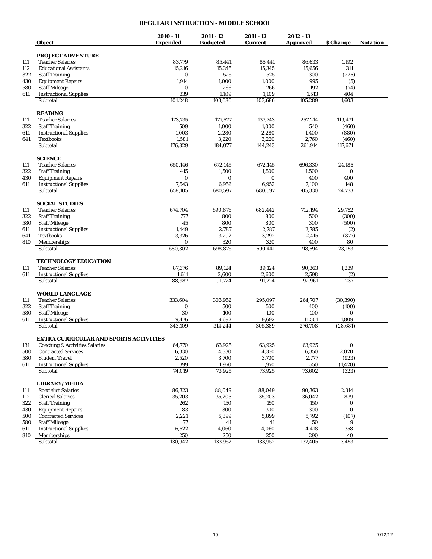## **REGULAR INSTRUCTION - MIDDLE SCHOOL**

|     |                                                        | $2010 - 11$     | $2011 - 12$     | 2011 - 12      | $2012 - 13$     |                         |                 |
|-----|--------------------------------------------------------|-----------------|-----------------|----------------|-----------------|-------------------------|-----------------|
|     | <b>Object</b>                                          | <b>Expended</b> | <b>Budgeted</b> | <b>Current</b> | <b>Approved</b> | <i><b>\$ Change</b></i> | <b>Notation</b> |
|     | <b>PROJECT ADVENTURE</b>                               |                 |                 |                |                 |                         |                 |
| 111 | <b>Teacher Salaries</b>                                | 83,779          | 85,441          | 85,441         | 86,633          | 1,192                   |                 |
| 112 | <b>Educational Assistants</b>                          | 15,216          | 15,345          | 15,345         | 15,656          | 311                     |                 |
| 322 | <b>Staff Training</b>                                  | 0               | 525             | 525            | 300             | (225)                   |                 |
| 430 | <b>Equipment Repairs</b>                               | 1,914           | 1,000           | 1,000          | 995             | (5)                     |                 |
| 580 | <b>Staff Mileage</b>                                   | $\bf{0}$        | 266             | 266            | 192             | (74)                    |                 |
| 611 | <b>Instructional Supplies</b>                          | 339             | 1,109           | 1,109          | 1,513           | 404                     |                 |
|     | Subtotal                                               | 101,248         | 103,686         | 103,686        | 105,289         | 1,603                   |                 |
|     | <b>READING</b>                                         |                 |                 |                |                 |                         |                 |
| 111 | <b>Teacher Salaries</b>                                | 173.735         | 177,577         | 137,743        | 257,214         | 119.471                 |                 |
| 322 | <b>Staff Training</b>                                  | 509             | 1,000           | 1,000          | 540             | (460)                   |                 |
| 611 | <b>Instructional Supplies</b>                          | 1,003           | 2,280           | 2,280          | 1,400           | (880)                   |                 |
| 641 | <b>Textbooks</b>                                       | 1,581           | 3,220           | 3,220          | 2,760           | (460)                   |                 |
|     | Subtotal                                               | 176,829         | 184,077         | 144,243        | 261,914         | 117,671                 |                 |
|     | <b>SCIENCE</b>                                         |                 |                 |                |                 |                         |                 |
| 111 | <b>Teacher Salaries</b>                                | 650,146         | 672,145         | 672,145        | 696,330         | 24,185                  |                 |
| 322 | <b>Staff Training</b>                                  | 415             | 1,500           | 1,500          | 1,500           | 0                       |                 |
| 430 | <b>Equipment Repairs</b>                               | 0               | 0               | 0              | 400             | 400                     |                 |
| 611 | <b>Instructional Supplies</b>                          | 7,543           | 6,952           | 6,952          | 7,100           | 148                     |                 |
|     | Subtotal                                               | 658.105         | 680,597         | 680.597        | 705,330         | 24,733                  |                 |
|     | <b>SOCIAL STUDIES</b>                                  |                 |                 |                |                 |                         |                 |
| 111 | <b>Teacher Salaries</b>                                | 674,704         | 690,876         | 682,442        | 712,194         | 29,752                  |                 |
| 322 | <b>Staff Training</b>                                  | 777             | 800             | 800            | 500             | (300)                   |                 |
| 580 | <b>Staff Mileage</b>                                   | 45              | 800             | 800            | 300             | (500)                   |                 |
| 611 | <b>Instructional Supplies</b>                          | 1,449           | 2,787           | 2,787          | 2,785           | (2)                     |                 |
| 641 | <b>Textbooks</b>                                       | 3,326           | 3,292           | 3,292          | 2,415           | (877)                   |                 |
| 810 | <b>Memberships</b><br>Subtotal                         | 0<br>680,302    | 320<br>698,875  | 320<br>690,441 | 400<br>718,594  | 80<br>28,153            |                 |
|     |                                                        |                 |                 |                |                 |                         |                 |
| 111 | <b>TECHNOLOGY EDUCATION</b><br><b>Teacher Salaries</b> | 87,376          | 89,124          | 89,124         | 90,363          | 1,239                   |                 |
| 611 |                                                        | 1,611           | 2,600           | 2,600          | 2,598           | (2)                     |                 |
|     | <b>Instructional Supplies</b><br>Subtotal              | 88,987          | 91,724          | 91,724         | 92,961          | 1,237                   |                 |
|     | <b>WORLD LANGUAGE</b>                                  |                 |                 |                |                 |                         |                 |
| 111 | <b>Teacher Salaries</b>                                | 333,604         | 303,952         | 295,097        | 264,707         | (30, 390)               |                 |
| 322 | <b>Staff Training</b>                                  | 0               | 500             | 500            | 400             | (100)                   |                 |
| 580 | <b>Staff Mileage</b>                                   | 30              | 100             | 100            | 100             | 0                       |                 |
| 611 | <b>Instructional Supplies</b>                          | 9,476           | 9,692           | 9,692          | 11,501          | 1,809                   |                 |
|     | Subtotal                                               | 343,109         | 314,244         | 305,389        | 276,708         | (28, 681)               |                 |
|     | <b>EXTRA CURRICULAR AND SPORTS ACTIVITIES</b>          |                 |                 |                |                 |                         |                 |
| 131 | <b>Coaching &amp; Activities Salaries</b>              | 64,770          | 63,925          | 63.925         | 63,925          | $\bf{0}$                |                 |
| 500 | <b>Contracted Services</b>                             | 6,330           | 4,330           | 4,330          | 6,350           | 2,020                   |                 |
| 580 | <b>Student Travel</b>                                  | 2,520           | 3,700           | 3,700          | 2,777           | (923)                   |                 |
| 611 | <b>Instructional Supplies</b>                          | 399             | 1,970           | 1,970          | 550             | (1, 420)                |                 |
|     | Subtotal                                               | 74,019          | 73,925          | 73,925         | 73,602          | (323)                   |                 |
|     | <b>LIBRARY/MEDIA</b>                                   |                 |                 |                |                 |                         |                 |
| 111 | <b>Specialist Salaries</b>                             | 86,323          | 88,049          | 88,049         | 90,363          | 2,314                   |                 |
| 112 | <b>Clerical Salaries</b>                               | 35,203          | 35,203          | 35,203         | 36,042          | 839                     |                 |
| 322 | <b>Staff Training</b>                                  | 262             | 150             | 150            | 150             | 0                       |                 |
| 430 | <b>Equipment Repairs</b>                               | 83              | 300             | 300            | 300             | $\boldsymbol{0}$        |                 |
| 500 | <b>Contracted Services</b>                             | 2,221           | 5,899           | 5,899          | 5,792           | (107)                   |                 |
| 580 | <b>Staff Mileage</b>                                   | 77              | 41              | 41             | 50              | 9                       |                 |
| 611 | <b>Instructional Supplies</b>                          | 6,522           | 4,060           | 4,060          | 4,418           | 358                     |                 |
| 810 | Memberships                                            | 250             | 250             | 250            | 290             | 40                      |                 |
|     | Subtotal                                               | 130,942         | 133,952         | 133,952        | 137,405         | 3,453                   |                 |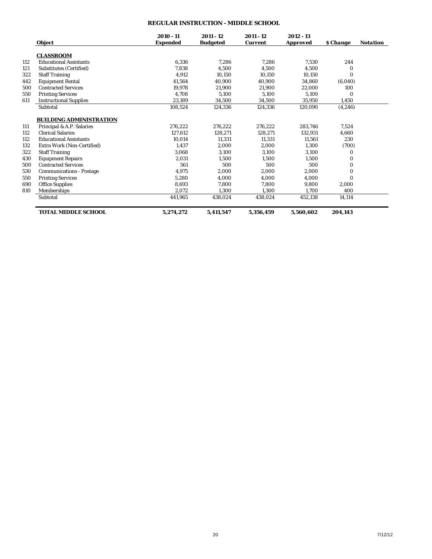# **REGULAR INSTRUCTION - MIDDLE SCHOOL**

|     | <b>Object</b>                   | 2010 - 11<br><b>Expended</b> | 2011 - 12<br><b>Budgeted</b> | 2011 - 12<br><b>Current</b> | 2012 - 13<br><b>Approved</b> | <b><i><u>S</u></i></b> Change | <b>Notation</b> |
|-----|---------------------------------|------------------------------|------------------------------|-----------------------------|------------------------------|-------------------------------|-----------------|
|     | <b>CLASSROOM</b>                |                              |                              |                             |                              |                               |                 |
| 112 | <b>Educational Assistants</b>   | 6,336                        | 7,286                        | 7,286                       | 7,530                        | 244                           |                 |
| 121 | <b>Substitutes (Certified)</b>  | 7.838                        | 4,500                        | 4.500                       | 4,500                        | $\bf{0}$                      |                 |
| 322 | <b>Staff Training</b>           | 4.912                        | 10,150                       | 10.150                      | 10,150                       | $\Omega$                      |                 |
| 442 | <b>Equipment Rental</b>         | 41.564                       | 40,900                       | 40,900                      | 34,860                       | (6,040)                       |                 |
| 500 | <b>Contracted Services</b>      | 19.978                       | 21.900                       | 21.900                      | 22.000                       | 100                           |                 |
| 550 | <b>Printing Services</b>        | 4.708                        | 5,100                        | 5.100                       | 5,100                        | $\Omega$                      |                 |
| 611 | <b>Instructional Supplies</b>   | 23,189                       | 34,500                       | 34,500                      | 35,950                       | 1,450                         |                 |
|     | Subtotal                        | 108,524                      | 124,336                      | 124,336                     | 120,090                      | (4,246)                       |                 |
|     | <b>BUILDING ADMINISTRATION</b>  |                              |                              |                             |                              |                               |                 |
| 111 | Principal & A.P. Salaries       | 276.222                      | 276,222                      | 276,222                     | 283.746                      | 7,524                         |                 |
| 112 | <b>Clerical Salaries</b>        | 127.612                      | 128,271                      | 128.271                     | 132.931                      | 4,660                         |                 |
| 112 | <b>Educational Assistants</b>   | 10.014                       | 11.331                       | 11.331                      | 11.561                       | 230                           |                 |
| 132 | Extra Work (Non-Certified)      | 1.437                        | 2,000                        | 2.000                       | 1,300                        | (700)                         |                 |
| 322 | <b>Staff Training</b>           | 3.068                        | 3,100                        | 3.100                       | 3,100                        | 0                             |                 |
| 430 | <b>Equipment Repairs</b>        | 2,031                        | 1,500                        | 1.500                       | 1,500                        | 0                             |                 |
| 500 | <b>Contracted Services</b>      | 561                          | 500                          | 500                         | 500                          | $\Omega$                      |                 |
| 530 | <b>Communications - Postage</b> | 4.975                        | 2,000                        | 2.000                       | 2.000                        | $\bf{0}$                      |                 |
| 550 | <b>Printing Services</b>        | 5,280                        | 4,000                        | 4,000                       | 4,000                        | $\Omega$                      |                 |
| 690 | <b>Office Supplies</b>          | 8.693                        | 7,800                        | 7.800                       | 9,800                        | 2,000                         |                 |
| 810 | Memberships                     | 2.072                        | 1.300                        | 1.300                       | 1,700                        | 400                           |                 |
|     | Subtotal                        | 441,965                      | 438,024                      | 438,024                     | 452,138                      | 14,114                        |                 |
|     | <b>TOTAL MIDDLE SCHOOL</b>      | 5,274,272                    | 5,411,547                    | 5,356,459                   | 5.560.602                    | 204,143                       |                 |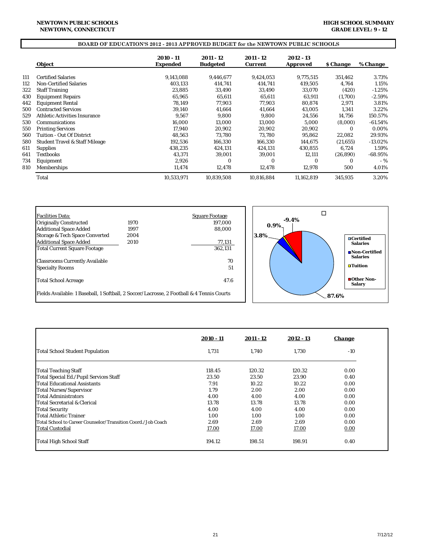## **BOARD OF EDUCATION'S 2012 - 2013 APPROVED BUDGET for the NEWTOWN PUBLIC SCHOOLS**

|     | <b>Object</b>                             | 2010 - 11<br>Expended | 2011 - 12<br><b>Budgeted</b> | 2011 - 12<br><b>Current</b> | 2012 - 13<br><b>Approved</b> | <i><b>S</b></i> Change | % Change   |
|-----|-------------------------------------------|-----------------------|------------------------------|-----------------------------|------------------------------|------------------------|------------|
|     |                                           |                       |                              |                             |                              |                        |            |
| 111 | <b>Certified Salaries</b>                 | 9,143,088             | 9,446,677                    | 9,424,053                   | 9.775.515                    | 351,462                | 3.73%      |
| 112 | <b>Non-Certified Salaries</b>             | 403.133               | 414,741                      | 414,741                     | 419,505                      | 4,764                  | 1.15%      |
| 322 | <b>Staff Training</b>                     | 23,885                | 33,490                       | 33,490                      | 33,070                       | (420)                  | $-1.25%$   |
| 430 | <b>Equipment Repairs</b>                  | 65.965                | 65,611                       | 65,611                      | 63,911                       | (1,700)                | $-2.59%$   |
| 442 | <b>Equipment Rental</b>                   | 78,149                | 77,903                       | 77.903                      | 80,874                       | 2,971                  | 3.81%      |
| 500 | <b>Contracted Services</b>                | 39,140                | 41,664                       | 41,664                      | 43,005                       | 1,341                  | 3.22%      |
| 529 | <b>Athletic Activities Insurance</b>      | 9.567                 | 9,800                        | 9,800                       | 24,556                       | 14,756                 | 150.57%    |
| 530 | Communications                            | 16.000                | 13.000                       | 13,000                      | 5,000                        | (8,000)                | $-61.54%$  |
| 550 | <b>Printing Services</b>                  | 17.940                | 20,902                       | 20,902                      | 20,902                       | 0                      | 0.00%      |
| 560 | Tuition - Out Of District                 | 48.563                | 73.780                       | 73.780                      | 95,862                       | 22,082                 | 29.93%     |
| 580 | <b>Student Travel &amp; Staff Mileage</b> | 192,536               | 166,330                      | 166,330                     | 144,675                      | (21, 655)              | $-13.02\%$ |
| 611 | <b>Supplies</b>                           | 438,235               | 424,131                      | 424,131                     | 430,855                      | 6,724                  | 1.59%      |
| 641 | <b>Textbooks</b>                          | 43,371                | 39,001                       | 39,001                      | 12,111                       | (26, 890)              | $-68.95\%$ |
| 734 | Equipment                                 | 2.926                 | $\bf{0}$                     | 0                           | $\bf{0}$                     | 0                      | $-$ %      |
| 810 | <b>Memberships</b>                        | 11,474                | 12,478                       | 12,478                      | 12,978                       | 500                    | 4.01%      |
|     | Total                                     | 10,533,971            | 10,839,508                   | 10,816,884                  | 11,162,819                   | 345,935                | 3.20%      |



|                                                              | $2010 - 11$ | $2011 - 12$ | $2012 - 13$ | <b>Change</b> |
|--------------------------------------------------------------|-------------|-------------|-------------|---------------|
| <b>Total School Student Population</b>                       | 1,731       | 1.740       | 1.730       | $-10$         |
| <b>Total Teaching Staff</b>                                  | 118.45      | 120.32      | 120.32      | 0.00          |
| Total Special Ed./Pupil Services Staff                       | 23.50       | 23.50       | 23.90       | 0.40          |
| Total Educational Assistants                                 | 7.91        | 10.22       | 10.22       | 0.00          |
| <b>Total Nurses/Supervisor</b>                               | 1.79        | 2.00        | 2.00        | 0.00          |
| Total Administrators                                         | 4.00        | 4.00        | 4.00        | 0.00          |
| Total Secretarial & Clerical                                 | 13.78       | 13.78       | 13.78       | 0.00          |
| <b>Total Security</b>                                        | 4.00        | 4.00        | 4.00        | 0.00          |
| lTotal Athletic Trainer                                      | 1.00        | 1.00        | 1.00        | 0.00          |
| Total School to Career Counselor/Transition Coord./Job Coach | 2.69        | 2.69        | 2.69        | 0.00          |
| Total Custodial                                              | 17.00       | 17.00       | 17.00       | 0.00          |
| Total High School Staff                                      | 194.12      | 198.51      | 198.91      | 0.40          |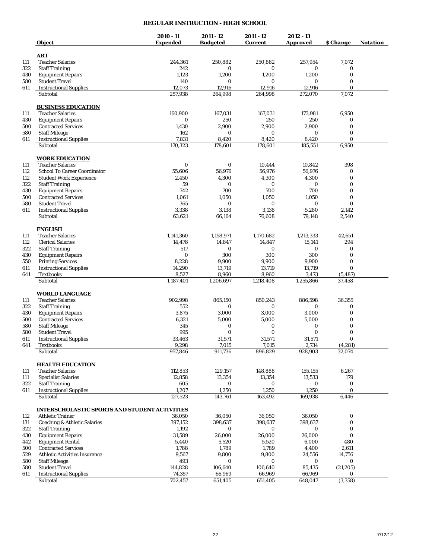## **REGULAR INSTRUCTION - HIGH SCHOOL**

|            | Object                                               | 2010 - 11<br><b>Expended</b> | 2011 - 12<br><b>Budgeted</b> | 2011 - 12<br><b>Current</b> | 2012 - 13<br><b>Approved</b> | \$ Change         | Notation |
|------------|------------------------------------------------------|------------------------------|------------------------------|-----------------------------|------------------------------|-------------------|----------|
|            |                                                      |                              |                              |                             |                              |                   |          |
| 111        | <b>ART</b><br><b>Teacher Salaries</b>                | 244,361                      | 250,882                      | 250,882                     | 257,954                      | 7,072             |          |
| 322        | <b>Staff Training</b>                                | 242                          | 0                            | 0                           | 0                            | 0                 |          |
| 430        | <b>Equipment Repairs</b>                             | 1,123                        | 1,200                        | 1,200                       | 1,200                        | $\bf{0}$          |          |
| 580        | <b>Student Travel</b>                                | 140                          | 0                            | 0                           | 0                            | 0                 |          |
| 611        | <b>Instructional Supplies</b>                        | 12,073                       | 12,916                       | 12,916                      | 12,916                       | $\mathbf{0}$      |          |
|            | Subtotal                                             | 257,938                      | 264,998                      | 264,998                     | 272,070                      | 7,072             |          |
|            | <b>BUSINESS EDUCATION</b>                            |                              |                              |                             |                              |                   |          |
| 111        | <b>Teacher Salaries</b>                              | 160,900                      | 167,031                      | 167,031                     | 173,981                      | 6,950             |          |
| 430        | <b>Equipment Repairs</b>                             | 0                            | 250                          | 250                         | 250                          | 0                 |          |
| 500        | <b>Contracted Services</b>                           | 1,430                        | 2,900                        | 2,900                       | 2,900                        | $\bf{0}$          |          |
| 580        | <b>Staff Mileage</b>                                 | 162                          | $\bf{0}$                     | 0                           | $\bf{0}$                     | $\bf{0}$          |          |
| 611        | <b>Instructional Supplies</b>                        | 7,831                        | 8,420                        | 8,420                       | 8,420                        | $\mathbf{0}$      |          |
|            | Subtotal                                             | 170,323                      | 178,601                      | 178,601                     | 185,551                      | 6,950             |          |
|            | <b>WORK EDUCATION</b>                                |                              |                              |                             |                              |                   |          |
| 111        | <b>Teacher Salaries</b>                              | $\bf{0}$                     | 0                            | 10,444                      | 10,842                       | 398               |          |
| 112        | <b>School To Career Coordinator</b>                  | 55,606                       | 56,976                       | 56,976                      | 56,976                       | 0                 |          |
| 112        | <b>Student Work Experience</b>                       | 2,450                        | 4,300                        | 4,300                       | 4,300                        | $\bf{0}$          |          |
| 322        | <b>Staff Training</b><br><b>Equipment Repairs</b>    | 59<br>742                    | 0<br>700                     | 0<br>700                    | $\bf{0}$<br>700              | 0<br>$\mathbf{0}$ |          |
| 430<br>500 | <b>Contracted Services</b>                           | 1,061                        | 1,050                        | 1,050                       | 1,050                        | $\bf{0}$          |          |
| 580        | <b>Student Travel</b>                                | 365                          | 0                            | 0                           | 0                            | $\mathbf{0}$      |          |
| 611        | <b>Instructional Supplies</b>                        | 3,338                        | 3,138                        | 3,138                       | 5,280                        | 2,142             |          |
|            | Subtotal                                             | 63,621                       | 66,164                       | 76,608                      | 79,148                       | 2,540             |          |
|            |                                                      |                              |                              |                             |                              |                   |          |
|            | <b>ENGLISH</b>                                       |                              |                              |                             |                              |                   |          |
| 111        | <b>Teacher Salaries</b>                              | 1,141,360                    | 1,158,971                    | 1,170,682                   | 1,213,333                    | 42,651            |          |
| 112        | <b>Clerical Salaries</b>                             | 14,478                       | 14,847                       | 14,847                      | 15,141                       | 294               |          |
| 322        | <b>Staff Training</b>                                | 517<br>$\bf{0}$              | 0<br>300                     | 0<br>300                    | 0<br>300                     | 0<br>0            |          |
| 430<br>550 | <b>Equipment Repairs</b><br><b>Printing Services</b> | 8,228                        | 9,900                        | 9,900                       | 9,900                        | 0                 |          |
| 611        | <b>Instructional Supplies</b>                        | 14,290                       | 13,719                       | 13,719                      | 13,719                       | $\bf{0}$          |          |
| 641        | <b>Textbooks</b>                                     | 8,527                        | 8,960                        | 8,960                       | 3,473                        | (5, 487)          |          |
|            | Subtotal                                             | 1,187,401                    | 1,206,697                    | 1,218,408                   | 1,255,866                    | 37,458            |          |
|            | <b>WORLD LANGUAGE</b>                                |                              |                              |                             |                              |                   |          |
| 111        | <b>Teacher Salaries</b>                              | 902,998                      | 865,150                      | 850,243                     | 886,598                      | 36,355            |          |
| 322        | <b>Staff Training</b>                                | 552                          | 0                            | 0                           | 0                            | 0                 |          |
| 430        | <b>Equipment Repairs</b>                             | 3,875                        | 3,000                        | 3,000                       | 3,000                        | $\bf{0}$          |          |
| 500        | <b>Contracted Services</b>                           | 6,321                        | 5,000                        | 5,000                       | 5,000                        | $\bf{0}$          |          |
| 580        | <b>Staff Mileage</b>                                 | 345                          | 0                            | 0                           | 0                            | $\bf{0}$          |          |
| 580        | <b>Student Travel</b>                                | 995                          | $\bf{0}$                     | $\bf{0}$                    | 0                            | $\bf{0}$          |          |
| 611        | <b>Instructional Supplies</b>                        | 33,463                       | 31,571                       | 31,571                      | 31,571                       | $\bf{0}$          |          |
| 641        | <b>Textbooks</b>                                     | 9,298                        | 7,015                        | 7,015                       | 2,734                        | (4,281)           |          |
|            | Subtotal                                             | 957,846                      | 911,736                      | 896,829                     | 928,903                      | 32,074            |          |
|            | <b>HEALTH EDUCATION</b>                              |                              |                              |                             |                              |                   |          |
| 111        | <b>Teacher Salaries</b>                              | 112,853                      | 129,157                      | 148,888                     | 155,155                      | 6,267             |          |
| 111        | <b>Specialist Salaries</b>                           | 12,858                       | 13,354                       | 13,354                      | 13,533                       | 179               |          |
| 322        | <b>Staff Training</b>                                | 605                          | 0                            | 0                           | 0                            | $\boldsymbol{0}$  |          |
| 611        | <b>Instructional Supplies</b>                        | 1,207                        | 1,250                        | 1,250                       | 1,250                        | $\bf{0}$          |          |
|            | Subtotal                                             | 127,523                      | 143,761                      | 163,492                     | 169,938                      | 6,446             |          |
|            | <b>INTERSCHOLASTIC SPORTS AND STUDENT ACTIVITIES</b> |                              |                              |                             |                              |                   |          |
| 112        | <b>Athletic Trainer</b>                              | 36,050                       | 36,050                       | 36,050                      | 36,050                       | 0                 |          |
| 131        | <b>Coaching &amp; Athletic Salaries</b>              | 397,152                      | 398,637                      | 398,637                     | 398,637                      | $\bf{0}$          |          |
| 322        | <b>Staff Training</b>                                | 1,192                        | 0                            | 0                           | 0                            | 0                 |          |
| 430        | <b>Equipment Repairs</b>                             | 31,589                       | 26,000                       | 26,000                      | 26,000                       | $\bf{0}$          |          |
| 442        | <b>Equipment Rental</b>                              | 5,440                        | 5,520                        | 5,520                       | 6,000                        | 480               |          |
| 500        | <b>Contracted Services</b>                           | 1,788                        | 1,789                        | 1,789                       | 4,400                        | 2,611             |          |
| 529        | <b>Athletic Activities Insurance</b>                 | 9,567                        | 9,800                        | 9,800                       | 24,556                       | 14,756            |          |
| 580<br>580 | <b>Staff Mileage</b><br><b>Student Travel</b>        | 493<br>144,828               | 0<br>106,640                 | 0<br>106,640                | 0<br>85,435                  | 0<br>(21, 205)    |          |
| 611        | <b>Instructional Supplies</b>                        | 74,357                       | 66,969                       | 66,969                      | 66,969                       | 0                 |          |
|            | Subtotal                                             | 702,457                      | 651,405                      | 651,405                     | 648,047                      | (3,358)           |          |
|            |                                                      |                              |                              |                             |                              |                   |          |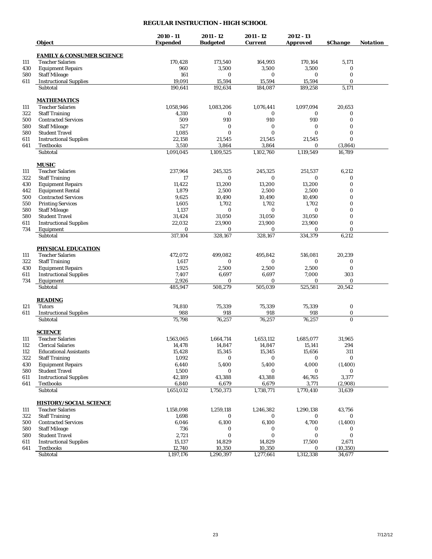# **REGULAR INSTRUCTION - HIGH SCHOOL**

|            | Object                                                    | $2010 - 11$<br><b>Expended</b> | $2011 - 12$<br><b>Budgeted</b> | 2011 - 12<br><b>Current</b> | 2012 - 13<br><b>Approved</b> | <b><i><u>SChange</u></i></b> | <b>Notation</b> |
|------------|-----------------------------------------------------------|--------------------------------|--------------------------------|-----------------------------|------------------------------|------------------------------|-----------------|
|            | <b>FAMILY &amp; CONSUMER SCIENCE</b>                      |                                |                                |                             |                              |                              |                 |
| 111        | <b>Teacher Salaries</b>                                   | 170,428                        | 173,540                        | 164,993                     | 170,164                      | 5,171                        |                 |
| 430        | <b>Equipment Repairs</b>                                  | 960                            | 3,500                          | 3,500                       | 3,500                        | $\bf{0}$                     |                 |
| 580        | <b>Staff Mileage</b>                                      | 161                            | 0                              | 0                           | 0                            | $\bf{0}$                     |                 |
| 611        | <b>Instructional Supplies</b>                             | 19,091                         | 15,594                         | 15,594                      | 15,594                       | $\bf{0}$                     |                 |
|            | Subtotal                                                  | 190,641                        | 192,634                        | 184,087                     | 189,258                      | 5,171                        |                 |
|            | <b>MATHEMATICS</b>                                        |                                |                                |                             |                              |                              |                 |
| 111        | <b>Teacher Salaries</b>                                   | 1,058,946                      | 1,083,206                      | 1,076,441                   | 1,097,094                    | 20,653                       |                 |
| 322        | <b>Staff Training</b>                                     | 4,310                          | 0                              | $\bf{0}$                    | 0                            | 0                            |                 |
| 500        | <b>Contracted Services</b>                                | 509                            | 910                            | 910                         | 910                          | $\bf{0}$                     |                 |
| 580        | <b>Staff Mileage</b>                                      | 527                            | 0                              | 0                           | $\bf{0}$                     | $\bf{0}$                     |                 |
| 580        | <b>Student Travel</b>                                     | 1,085                          | $\bf{0}$                       | $\bf{0}$                    | $\bf{0}$                     | $\bf{0}$                     |                 |
| 611        | <b>Instructional Supplies</b>                             | 22,158                         | 21,545                         | 21,545                      | 21,545                       | $\bf{0}$                     |                 |
| 641        | <b>Textbooks</b>                                          | 3,510                          | 3,864                          | 3,864                       | $\bf{0}$                     | (3,864)                      |                 |
|            | Subtotal                                                  | 1,091,045                      | 1,109,525                      | 1,102,760                   | 1,119,549                    | 16,789                       |                 |
|            | <b>MUSIC</b>                                              |                                |                                |                             |                              |                              |                 |
| 111        | <b>Teacher Salaries</b>                                   | 237,964                        | 245,325                        | 245,325                     | 251,537                      | 6,212                        |                 |
| 322        | <b>Staff Training</b>                                     | 17                             | 0                              | $\bf{0}$                    | $\mathbf{0}$                 | 0                            |                 |
| 430        | <b>Equipment Repairs</b>                                  | 11,422                         | 13,200                         | 13,200                      | 13,200                       | $\bf{0}$                     |                 |
| 442        | <b>Equipment Rental</b>                                   | 1,879                          | 2,500                          | 2,500                       | 2,500                        | $\bf{0}$                     |                 |
| 500        | <b>Contracted Services</b>                                | 9,625                          | 10,490                         | 10,490                      | 10,490                       | $\bf{0}$                     |                 |
| 550        | <b>Printing Services</b>                                  | 1,605                          | 1,702                          | 1,702                       | 1,702                        | $\bf{0}$                     |                 |
| 580        | <b>Staff Mileage</b>                                      | 1,137                          | 0                              | $\bf{0}$                    | $\bf{0}$                     | $\bf{0}$                     |                 |
| 580        | <b>Student Travel</b>                                     | 31,424                         | 31,050                         | 31,050                      | 31,050                       | $\bf{0}$                     |                 |
| 611        | <b>Instructional Supplies</b>                             | 22,032                         | 23,900                         | 23,900                      | 23,900                       | $\bf{0}$                     |                 |
| 734        | Equipment<br>Subtotal                                     | 0<br>317,104                   | 0<br>328,167                   | 0<br>328,167                | 0<br>334,379                 | $\bf{0}$<br>6,212            |                 |
|            |                                                           |                                |                                |                             |                              |                              |                 |
|            | <b>PHYSICAL EDUCATION</b>                                 |                                |                                |                             |                              |                              |                 |
| 111        | <b>Teacher Salaries</b>                                   | 472,072                        | 499,082                        | 495,842                     | 516,081                      | 20,239                       |                 |
| 322        | <b>Staff Training</b>                                     | 1,617<br>1,925                 | $\bf{0}$<br>2,500              | $\bf{0}$<br>2,500           | $\bf{0}$<br>2,500            | 0<br>$\bf{0}$                |                 |
| 430<br>611 | <b>Equipment Repairs</b><br><b>Instructional Supplies</b> | 7,407                          | 6,697                          | 6,697                       | 7,000                        | 303                          |                 |
| 734        | Equipment                                                 | 2,926                          | 0                              | 0                           | $\bf{0}$                     | 0                            |                 |
|            | Subtotal                                                  | 485,947                        | 508,279                        | 505,039                     | 525,581                      | 20,542                       |                 |
|            | <b>READING</b>                                            |                                |                                |                             |                              |                              |                 |
| 121        | <b>Tutors</b>                                             | 74,810                         | 75,339                         | 75,339                      | 75,339                       | $\bf{0}$                     |                 |
| 611        | <b>Instructional Supplies</b>                             | 988                            | 918                            | 918                         | 918                          | $\bf{0}$                     |                 |
|            | Subtotal                                                  | 75,798                         | 76,257                         | 76,257                      | 76,257                       | $\mathbf{0}$                 |                 |
|            |                                                           |                                |                                |                             |                              |                              |                 |
| 111        | <b>SCIENCE</b><br><b>Teacher Salaries</b>                 | 1,563,065                      | 1,664,714                      | 1,653,112                   | 1,685,077                    | 31,965                       |                 |
| 112        | <b>Clerical Salaries</b>                                  | 14,478                         | 14,847                         | 14,847                      | 15,141                       | 294                          |                 |
| 112        | <b>Educational Assistants</b>                             | 15,428                         | 15,345                         | 15,345                      | 15,656                       | 311                          |                 |
| 322        | <b>Staff Training</b>                                     | 1,092                          | 0                              | 0                           | 0                            | $\bf{0}$                     |                 |
| 430        | <b>Equipment Repairs</b>                                  | 6,440                          | 5,400                          | 5,400                       | 4,000                        | (1, 400)                     |                 |
| 580        | <b>Student Travel</b>                                     | 1,500                          | 0                              | 0                           | 0                            | 0                            |                 |
| 611        | <b>Instructional Supplies</b>                             | 42,189                         | 43,388                         | 43,388                      | 46,765                       | 3,377                        |                 |
| 641        | <b>Textbooks</b>                                          | 6,840                          | 6,679                          | 6,679                       | 3,771                        | (2,908)                      |                 |
|            | Subtotal                                                  | 1,651,032                      | 1,750,373                      | 1,738,771                   | 1,770,410                    | 31,639                       |                 |
|            | <b>HISTORY/SOCIAL SCIENCE</b>                             |                                |                                |                             |                              |                              |                 |
| 111        | <b>Teacher Salaries</b>                                   | 1,158,098                      | 1,259,118                      | 1,246,382                   | 1,290,138                    | 43,756                       |                 |
| 322        | <b>Staff Training</b>                                     | 1,698                          | 0                              | 0                           | 0                            | 0                            |                 |
| 500        | <b>Contracted Services</b>                                | 6,046                          | 6,100                          | 6,100                       | 4,700                        | (1, 400)                     |                 |
| 580        | <b>Staff Mileage</b>                                      | 736                            | 0                              | 0                           | 0                            | 0                            |                 |
| 580        | <b>Student Travel</b>                                     | 2,721                          | 0                              | $\bf{0}$                    | $\bf{0}$                     | 0                            |                 |
| 611        | <b>Instructional Supplies</b>                             | 15,137                         | 14,829                         | 14,829                      | 17,500                       | 2,671                        |                 |
| 641        | Textbooks                                                 | 12,740                         | 10,350                         | 10,350                      | 0                            | (10, 350)                    |                 |
|            | Subtotal                                                  | 1,197,176                      | 1,290,397                      | 1,277,661                   | 1,312,338                    | 34,677                       |                 |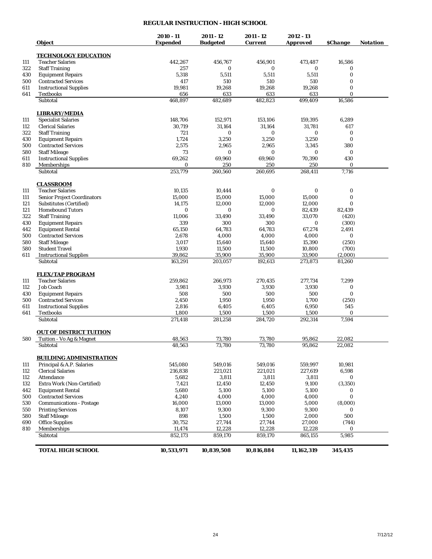## **REGULAR INSTRUCTION - HIGH SCHOOL**

|     | <b>Object</b>                                              | $2010 - 11$<br>Expended | 2011 - 12<br><b>Budgeted</b> | 2011 - 12<br><b>Current</b> | $2012 - 13$<br><b>Approved</b> | <b><i><u>SChange</u></i></b> | <b>Notation</b> |
|-----|------------------------------------------------------------|-------------------------|------------------------------|-----------------------------|--------------------------------|------------------------------|-----------------|
|     | <b>TECHNOLOGY EDUCATION</b>                                |                         |                              |                             |                                |                              |                 |
| 111 | <b>Teacher Salaries</b>                                    | 442,267                 | 456,767                      | 456,901                     | 473,487                        | 16,586                       |                 |
| 322 | <b>Staff Training</b>                                      | 257                     | 0                            | 0                           | $\bf{0}$                       | 0                            |                 |
| 430 | <b>Equipment Repairs</b>                                   | 5,318                   | 5,511                        | 5,511                       | 5,511                          | 0                            |                 |
| 500 | <b>Contracted Services</b>                                 | 417                     | 510                          | 510                         | 510                            | 0                            |                 |
| 611 | <b>Instructional Supplies</b>                              | 19,981                  | 19,268                       | 19,268                      | 19,268                         | $\bf{0}$                     |                 |
| 641 | <b>Textbooks</b>                                           | 656                     | 633                          | 633                         | 633                            | $\Omega$                     |                 |
|     | Subtotal                                                   | 468,897                 | 482,689                      | 482,823                     | 499,409                        | 16,586                       |                 |
|     | <b>LIBRARY/MEDIA</b>                                       |                         |                              |                             |                                |                              |                 |
| 111 | <b>Specialist Salaries</b>                                 | 148,706                 | 152,971                      | 153,106                     | 159,395                        | 6,289                        |                 |
| 112 | <b>Clerical Salaries</b>                                   | 30,719                  | 31,164                       | 31,164                      | 31,781                         | 617                          |                 |
| 322 | <b>Staff Training</b>                                      | 721                     | 0                            | 0                           | $\bf{0}$                       | 0                            |                 |
| 430 | <b>Equipment Repairs</b>                                   | 1,724                   | 3,250                        | 3,250                       | 3,250                          | 0                            |                 |
| 500 | <b>Contracted Services</b>                                 | 2,575                   | 2,965                        | 2,965                       | 3,345                          | 380                          |                 |
| 580 | <b>Staff Mileage</b>                                       | 73                      | $\bf{0}$                     | 0                           | $\bf{0}$                       | $\bf{0}$                     |                 |
| 611 | <b>Instructional Supplies</b>                              | 69,262                  | 69,960                       | 69,960                      | 70,390                         | 430                          |                 |
| 810 | Memberships                                                | 0                       | 250                          | 250                         | 250                            | 0                            |                 |
|     | Subtotal                                                   | 253,779                 | 260,560                      | 260.695                     | 268,411                        | 7,716                        |                 |
|     | <b>CLASSROOM</b>                                           |                         |                              |                             |                                |                              |                 |
| 111 | <b>Teacher Salaries</b>                                    | 10,135                  | 10,444                       | 0                           | 0                              | $\boldsymbol{0}$             |                 |
| 111 | <b>Senior Project Coordinators</b>                         | 15,000                  | 15,000                       | 15,000                      | 15,000                         | $\bf{0}$                     |                 |
| 121 | Substitutes (Certified)                                    | 14,175                  | 12,000                       | 12,000                      | 12,000                         | 0                            |                 |
| 121 | <b>Homebound Tutors</b>                                    | $\bf{0}$                | $\bf{0}$                     | 0                           | 82,439                         | 82.439                       |                 |
| 322 | <b>Staff Training</b>                                      | 11,006                  | 33,490                       | 33,490                      | 33,070                         | (420)                        |                 |
| 430 | <b>Equipment Repairs</b>                                   | 339                     | 300                          | 300                         | $\bf{0}$                       | (300)                        |                 |
| 442 | <b>Equipment Rental</b>                                    | 65.150                  | 64,783                       | 64,783                      | 67,274                         | 2,491                        |                 |
| 500 | <b>Contracted Services</b>                                 | 2,678                   | 4,000                        | 4,000                       | 4,000                          | 0                            |                 |
| 580 | <b>Staff Mileage</b>                                       | 3,017                   | 15,640                       | 15,640                      | 15,390                         | (250)                        |                 |
| 580 | <b>Student Travel</b>                                      | 1,930                   | 11,500                       | 11,500                      | 10,800                         | (700)                        |                 |
| 611 | <b>Instructional Supplies</b>                              | 39,862                  | 35,900                       | 35,900                      | 33,900                         | (2,000)                      |                 |
|     | Subtotal                                                   | 163,291                 | 203,057                      | 192,613                     | 273,873                        | 81,260                       |                 |
|     | <b>FLEX/TAP PROGRAM</b>                                    |                         |                              |                             |                                |                              |                 |
| 111 | <b>Teacher Salaries</b>                                    | 259,862                 | 266,973                      | 270,435                     | 277,734                        | 7,299                        |                 |
| 112 | <b>Job Coach</b>                                           | 3,981                   | 3,930                        | 3,930                       | 3,930                          | 0                            |                 |
| 430 | <b>Equipment Repairs</b>                                   | 508                     | 500                          | 500                         | 500                            | 0                            |                 |
| 500 | <b>Contracted Services</b>                                 | 2,450                   | 1,950                        | 1,950                       | 1,700                          | (250)                        |                 |
| 611 | <b>Instructional Supplies</b>                              | 2,816                   | 6,405                        | 6,405                       | 6,950                          | 545                          |                 |
| 641 | <b>Textbooks</b><br>Subtotal                               | 1,800<br>271.418        | 1,500<br>281,258             | 1,500<br>284,720            | 1,500<br>292,314               | 0<br>7,594                   |                 |
|     |                                                            |                         |                              |                             |                                |                              |                 |
| 580 | <b>OUT OF DISTRICT TUITION</b><br>Tuition - Vo Ag & Magnet | 48,563                  | 73,780                       | 73,780                      | 95,862                         | 22,082                       |                 |
|     | Subtotal                                                   | 48,563                  | 73,780                       | 73,780                      | 95,862                         | 22,082                       |                 |
|     | <b>BUILDING ADMINISTRATION</b>                             |                         |                              |                             |                                |                              |                 |
| 111 |                                                            | 545,080                 | 549,016                      | 549,016                     | 559,997                        | 10,981                       |                 |
| 112 | Principal & A.P. Salaries<br><b>Clerical Salaries</b>      | 216,838                 | 221,021                      | 221,021                     | 227,619                        | 6,598                        |                 |
| 112 | Attendance                                                 | 5,682                   | 3,811                        | 3,811                       | 3,811                          | 0                            |                 |
| 132 | Extra Work (Non-Certified)                                 | 7,421                   | 12,450                       | 12,450                      | 9,100                          | (3,350)                      |                 |
| 442 | <b>Equipment Rental</b>                                    | 5,680                   | 5,100                        | 5,100                       | 5,100                          | 0                            |                 |
| 500 | <b>Contracted Services</b>                                 | 4,240                   | 4,000                        | 4,000                       | 4,000                          | $\bf{0}$                     |                 |
| 530 | <b>Communications - Postage</b>                            | 16,000                  | 13,000                       | 13,000                      | 5,000                          | (8,000)                      |                 |
| 550 | <b>Printing Services</b>                                   | 8,107                   | 9,300                        | 9,300                       | 9,300                          | 0                            |                 |
| 580 | <b>Staff Mileage</b>                                       | 898                     | 1,500                        | 1,500                       | 2,000                          | 500                          |                 |
| 690 | <b>Office Supplies</b>                                     | 30,752                  | 27,744                       | 27,744                      | 27,000                         | (744)                        |                 |
| 810 | Memberships                                                | 11,474                  | 12,228                       | 12,228                      | 12,228                         | 0                            |                 |
|     | Subtotal                                                   | 852,173                 | 859,170                      | 859,170                     | 865,155                        | 5,985                        |                 |
|     | <b>TOTAL HIGH SCHOOL</b>                                   | 10,533,971              | 10,839,508                   | 10,816,884                  | 11,162,319                     | 345,435                      |                 |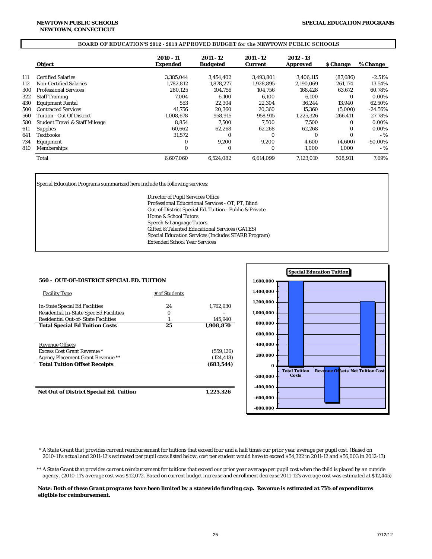#### **BOARD OF EDUCATION'S 2012 - 2013 APPROVED BUDGET for the NEWTOWN PUBLIC SCHOOLS**

|     | Object                                    | 2010 - 11<br><b>Expended</b> | 2011 - 12<br><b>Budgeted</b> | 2011 - 12<br><b>Current</b> | 2012 - 13<br><b>Approved</b> | <i><b>S</b></i> Change | % Change   |
|-----|-------------------------------------------|------------------------------|------------------------------|-----------------------------|------------------------------|------------------------|------------|
|     |                                           |                              |                              |                             |                              |                        |            |
| 111 | <b>Certified Salaries</b>                 | 3.385.044                    | 3.454.402                    | 3.493.801                   | 3.406.115                    | (87.686)               | $-2.51%$   |
| 112 | <b>Non-Certified Salaries</b>             | 1.782.812                    | 1.878.277                    | 1,928,895                   | 2.190.069                    | 261,174                | 13.54%     |
| 300 | <b>Professional Services</b>              | 280.125                      | 104.756                      | 104.756                     | 168.428                      | 63.672                 | 60.78%     |
| 322 | <b>Staff Training</b>                     | 7.004                        | 6.100                        | 6.100                       | 6.100                        | 0                      | 0.00%      |
| 430 | <b>Equipment Rental</b>                   | 553                          | 22,304                       | 22.304                      | 36.244                       | 13.940                 | 62.50%     |
| 500 | <b>Contracted Services</b>                | 41.756                       | 20.360                       | 20.360                      | 15.360                       | (5.000)                | $-24.56%$  |
| 560 | Tuition - Out Of District                 | 1.008.678                    | 958.915                      | 958.915                     | 1.225.326                    | 266.411                | 27.78%     |
| 580 | <b>Student Travel &amp; Staff Mileage</b> | 8.854                        | 7.500                        | 7.500                       | 7.500                        | 0                      | 0.00%      |
| 611 | <b>Supplies</b>                           | 60.662                       | 62.268                       | 62.268                      | 62.268                       | 0                      | 0.00%      |
| 641 | Textbooks                                 | 31.572                       | $\bf{0}$                     | $\Omega$                    | $\Omega$                     | 0                      | $-9/6$     |
| 734 | Equipment                                 | $\Omega$                     | 9.200                        | 9.200                       | 4.600                        | (4.600)                | $-50.00\%$ |
| 810 | Memberships                               | $\Omega$                     | $\bf{0}$                     | $\Omega$                    | 1.000                        | 1.000                  | - %        |
|     | Total                                     | 6.607.060                    | 6.524.082                    | 6.614.099                   | 7.123.010                    | 508.911                | 7.69%      |

Special Education Programs summarized here include the following services:

Director of Pupil Services Office Professional Educational Services - OT, PT, Blind Out-of-District Special Ed. Tuition - Public & Private Home & School Tutors Speech & Language Tutors Gifted & Talented Educational Services (GATES) Special Education Services (Includes STARR Program) Extended School Year Services

| <b>560 - OUT-OF-DISTRICT SPECIAL ED. TUITION</b> |               |            |
|--------------------------------------------------|---------------|------------|
| <b>Facility Type</b>                             | # of Students |            |
| <b>In-State Special Ed Facilities</b>            | 24            | 1,762,930  |
| <b>Residential In-State Spec Ed Facilities</b>   | 0             |            |
| <b>Residential Out-of-State Facilities</b>       |               | 145,940    |
| <b>Total Special Ed Tuition Costs</b>            | 25            | 1.908.870  |
| <b>Revenue Offsets</b>                           |               |            |
| <b>Excess Cost Grant Revenue *</b>               |               | (559, 126) |
| <b>Agency Placement Grant Revenue **</b>         |               | (124.418)  |
| <b>Total Tuition Offset Receipts</b>             |               | (683.544)  |
| <b>Net Out of District Special Ed. Tuition</b>   |               | 1.225.326  |



 *\* A State Grant that provides current reimbursement for tuitions that exceed four and a half times our prior year average per pupil cost. (Based on 2010-11's actual and 2011-12's estimated per pupil costs listed below, cost per student would have to exceed \$54,322 in 2011-12 and \$56,003 in 2012-13)*

*\*\* A State Grant that provides current reimbursement for tuitions that exceed our prior year average per pupil cost when the child is placed by an outside agency. (2010-11's average cost was \$12,072. Based on current budget increase and enrollment decrease 2011-12's average cost was estimated at \$12,445)* 

 *Note: Both of these Grant programs have been limited by a statewide funding cap. Revenue is estimated at 75% of expenditures eligible for reimbursement.*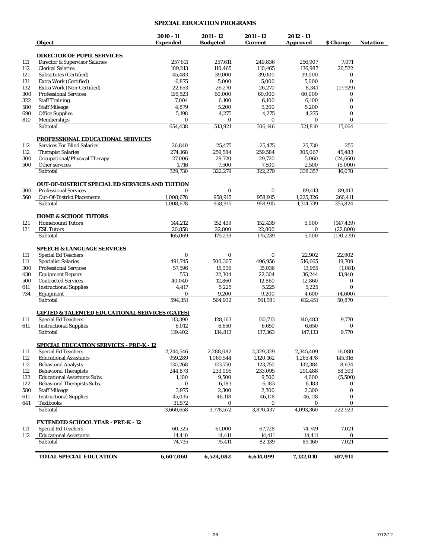## **SPECIAL EDUCATION PROGRAMS**

|            | Object                                                    | $2010 - 11$<br><b>Expended</b> | $2011 - 12$<br><b>Budgeted</b> | 2011 - 12<br><b>Current</b> | $2012 - 13$<br><b>Approved</b> | \$ Change          | <b>Notation</b> |
|------------|-----------------------------------------------------------|--------------------------------|--------------------------------|-----------------------------|--------------------------------|--------------------|-----------------|
|            | <b>DIRECTOR OF PUPIL SERVICES</b>                         |                                |                                |                             |                                |                    |                 |
| 111        | <b>Director &amp; Supervisor Salaries</b>                 | 257,611                        | 257,611                        | 249,836                     | 256,907                        | 7,071              |                 |
| 112        | <b>Clerical Salaries</b>                                  | 109,213                        | 110,465                        | 110,465                     | 136,987                        | 26.522             |                 |
|            | <b>Substitutes (Certified)</b>                            | 45,483                         | 39,000                         | 39,000                      | 39,000                         | 0                  |                 |
| 121        | Extra Work (Certified)                                    | 6,875                          | 5,000                          | 5,000                       | 5,000                          | $\bf{0}$           |                 |
| 131        |                                                           | 22,653                         |                                |                             |                                |                    |                 |
| 132<br>300 | Extra Work (Non-Certified)                                |                                | 26,270                         | 26,270                      | 8,341                          | (17, 929)          |                 |
|            | <b>Professional Services</b>                              | 195,523                        | 60,000                         | 60,000                      | 60,000                         | 0<br>$\bf{0}$      |                 |
| 322        | <b>Staff Training</b>                                     | 7,004                          | 6,100                          | 6,100                       | 6,100                          |                    |                 |
| 580        | <b>Staff Mileage</b>                                      | 4,879                          | 5,200                          | 5,200                       | 5,200                          | $\bf{0}$           |                 |
| 690        | <b>Office Supplies</b>                                    | 5,198                          | 4,275                          | 4,275                       | 4,275                          | $\bf{0}$           |                 |
| 810        | Memberships<br>Subtotal                                   | $\bf{0}$<br>654,438            | 0<br>513,921                   | 0<br>506,146                | $\bf{0}$<br>521,810            | $\bf{0}$<br>15,664 |                 |
|            | <u>PROFESSIONAL EDUCATIONAL SERVICES</u>                  |                                |                                |                             |                                |                    |                 |
|            | <b>Services For Blind Salaries</b>                        | 26,840                         | 25,475                         | 25,475                      | 25,730                         | 255                |                 |
| 112        |                                                           |                                |                                |                             |                                |                    |                 |
| 112        | <b>Therapist Salaries</b>                                 | 274,168                        | 259,584                        | 259,584                     | 305,067                        | 45,483             |                 |
| 300        | Occupational/Physical Therapy                             | 27,006                         | 29,720                         | 29,720                      | 5,060                          | (24, 660)          |                 |
| 500        | Other services<br>Subtotal                                | 1,716<br>329,730               | 7,500<br>322,279               | 7,500<br>322,279            | 2,500<br>338,357               | (5,000)<br>16.078  |                 |
|            |                                                           |                                |                                |                             |                                |                    |                 |
|            | <b>OUT-OF-DISTRICT SPECIAL ED SERVICES AND TUITION</b>    |                                |                                |                             |                                |                    |                 |
| 300        | <b>Professional Services</b>                              | $\bf{0}$                       | 0                              | 0                           | 89,413                         | 89,413             |                 |
| 560        | <b>Out-Of-District Placements</b><br>Subtotal             | 1,008,678<br>1,008,678         | 958,915<br>958,915             | 958,915<br>958,915          | 1,225,326<br>1,314,739         | 266,411<br>355,824 |                 |
|            |                                                           |                                |                                |                             |                                |                    |                 |
|            | <b>HOME &amp; SCHOOL TUTORS</b>                           |                                |                                |                             |                                |                    |                 |
| 121        | <b>Homebound Tutors</b>                                   | 144,212                        | 152.439                        | 152,439                     | 5,000                          | (147, 439)         |                 |
| 121        | <b>ESL Tutors</b>                                         | 20,858                         | 22.800                         | 22,800                      | $\bf{0}$                       | (22, 800)          |                 |
|            | Subtotal                                                  | 165,069                        | 175,239                        | 175,239                     | 5,000                          | (170, 239)         |                 |
|            | <b>SPEECH &amp; LANGUAGE SERVICES</b>                     |                                |                                |                             |                                |                    |                 |
| 111        | <b>Special Ed Teachers</b>                                | $\bf{0}$                       | $\bf{0}$                       | $\bf{0}$                    | 22,902                         | 22,902             |                 |
| 111        | <b>Specialist Salaries</b>                                | 491,745                        | 500,307                        | 496,956                     | 516,665                        | 19,709             |                 |
| 300        | <b>Professional Services</b>                              | 57,596                         | 15,036                         | 15,036                      | 13,955                         | (1,081)            |                 |
| 430        | <b>Equipment Repairs</b>                                  | 553                            | 22,304                         | 22,304                      | 36,244                         | 13,940             |                 |
| 500        | <b>Contracted Services</b>                                | 40,040                         | 12,860                         | 12,860                      | 12,860                         | $\bf{0}$           |                 |
| 611        | <b>Instructional Supplies</b>                             | 4,417                          | 5,225                          | 5,225                       | 5,225                          | $\bf{0}$           |                 |
| 734        | Equipment                                                 | $\bf{0}$                       | 9,200                          | 9,200                       | 4,600                          | (4,600)            |                 |
|            | Subtotal                                                  | 594,351                        | 564,932                        | 561,581                     | 612,451                        | 50,870             |                 |
|            | <b>GIFTED &amp; TALENTED EDUCATIONAL SERVICES (GATES)</b> |                                |                                |                             |                                |                    |                 |
| 111        | <b>Special Ed Teachers</b>                                | 113,390                        | 128,163                        | 130,713                     | 140,483                        | 9,770              |                 |
| 611        | <b>Instructional Supplies</b>                             | 6,012                          | 6,650                          | 6,650                       | 6,650                          | $\bf{0}$           |                 |
|            | Subtotal                                                  | 119,402                        | 134,813                        | 137,363                     | 147,133                        | 9,770              |                 |
|            | <b>SPECIAL EDUCATION SERVICES - PRE-K - 12</b>            |                                |                                |                             |                                |                    |                 |
| 111        | <b>Special Ed Teachers</b>                                | 2,244,546                      | 2,288,082                      | 2,329,329                   | 2,345,409                      | 16,080             |                 |
| 112        | <b>Educational Assistants</b>                             | 959,289                        | 1,069,544                      | 1,120,162                   | 1,265,478                      | 145,316            |                 |
| 112        | <b>Behavioral Analysts</b>                                | 130,268                        | 123,750                        | 123,750                     | 132,384                        | 8,634              |                 |
| 112        | <b>Behavioral Therapists</b>                              | 244,873                        | 233,095                        | 233,095                     | 291,488                        | 58,393             |                 |
| 122        | <b>Educational Assistants Subs.</b>                       | 1,100                          | 9,500                          | 9,500                       | 4,000                          | (5,500)            |                 |
| 122        | <b>Behavioral Therapists Subs.</b>                        | $\bf{0}$                       | 6,183                          | 6,183                       | 6,183                          | 0                  |                 |
| 580        | <b>Staff Mileage</b>                                      | 3,975                          | 2,300                          | 2,300                       | 2,300                          | $\bf{0}$           |                 |
| 611        | <b>Instructional Supplies</b>                             | 45,035                         | 46,118                         | 46,118                      | 46,118                         | $\bf{0}$           |                 |
| 641        | <b>Textbooks</b>                                          | 31,572                         | 0                              | 0                           | 0                              | 0                  |                 |
|            | Subtotal                                                  | 3,660,658                      | 3,778,572                      | 3,870,437                   | 4,093,360                      | 222,923            |                 |
|            | <b>EXTENDED SCHOOL YEAR - PRE-K - 12</b>                  |                                |                                |                             |                                |                    |                 |
| 111        | <b>Special Ed Teachers</b>                                | 60,325                         | 61,000                         | 67,728                      | 74,749                         | 7,021              |                 |
| 112        | <b>Educational Assistants</b>                             | 14,410                         | 14,411                         | 14,411                      | 14,411                         | $\bf{0}$           |                 |
|            | Subtotal                                                  | 74,735                         | 75,411                         | 82,139                      | 89,160                         | 7,021              |                 |
|            | <b>TOTAL SPECIAL EDUCATION</b>                            | 6,607,060                      | 6,524,082                      | 6,614,099                   | 7,122,010                      | 507,911            |                 |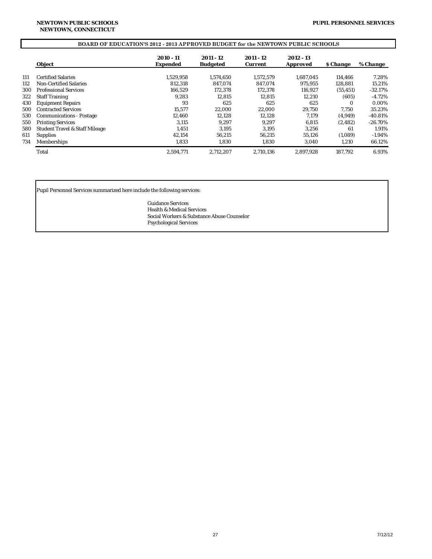## **BOARD OF EDUCATION'S 2012 - 2013 APPROVED BUDGET for the NEWTOWN PUBLIC SCHOOLS**

|     | <b>Object</b>                             | $2010 - 11$<br><b>Expended</b> | $2011 - 12$<br><b>Budgeted</b> | $2011 - 12$<br><b>Current</b> | 2012 - 13<br><b>Approved</b> | <b><i>S</i></b> Change | % Change   |
|-----|-------------------------------------------|--------------------------------|--------------------------------|-------------------------------|------------------------------|------------------------|------------|
| 111 | <b>Certified Salaries</b>                 | 1,529,958                      | 1.574.650                      | 1.572.579                     | 1.687.045                    | 114.466                | 7.28%      |
| 112 | Non-Certified Salaries                    | 812.318                        | 847.074                        | 847.074                       | 975.955                      | 128,881                | 15.21%     |
| 300 | <b>Professional Services</b>              | 166.529                        | 172.378                        | 172.378                       | 116.927                      | (55, 451)              | $-32.17%$  |
| 322 | <b>Staff Training</b>                     | 9.283                          | 12.815                         | 12.815                        | 12.210                       | (605)                  | $-4.72%$   |
| 430 | <b>Equipment Repairs</b>                  | 93                             | 625                            | 625                           | 625                          | $\Omega$               | 0.00%      |
| 500 | <b>Contracted Services</b>                | 15.577                         | 22.000                         | 22,000                        | 29.750                       | 7.750                  | 35.23%     |
| 530 | <b>Communications - Postage</b>           | 12.460                         | 12.128                         | 12,128                        | 7.179                        | (4,949)                | $-40.81%$  |
| 550 | <b>Printing Services</b>                  | 3.115                          | 9.297                          | 9.297                         | 6.815                        | (2.482)                | $-26.70\%$ |
| 580 | <b>Student Travel &amp; Staff Mileage</b> | 1.451                          | 3.195                          | 3.195                         | 3.256                        | 61                     | 1.91%      |
| 611 | <b>Supplies</b>                           | 42.154                         | 56,215                         | 56.215                        | 55.126                       | (1,089)                | $-1.94\%$  |
| 734 | Memberships                               | 1,833                          | 1,830                          | 1,830                         | 3,040                        | 1,210                  | 66.12%     |
|     | Total                                     | 2,594,771                      | 2,712,207                      | 2.710.136                     | 2,897,928                    | 187.792                | 6.93%      |

Pupil Personnel Services summarized here include the following services:

Guidance Services Health & Medical Services Social Workers & Substance Abuse Counselor Psychological Services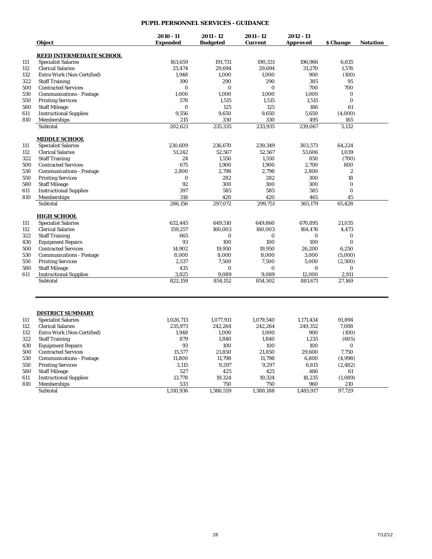## **PUPIL PERSONNEL SERVICES - GUIDANCE**

|     |                                 | 2010 - 11       | $2011 - 12$     | 2011 - 12 | $2012 - 13$ |                  |                 |
|-----|---------------------------------|-----------------|-----------------|-----------|-------------|------------------|-----------------|
|     | Object                          | <b>Expended</b> | <b>Budgeted</b> | Current   | Approved    | \$ Change        | <b>Notation</b> |
|     | <b>REED INTERMEDIATE SCHOOL</b> |                 |                 |           |             |                  |                 |
| 111 | <b>Specialist Salaries</b>      | 163,659         | 191,731         | 190,331   | 196,966     | 6,635            |                 |
| 112 | <b>Clerical Salaries</b>        | 25,474          | 29,694          | 29,694    | 31,270      | 1,576            |                 |
| 132 | Extra Work (Non-Certified)      | 1,948           | 1,000           | 1,000     | 900         | (100)            |                 |
| 322 | <b>Staff Training</b>           | 190             | 290             | 290       | 385         | 95               |                 |
| 500 | <b>Contracted Services</b>      | $\Omega$        | $\Omega$        | $\Omega$  | 700         | 700              |                 |
| 530 | <b>Communications - Postage</b> | 1,000           | 1,000           | 1,000     | 1,000       | $\bf{0}$         |                 |
| 550 | <b>Printing Services</b>        | 578             | 1,515           | 1,515     | 1,515       | $\mathbf{0}$     |                 |
| 580 | <b>Staff Mileage</b>            | $\bf{0}$        | 125             | 125       | 186         | 61               |                 |
| 611 | <b>Instructional Supplies</b>   | 9,556           | 9,650           | 9,650     | 5,650       | (4,000)          |                 |
| 810 | Memberships                     | 215             | 330             | 330       | 495         | 165              |                 |
|     | Subtotal                        | 202,621         | 235,335         | 233,935   | 239,067     | 5,132            |                 |
|     |                                 |                 |                 |           |             |                  |                 |
|     | <b>MIDDLE SCHOOL</b>            |                 |                 |           |             |                  |                 |
| 111 | <b>Specialist Salaries</b>      | 230,609         | 236,670         | 239,349   | 303,573     | 64,224           |                 |
| 112 | <b>Clerical Salaries</b>        | 51,242          | 52,567          | 52,567    | 53,606      | 1,039            |                 |
| 322 | <b>Staff Training</b>           | 24              | 1,550           | 1,550     | 850         | (700)            |                 |
| 500 | <b>Contracted Services</b>      | 675             | 1,900           | 1,900     | 2,700       | 800              |                 |
| 530 | <b>Communications - Postage</b> | 2,800           | 2,798           | 2,798     | 2,800       | $\boldsymbol{2}$ |                 |
| 550 | <b>Printing Services</b>        | $\bf{0}$        | 282             | 282       | 300         | 18               |                 |
| 580 | <b>Staff Mileage</b>            | 92              | 300             | 300       | 300         | $\Omega$         |                 |
| 611 | <b>Instructional Supplies</b>   | 397             | 585             | 585       | 585         | $\mathbf{0}$     |                 |
| 810 | Memberships                     | 318             | 420             | 420       | 465         | 45               |                 |
|     | Subtotal                        | 286,156         | 297,072         | 299,751   | 365,179     | 65,428           |                 |
|     | <b>HIGH SCHOOL</b>              |                 |                 |           |             |                  |                 |
| 111 | <b>Specialist Salaries</b>      | 632,445         | 649,510         | 649,860   | 670,895     | 21,035           |                 |
| 112 | <b>Clerical Salaries</b>        | 159,257         | 160,003         | 160,003   | 164,476     | 4,473            |                 |
| 322 | <b>Staff Training</b>           | 665             | $\bf{0}$        | $\bf{0}$  | $\bf{0}$    | $\bf{0}$         |                 |
| 430 | <b>Equipment Repairs</b>        | 93              | 100             | 100       | 100         | $\mathbf{0}$     |                 |
| 500 | <b>Contracted Services</b>      | 14,902          | 19,950          | 19,950    | 26,200      | 6,250            |                 |
| 530 | <b>Communications - Postage</b> | 8,000           | 8,000           | 8,000     | 3,000       | (5,000)          |                 |
| 550 | <b>Printing Services</b>        | 2,537           | 7,500           | 7,500     | 5,000       | (2,500)          |                 |
| 580 | <b>Staff Mileage</b>            | 435             | $\bf{0}$        | $\bf{0}$  | $\bf{0}$    | $\mathbf{0}$     |                 |
| 611 | <b>Instructional Supplies</b>   | 3,825           | 9,089           | 9,089     | 12,000      | 2,911            |                 |
|     | Subtotal                        | 822,159         | 854,152         | 854,502   | 881,671     | 27,169           |                 |
|     |                                 |                 |                 |           |             |                  |                 |
|     | <b>DISTRICT SUMMARY</b>         |                 |                 |           |             |                  |                 |
| 111 | <b>Specialist Salaries</b>      | 1,026,713       | 1,077,911       | 1,079,540 | 1,171,434   | 91,894           |                 |
| 112 | <b>Clerical Salaries</b>        | 235,973         | 242,264         | 242,264   | 249,352     | 7,088            |                 |
| 132 | Extra Work (Non-Certified)      | 1,948           | 1,000           | 1,000     | 900         | (100)            |                 |
| 322 | <b>Staff Training</b>           | 879             | 1,840           | 1,840     | 1,235       | (605)            |                 |
| 430 | <b>Equipment Repairs</b>        | 93              | 100             | 100       | 100         | $\bf{0}$         |                 |
| 500 | <b>Contracted Services</b>      | 15,577          | 21,850          | 21,850    | 29,600      | 7,750            |                 |
| 530 | <b>Communications - Postage</b> | 11,800          | 11,798          | 11,798    | 6,800       | (4,998)          |                 |
| 550 | <b>Printing Services</b>        | 3,115           | 9,297           | 9,297     | 6,815       | (2, 482)         |                 |
| 580 | <b>Staff Mileage</b>            | 527             | 425             | 425       | 486         | 61               |                 |
| 611 | <b>Instructional Supplies</b>   | 13,778          | 19,324          | 19,324    | 18,235      | (1,089)          |                 |
| 810 | Memberships                     | 533             | 750             | 750       | 960         | 210              |                 |
|     | Subtotal                        | 1,310,936       | 1,386,559       | 1,388,188 | 1,485,917   | 97,729           |                 |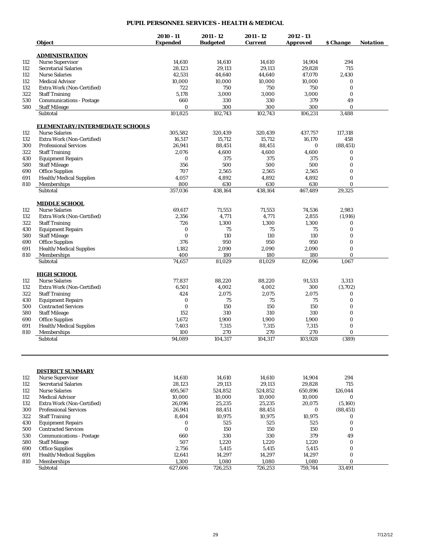## **PUPIL PERSONNEL SERVICES - HEALTH & MEDICAL**

|     | <b>Object</b>                   | $2010 - 11$<br><b>Expended</b> | 2011 - 12<br><b>Budgeted</b> | 2011 - 12<br><b>Current</b> | $2012 - 13$<br><b>Approved</b> | \$ Change             | <b>Notation</b> |
|-----|---------------------------------|--------------------------------|------------------------------|-----------------------------|--------------------------------|-----------------------|-----------------|
|     | <b>ADMINISTRATION</b>           |                                |                              |                             |                                |                       |                 |
| 112 | <b>Nurse Supervisor</b>         | 14,610                         | 14,610                       | 14,610                      | 14,904                         | 294                   |                 |
| 112 | <b>Secretarial Salaries</b>     | 28,123                         | 29,113                       | 29,113                      | 29,828                         | 715                   |                 |
| 112 | <b>Nurse Salaries</b>           | 42,531                         | 44,640                       | 44,640                      | 47.070                         | 2,430                 |                 |
| 112 | <b>Medical Advisor</b>          | 10,000                         | 10,000                       | 10,000                      | 10,000                         | $\bf{0}$              |                 |
| 132 | Extra Work (Non-Certified)      | 722                            | 750                          | 750                         | 750                            | $\bf{0}$              |                 |
| 322 | <b>Staff Training</b>           | 5,178                          | 3,000                        | 3,000                       | 3,000                          | $\bf{0}$              |                 |
| 530 | <b>Communications - Postage</b> | 660                            | 330                          | 330                         | 379                            | 49                    |                 |
| 580 | <b>Staff Mileage</b>            | $\bf{0}$                       | 300                          | 300                         | 300                            | $\mathbf{0}$          |                 |
|     | Subtotal                        | 101,825                        | 102,743                      | 102,743                     | 106,231                        | 3,488                 |                 |
|     | ELEMENTARY/INTERMEDIATE SCHOOLS |                                |                              |                             |                                |                       |                 |
| 112 | <b>Nurse Salaries</b>           | 305,582                        | 320,439                      | 320.439                     | 437,757                        | 117,318               |                 |
| 132 | Extra Work (Non-Certified)      | 16,517                         | 15,712                       | 15,712                      | 16,170                         | 458                   |                 |
| 300 | <b>Professional Services</b>    | 26,941                         | 88,451                       | 88,451                      | 0                              | (88, 451)             |                 |
| 322 | <b>Staff Training</b>           | 2,076                          | 4,600                        | 4,600                       | 4,600                          | $\bf{0}$              |                 |
| 430 | <b>Equipment Repairs</b>        | $\bf{0}$                       | 375                          | 375                         | 375                            | $\bf{0}$              |                 |
| 580 | <b>Staff Mileage</b>            | 356                            | 500                          | 500                         | 500                            | $\bf{0}$              |                 |
| 690 | <b>Office Supplies</b>          | 707                            | 2,565                        | 2,565                       | 2,565                          | $\mathbf{0}$          |                 |
| 691 | Health/Medical Supplies         | 4,057                          | 4,892                        | 4,892                       | 4,892                          | $\bf{0}$              |                 |
| 810 |                                 | 800                            |                              |                             | 630                            | $\mathbf{0}$          |                 |
|     | Memberships<br>Subtotal         | 357,036                        | 630<br>438,164               | 630<br>438,164              | 467,489                        | 29,325                |                 |
|     | <b>MIDDLE SCHOOL</b>            |                                |                              |                             |                                |                       |                 |
| 112 | <b>Nurse Salaries</b>           | 69,617                         | 71,553                       | 71,553                      | 74,536                         | 2,983                 |                 |
| 132 | Extra Work (Non-Certified)      | 2,356                          | 4,771                        | 4,771                       | 2,855                          | (1,916)               |                 |
| 322 | <b>Staff Training</b>           | 726                            | 1,300                        | 1,300                       | 1,300                          | $\bf{0}$              |                 |
| 430 | <b>Equipment Repairs</b>        | $\bf{0}$                       | 75                           | 75                          | 75                             | $\bf{0}$              |                 |
| 580 | <b>Staff Mileage</b>            | $\bf{0}$                       | 110                          | 110                         | 110                            | $\bf{0}$              |                 |
|     |                                 | 376                            | 950                          | 950                         | 950                            | $\bf{0}$              |                 |
| 690 | <b>Office Supplies</b>          |                                |                              |                             |                                |                       |                 |
| 691 | Health/Medical Supplies         | 1,182                          | 2,090                        | 2,090                       | 2,090                          | $\bf{0}$              |                 |
| 810 | Memberships<br>Subtotal         | 400<br>74,657                  | 180<br>81,029                | 180<br>81,029               | 180<br>82,096                  | $\mathbf{0}$<br>1,067 |                 |
|     | <b>HIGH SCHOOL</b>              |                                |                              |                             |                                |                       |                 |
| 112 | <b>Nurse Salaries</b>           | 77,837                         | 88,220                       | 88,220                      | 91,533                         | 3,313                 |                 |
| 132 | Extra Work (Non-Certified)      | 6,501                          | 4,002                        | 4,002                       | 300                            | (3,702)               |                 |
| 322 |                                 | 424                            | 2,075                        | 2,075                       | 2,075                          | $\bf{0}$              |                 |
|     | <b>Staff Training</b>           |                                |                              |                             |                                | $\bf{0}$              |                 |
| 430 | <b>Equipment Repairs</b>        | $\bf{0}$                       | 75                           | 75                          | 75                             |                       |                 |
| 500 | <b>Contracted Services</b>      | $\bf{0}$                       | 150                          | 150                         | 150                            | $\bf{0}$              |                 |
| 580 | <b>Staff Mileage</b>            | 152                            | 310                          | 310                         | 310                            | $\bf{0}$              |                 |
| 690 | <b>Office Supplies</b>          | 1,672                          | 1,900                        | 1,900                       | 1,900                          | $\bf{0}$              |                 |
| 691 | <b>Health/Medical Supplies</b>  | 7,403                          | 7,315                        | 7,315                       | 7,315                          | $\bf{0}$              |                 |
| 810 | Memberships<br>Subtotal         | 100<br>94,089                  | 270<br>104,317               | 270<br>104,317              | 270<br>103,928                 | $\mathbf{0}$<br>(389) |                 |
|     |                                 |                                |                              |                             |                                |                       |                 |
|     | <b>DISTRICT SUMMARY</b>         |                                |                              |                             |                                |                       |                 |
| 112 | <b>Nurse Supervisor</b>         | 14,610                         | 14,610                       | 14,610                      | 14,904                         | 294                   |                 |
| 112 | <b>Secretarial Salaries</b>     | 28,123                         | 29,113                       | 29,113                      | 29.828                         | 715                   |                 |
| 112 | <b>Nurse Salaries</b>           | 495,567                        | 524,852                      | 524,852                     | 650,896                        | 126,044               |                 |
| 112 | <b>Medical Advisor</b>          | 10,000                         | 10,000                       | 10,000                      | 10,000                         | $\bf{0}$              |                 |
| 132 | Extra Work (Non-Certified)      | 26,096                         | 25,235                       | 25,235                      | 20,075                         | (5,160)               |                 |
| 300 | <b>Professional Services</b>    | 26,941                         | 88,451                       | 88,451                      | $\bf{0}$                       | (88, 451)             |                 |
| 322 | <b>Staff Training</b>           | 8,404                          | 10,975                       | 10,975                      | 10,975                         | 0                     |                 |
| 430 | <b>Equipment Repairs</b>        | $\bf{0}$                       | 525                          | 525                         | 525                            | $\bf{0}$              |                 |
| 500 | <b>Contracted Services</b>      | $\bf{0}$                       | 150                          | 150                         | 150                            | $\bf{0}$              |                 |
| 530 | <b>Communications - Postage</b> | 660                            | 330                          | 330                         | 379                            | 49                    |                 |
| 580 | <b>Staff Mileage</b>            | 507                            | 1,220                        | 1,220                       | 1,220                          | $\bf{0}$              |                 |
| 690 | <b>Office Supplies</b>          | 2,756                          | 5,415                        | 5,415                       | 5,415                          | $\bf{0}$              |                 |
| 691 | <b>Health/Medical Supplies</b>  | 12,641                         | 14,297                       | 14,297                      | 14,297                         | $\bf{0}$              |                 |
| 810 | Memberships                     | 1,300                          |                              | 1,080                       |                                | $\bf{0}$              |                 |
|     |                                 |                                | 1,080                        |                             | 1,080                          |                       |                 |
|     | Subtotal                        | 627,606                        | 726,253                      | 726,253                     | 759,744                        | 33,491                |                 |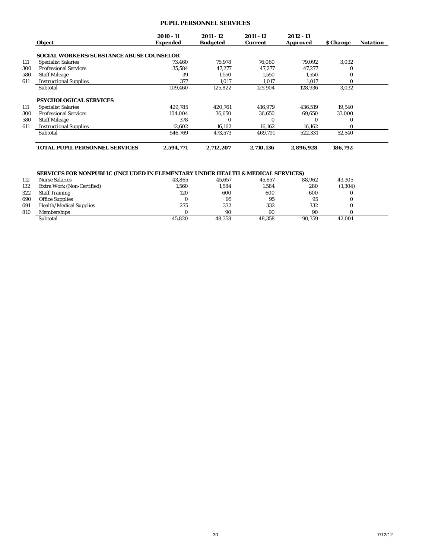## **PUPIL PERSONNEL SERVICES**

|     | <b>Object</b>                                   | 2010 - 11<br><b>Expended</b> | 2011 - 12<br><b>Budgeted</b> | 2011 - 12<br><b>Current</b> | 2012 - 13<br>Approved | <b><i><u>S</u></i></b> Change | <b>Notation</b> |
|-----|-------------------------------------------------|------------------------------|------------------------------|-----------------------------|-----------------------|-------------------------------|-----------------|
|     | <b>SOCIAL WORKERS/SUBSTANCE ABUSE COUNSELOR</b> |                              |                              |                             |                       |                               |                 |
| 111 | <b>Specialist Salaries</b>                      | 73,460                       | 75,978                       | 76.060                      | 79,092                | 3,032                         |                 |
| 300 | <b>Professional Services</b>                    | 35.584                       | 47.277                       | 47.277                      | 47.277                | 0                             |                 |
| 580 | <b>Staff Mileage</b>                            | 39                           | 1.550                        | 1.550                       | 1,550                 | 0                             |                 |
| 611 | <b>Instructional Supplies</b>                   | 377                          | 1.017                        | 1.017                       | 1.017                 | $\Omega$                      |                 |
|     | Subtotal                                        | 109.460                      | 125.822                      | 125.904                     | 128,936               | 3,032                         |                 |
|     | PSYCHOLOGICAL SERVICES                          |                              |                              |                             |                       |                               |                 |
| 111 | <b>Specialist Salaries</b>                      | 429.785                      | 420.761                      | 416,979                     | 436.519               | 19,540                        |                 |
| 300 | <b>Professional Services</b>                    | 104.004                      | 36.650                       | 36.650                      | 69.650                | 33.000                        |                 |
| 580 | <b>Staff Mileage</b>                            | 378                          | $\Omega$                     |                             | 0                     | 0                             |                 |
| 611 | <b>Instructional Supplies</b>                   | 12,602                       | 16,162                       | 16,162                      | 16,162                | $\Omega$                      |                 |
|     | Subtotal                                        | 546,769                      | 473,573                      | 469,791                     | 522.331               | 52,540                        |                 |
|     | <b>TOTAL PUPIL PERSONNEL SERVICES</b>           | 2.594.771                    | 2.712.207                    | 2.710.136                   | 2.896.928             | 186.792                       |                 |

# **SERVICES FOR NONPUBLIC (INCLUDED IN ELEMENTARY UNDER HEALTH & MEDICAL SERVICES)**

| 112 | <b>Nurse Salaries</b>          | 43.865 | 45.657 | 45.657 | 88.962 | 43,305   |  |
|-----|--------------------------------|--------|--------|--------|--------|----------|--|
| 132 | Extra Work (Non-Certified)     | 1,560  | 1,584  | 1,584  | 280    | (1, 304) |  |
| 322 | <b>Staff Training</b>          | 120    | 600    | 600    | 600    |          |  |
| 690 | <b>Office Supplies</b>         |        | 95     | 95     | 95     |          |  |
| 691 | <b>Health/Medical Supplies</b> | 275    | 332    | 332    | 332    |          |  |
| 810 | <b>Memberships</b>             |        | 90     | 90     | 90     |          |  |
|     | Subtotal                       | 45.820 | 48.358 | 48.358 | 90.359 | 42,001   |  |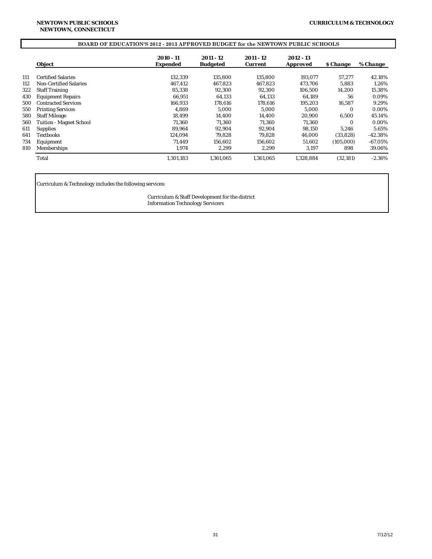# **BOARD OF EDUCATION'S 2012 - 2013 APPROVED BUDGET for the NEWTOWN PUBLIC SCHOOLS**

|     | Object                        | $2010 - 11$<br><b>Expended</b> | 2011 - 12<br><b>Budgeted</b> | $2011 - 12$<br><b>Current</b> | $2012 - 13$<br><b>Approved</b> | <b><i>S</i></b> Change | % Change  |
|-----|-------------------------------|--------------------------------|------------------------------|-------------------------------|--------------------------------|------------------------|-----------|
|     |                               |                                |                              |                               |                                |                        |           |
| 111 | <b>Certified Salaries</b>     | 132,339                        | 135.800                      | 135.800                       | 193.077                        | 57,277                 | 42.18%    |
| 112 | <b>Non-Certified Salaries</b> | 467.412                        | 467,823                      | 467.823                       | 473.706                        | 5,883                  | 1.26%     |
| 322 | <b>Staff Training</b>         | 85.338                         | 92,300                       | 92.300                        | 106.500                        | 14,200                 | 15.38%    |
| 430 | <b>Equipment Repairs</b>      | 66.951                         | 64.133                       | 64.133                        | 64.189                         | 56                     | 0.09%     |
| 500 | <b>Contracted Services</b>    | 166.933                        | 178.616                      | 178.616                       | 195.203                        | 16.587                 | 9.29%     |
| 550 | <b>Printing Services</b>      | 4.869                          | 5.000                        | 5.000                         | 5.000                          | $\Omega$               | 0.00%     |
| 580 | <b>Staff Mileage</b>          | 18.499                         | 14.400                       | 14.400                        | 20.900                         | 6.500                  | 45.14%    |
| 560 | Tuition - Magnet School       | 71.360                         | 71,360                       | 71.360                        | 71,360                         | $\Omega$               | 0.00%     |
| 611 | <b>Supplies</b>               | 89.964                         | 92,904                       | 92.904                        | 98,150                         | 5,246                  | 5.65%     |
| 641 | Textbooks                     | 124.094                        | 79.828                       | 79.828                        | 46.000                         | (33.828)               | $-42.38%$ |
| 734 | Equipment                     | 71.449                         | 156.602                      | 156.602                       | 51.602                         | (105,000)              | $-67.05%$ |
| 810 | Memberships                   | 1.974                          | 2,299                        | 2.299                         | 3,197                          | 898                    | 39.06%    |
|     | Total                         | 1,301,183                      | 1.361.065                    | 1.361.065                     | 1.328.884                      | (32, 181)              | $-2.36%$  |

Curriculum & Technology includes the following services:

Curriculum & Staff Development for the district Information Technology Servicers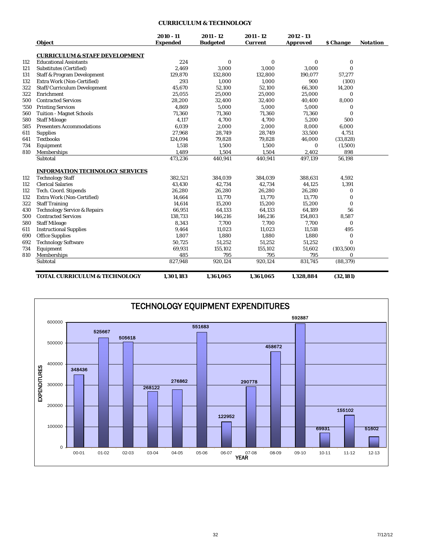# **CURRICULUM & TECHNOLOGY**

|      | <b>Object</b>                             | 2010 - 11<br><b>Expended</b> | $2011 - 12$<br><b>Budgeted</b> | 2011 - 12<br><b>Current</b> | $2012 - 13$<br><b>Approved</b> | <b>S</b> Change | <b>Notation</b> |
|------|-------------------------------------------|------------------------------|--------------------------------|-----------------------------|--------------------------------|-----------------|-----------------|
|      | <b>CURRICULUM &amp; STAFF DEVELOPMENT</b> |                              |                                |                             |                                |                 |                 |
| 112  | <b>Educational Assistants</b>             | 224                          | 0                              | $\bf{0}$                    | $\bf{0}$                       | $\bf{0}$        |                 |
| 121  | Substitutes (Certified)                   | 2.469                        | 3,000                          | 3,000                       | 3,000                          | $\bf{0}$        |                 |
| 131  | <b>Staff &amp; Program Development</b>    | 129,870                      | 132,800                        | 132,800                     | 190,077                        | 57,277          |                 |
| 132  | Extra Work (Non-Certified)                | 293                          | 1,000                          | 1,000                       | 900                            | (100)           |                 |
| 322  | Staff/Curriculum Development              | 45.670                       | 52,100                         | 52,100                      | 66.300                         | 14,200          |                 |
| 322  | Enrichment                                | 25,055                       | 25,000                         | 25,000                      | 25,000                         | $\bf{0}$        |                 |
| 500  | <b>Contracted Services</b>                | 28,200                       | 32,400                         | 32,400                      | 40,400                         | 8,000           |                 |
| '550 | <b>Printing Services</b>                  | 4,869                        | 5,000                          | 5,000                       | 5,000                          | $\bf{0}$        |                 |
| 560  | <b>Tuition - Magnet Schools</b>           | 71,360                       | 71,360                         | 71,360                      | 71,360                         | $\Omega$        |                 |
| 580  | <b>Staff Mileage</b>                      | 4,117                        | 4,700                          | 4.700                       | 5,200                          | 500             |                 |
| 585  | <b>Presenters Accommodations</b>          | 6,039                        | 2,000                          | 2,000                       | 8,000                          | 6,000           |                 |
| 611  | <b>Supplies</b>                           | 27,968                       | 28,749                         | 28,749                      | 33,500                         | 4,751           |                 |
| 641  | <b>Textbooks</b>                          | 124,094                      | 79,828                         | 79,828                      | 46,000                         | (33, 828)       |                 |
| 734  | Equipment                                 | 1,518                        | 1,500                          | 1,500                       | $\bf{0}$                       | (1,500)         |                 |
| 810  | Memberships                               | 1,489                        | 1,504                          | 1,504                       | 2,402                          | 898             |                 |
|      | Subtotal                                  | 473,236                      | 440,941                        | 440,941                     | 497,139                        | 56,198          |                 |
|      | <b>INFORMATION TECHNOLOGY SERVICES</b>    |                              |                                |                             |                                |                 |                 |
| 112  | <b>Technology Staff</b>                   | 382,521                      | 384,039                        | 384,039                     | 388,631                        | 4,592           |                 |
| 112  | <b>Clerical Salaries</b>                  | 43,430                       | 42,734                         | 42,734                      | 44,125                         | 1,391           |                 |
| 112  | Tech. Coord. Stipends                     | 26,280                       | 26,280                         | 26,280                      | 26,280                         | 0               |                 |
| 132  | Extra Work (Non-Certified)                | 14,664                       | 13,770                         | 13,770                      | 13,770                         | 0               |                 |
| 322  | <b>Staff Training</b>                     | 14,614                       | 15,200                         | 15,200                      | 15,200                         | $\bf{0}$        |                 |
| 430  | <b>Technology Service &amp; Repairs</b>   | 66,951                       | 64,133                         | 64,133                      | 64,189                         | 56              |                 |
| 500  | <b>Contracted Services</b>                | 138,733                      | 146,216                        | 146,216                     | 154,803                        | 8,587           |                 |
| 580  | <b>Staff Mileage</b>                      | 8,343                        | 7,700                          | 7,700                       | 7,700                          | $\bf{0}$        |                 |
| 611  | <b>Instructional Supplies</b>             | 9,464                        | 11,023                         | 11,023                      | 11,518                         | 495             |                 |
| 690  | <b>Office Supplies</b>                    | 1,807                        | 1,880                          | 1,880                       | 1,880                          | 0               |                 |
| 692  | <b>Technology Software</b>                | 50,725                       | 51,252                         | 51,252                      | 51,252                         | $\Omega$        |                 |
| 734  | Equipment                                 | 69,931                       | 155,102                        | 155,102                     | 51,602                         | (103, 500)      |                 |
| 810  | Memberships                               | 485                          | 795                            | 795                         | 795                            | $\Omega$        |                 |
|      | Subtotal                                  | 827,948                      | 920.124                        | 920,124                     | 831,745                        | (88, 379)       |                 |
|      | <b>TOTAL CURRICULUM &amp; TECHNOLOGY</b>  | 1.301.183                    | 1,361,065                      | 1.361.065                   | 1.328.884                      | (32, 181)       |                 |

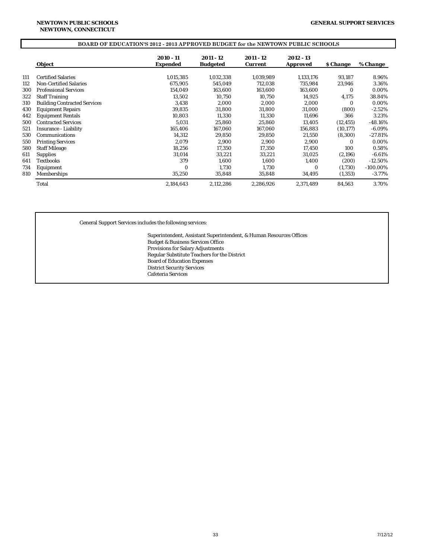## **BOARD OF EDUCATION'S 2012 - 2013 APPROVED BUDGET for the NEWTOWN PUBLIC SCHOOLS**

|     | <b>Object</b>                       | 2010 - 11<br><b>Expended</b> | 2011 - 12<br><b>Budgeted</b> | 2011 - 12<br><b>Current</b> | 2012 - 13<br><b>Approved</b> | <b><i>S</i></b> Change | % Change    |
|-----|-------------------------------------|------------------------------|------------------------------|-----------------------------|------------------------------|------------------------|-------------|
|     |                                     |                              |                              |                             |                              |                        |             |
| 111 | <b>Certified Salaries</b>           | 1,015,385                    | 1,032,338                    | 1,039,989                   | 1,133,176                    | 93,187                 | 8.96%       |
| 112 | <b>Non-Certified Salaries</b>       | 675,905                      | 545,049                      | 712,038                     | 735,984                      | 23,946                 | 3.36%       |
| 300 | <b>Professional Services</b>        | 154,049                      | 163,600                      | 163,600                     | 163,600                      | $\Omega$               | 0.00%       |
| 322 | <b>Staff Training</b>               | 13,502                       | 10,750                       | 10.750                      | 14,925                       | 4,175                  | 38.84%      |
| 310 | <b>Building Contracted Services</b> | 3,438                        | 2,000                        | 2,000                       | 2,000                        | 0                      | 0.00%       |
| 430 | <b>Equipment Repairs</b>            | 39,835                       | 31,800                       | 31,800                      | 31,000                       | (800)                  | $-2.52%$    |
| 442 | <b>Equipment Rentals</b>            | 10,803                       | 11,330                       | 11,330                      | 11,696                       | 366                    | 3.23%       |
| 500 | <b>Contracted Services</b>          | 5.031                        | 25,860                       | 25.860                      | 13,405                       | (12, 455)              | $-48.16\%$  |
| 521 | <b>Insurance - Liability</b>        | 165,406                      | 167,060                      | 167,060                     | 156,883                      | (10, 177)              | $-6.09\%$   |
| 530 | Communications                      | 14,312                       | 29,850                       | 29.850                      | 21,550                       | (8,300)                | $-27.81%$   |
| 550 | <b>Printing Services</b>            | 2,079                        | 2,900                        | 2,900                       | 2,900                        | 0                      | 0.00%       |
| 580 | <b>Staff Mileage</b>                | 18.256                       | 17,350                       | 17,350                      | 17,450                       | 100                    | 0.58%       |
| 611 | <b>Supplies</b>                     | 31.014                       | 33,221                       | 33.221                      | 31,025                       | (2,196)                | $-6.61\%$   |
| 641 | Textbooks                           | 379                          | 1.600                        | 1.600                       | 1,400                        | (200)                  | $-12.50\%$  |
| 734 | Equipment                           | $\bf{0}$                     | 1,730                        | 1,730                       | $\bf{0}$                     | (1,730)                | $-100.00\%$ |
| 810 | Memberships                         | 35,250                       | 35,848                       | 35,848                      | 34,495                       | (1, 353)               | $-3.77%$    |
|     | Total                               | 2,184,643                    | 2,112,286                    | 2,286,926                   | 2,371,489                    | 84,563                 | 3.70%       |

General Support Services includes the following services:

Superintendent, Assistant Superintendent, & Human Resources Offices Budget & Business Services Office Provisions for Salary Adjustments Regular Substitute Teachers for the District Board of Education Expenses District Security Services Cafeteria Services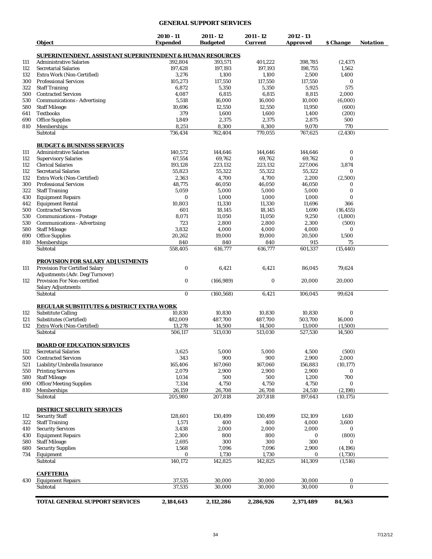#### **GENERAL SUPPORT SERVICES**

| <i><b>Object</b></i>                                                              | 2010 - 11<br><b>Expended</b> | 2011 - 12<br><b>Budgeted</b> | 2011 - 12<br><b>Current</b> | 2012 - 13<br>Approved | \$ Change       | Notation |
|-----------------------------------------------------------------------------------|------------------------------|------------------------------|-----------------------------|-----------------------|-----------------|----------|
| SUPERINTENDENT, ASSISTANT SUPERINTENDENT & HUMAN RESOURCES                        |                              |                              |                             |                       |                 |          |
| <b>Administrative Salaries</b>                                                    | 392,804                      | 393,571                      | 401,222                     | 398,785               | (2, 437)        |          |
| <b>Secretarial Salaries</b>                                                       | 197,428                      | 197,193                      | 197,193                     | 198,755               | 1,562           |          |
| Extra Work (Non-Certified)                                                        | 3,276                        | 1,100                        | 1,100                       | 2,500                 | 1,400           |          |
| 300<br><b>Professional Services</b>                                               | 105,273                      | 117,550                      | 117,550                     | 117,550               | 0               |          |
| 322<br><b>Staff Training</b>                                                      | 6,872                        | 5,350                        | 5,350                       | 5,925                 | 575             |          |
| 500<br><b>Contracted Services</b>                                                 | 4,087                        | 6,815                        | 6,815                       | 8,815                 | 2,000           |          |
| 530<br><b>Communications - Advertising</b>                                        | 5,518                        | 16,000                       | 16,000                      | 10,000                | (6,000)         |          |
| <b>Staff Mileage</b><br>580                                                       | 10,696                       | 12,550                       | 12,550                      | 11,950                | (600)           |          |
| <b>Textbooks</b><br>641                                                           | 379                          | 1,600                        | 1,600                       | 1,400                 | (200)           |          |
| 690<br><b>Office Supplies</b><br>810                                              | 1,849                        | 2,375                        | 2,375                       | 2,875                 | 500             |          |
| Memberships<br>Subtotal                                                           | 8,251<br>736,434             | 8,300<br>762,404             | 8,300<br>770,055            | 9,070<br>767,625      | 770<br>(2, 430) |          |
|                                                                                   |                              |                              |                             |                       |                 |          |
| <b>BUDGET &amp; BUSINESS SERVICES</b>                                             |                              |                              |                             |                       |                 |          |
| <b>Administrative Salaries</b>                                                    | 140,572                      | 144,646                      | 144,646                     | 144,646               | 0               |          |
| <b>Supervisory Salaries</b>                                                       | 67,554                       | 69,762                       | 69,762                      | 69,762                | 0               |          |
| <b>Clerical Salaries</b>                                                          | 193,128                      | 223,132                      | 223,132                     | 227,006               | 3,874           |          |
| <b>Secretarial Salaries</b>                                                       | 55,823                       | 55,322                       | 55,322                      | 55,322                | 0               |          |
| Extra Work (Non-Certified)<br><b>Professional Services</b>                        | 2,363                        | 4,700                        | 4,700                       | 2,200                 | (2,500)         |          |
| 300<br><b>Staff Training</b>                                                      | 48,775                       | 46,050                       | 46,050                      | 46,050                | 0               |          |
| <b>Equipment Repairs</b><br>430                                                   | 5,059<br>0                   | 5,000<br>1,000               | 5,000<br>1,000              | 5,000<br>1,000        | 0<br>$\bf{0}$   |          |
| <b>Equipment Rental</b><br>442                                                    | 10,803                       | 11,330                       | 11,330                      | 11,696                | 366             |          |
| <b>Contracted Services</b><br>500                                                 | 601                          | 18,145                       | 18,145                      | 1,690                 | (16, 455)       |          |
| 530<br><b>Communications - Postage</b>                                            | 8,071                        | 11,050                       | 11,050                      | 9,250                 | (1,800)         |          |
| 530<br><b>Communications - Advertising</b>                                        | 723                          | 2,800                        | 2,800                       | 2,300                 | (500)           |          |
| <b>Staff Mileage</b>                                                              | 3,832                        | 4,000                        | 4,000                       | 4,000                 | $\bf{0}$        |          |
| <b>Office Supplies</b>                                                            | 20,262                       | 19,000                       | 19,000                      | 20,500                | 1,500           |          |
| Memberships                                                                       | 840                          | 840                          | 840                         | 915                   | 75              |          |
| Subtotal                                                                          | 558,405                      | 616,777                      | 616,777                     | 601,337               | (15, 440)       |          |
| <b>PROVISION FOR SALARY ADJUSTMENTS</b><br><b>Provision For Certified Salary</b>  | $\bf{0}$                     | 6,421                        | 6,421                       | 86,045                | 79,624          |          |
| Adjustments (Adv. Deg/Turnover)<br>Provision For Non-certified                    | $\bf{0}$                     | (166, 989)                   | 0                           | 20,000                | 20,000          |          |
| <b>Salary Adjustments</b><br>Subtotal                                             | $\bf{0}$                     | (160, 568)                   | 6,421                       | 106,045               | 99,624          |          |
|                                                                                   |                              |                              |                             |                       |                 |          |
| <b>REGULAR SUBSTITUTES &amp; DISTRICT EXTRA WORK</b><br><b>Substitute Calling</b> | 10,830                       | 10.830                       | 10,830                      | 10,830                | $\bf{0}$        |          |
| <b>Substitutes (Certified)</b>                                                    | 482,009                      | 487,700                      | 487,700                     | 503,700               | 16,000          |          |
| Extra Work (Non-Certified)                                                        | 13,278                       | 14,500                       | 14,500                      | 13,000                | (1,500)         |          |
| Subtotal                                                                          | 506,117                      | 513,030                      | 513,030                     | 527,530               | 14,500          |          |
| <b>BOARD OF EDUCATION SERVICES</b>                                                |                              |                              |                             |                       |                 |          |
| <b>Secretarial Salaries</b>                                                       | 3,625                        | 5,000                        | 5,000                       | 4,500                 | (500)           |          |
| <b>Contracted Services</b>                                                        | 343                          | 900                          | 900                         | 2,900                 | 2,000           |          |
| Liability/Umbrella Insurance                                                      | 165,406                      | 167,060                      | 167,060                     | 156,883               | (10, 177)       |          |
| <b>Printing Services</b>                                                          | 2,079                        | 2,900                        | 2,900                       | 2,900                 | 0               |          |
| <b>Staff Mileage</b>                                                              | 1,034                        | 500                          | 500                         | 1,200                 | 700             |          |
| <b>Office/Meeting Supplies</b>                                                    | 7,334                        | 4,750                        | 4,750                       | 4,750                 | 0               |          |
| Memberships                                                                       | 26,159                       | 26,708                       | 26,708                      | 24,510                | (2, 198)        |          |
| Subtotal                                                                          | 205,980                      | 207,818                      | 207,818                     | 197,643               | (10, 175)       |          |
| DISTRICT SECURITY SERVICES                                                        |                              |                              |                             |                       |                 |          |
| <b>Security Staff</b>                                                             | 128,601                      | 130,499                      | 130,499                     | 132,109               | 1,610           |          |
| <b>Staff Training</b><br>322                                                      | 1,571                        | 400                          | 400                         | 4,000                 | 3,600           |          |
| <b>Security Services</b>                                                          | 3,438                        | 2,000                        | 2,000                       | 2,000                 | 0               |          |
| <b>Equipment Repairs</b>                                                          | 2,300                        | 800                          | 800                         | 0                     | (800)           |          |
| <b>Staff Mileage</b>                                                              | 2,695                        | 300                          | 300                         | 300                   | 0               |          |
| <b>Security Supplies</b>                                                          | 1,568                        | 7,096                        | 7,096                       | 2,900                 | (4,196)         |          |
| Equipment                                                                         | 0                            | 1,730                        | 1,730                       | 0                     | (1,730)         |          |
| Subtotal                                                                          | 140,172                      | 142,825                      | 142,825                     | 141,309               | (1,516)         |          |
| <b>CAFETERIA</b>                                                                  |                              |                              |                             |                       |                 |          |
| 430<br><b>Equipment Repairs</b>                                                   | 37,535                       | 30,000                       | 30,000                      | 30,000                | 0               |          |
| Subtotal                                                                          | 37,535                       | 30,000                       | 30,000                      | 30,000                | $\bf{0}$        |          |
| <b>TOTAL GENERAL SUPPORT SERVICES</b>                                             | 2,184,643                    | 2,112,286                    | 2,286,926                   | 2,371,489             | 84,563          |          |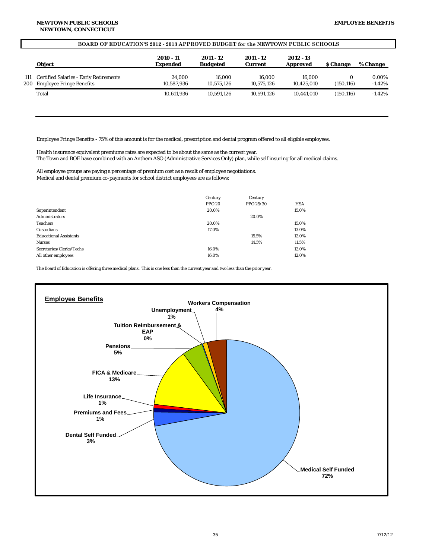#### **BOARD OF EDUCATION'S 2012 - 2013 APPROVED BUDGET for the NEWTOWN PUBLIC SCHOOLS**

|            | <b>Object</b>                                                                    | 2010 - 11<br><b>Expended</b> | 2011 - 12<br><b>Budgeted</b> | 2011 - 12<br><b>Current</b> | 2012 - 13<br><b>Approved</b> | <b><i>S</i></b> Change | % Change           |
|------------|----------------------------------------------------------------------------------|------------------------------|------------------------------|-----------------------------|------------------------------|------------------------|--------------------|
| 111<br>200 | <b>Certified Salaries - Early Retirements</b><br><b>Employee Fringe Benefits</b> | 24.000<br>10.587.936         | 16.000<br>10.575.126         | 16.000<br>10.575.126        | 16.000<br>10.425.010         | (150, 116)             | 0.00%<br>$-1.42\%$ |
|            | Total                                                                            | 10.611.936                   | 10.591.126                   | 10.591.126                  | 10.441.010                   | (150.116)              | $-1.42\%$          |
|            |                                                                                  |                              |                              |                             |                              |                        |                    |

Employee Fringe Benefits - 75% of this amount is for the medical, prescription and dental program offered to all eligible employees.

Health insurance equivalent premiums rates are expected to be about the same as the current year. The Town and BOE have combined with an Anthem ASO (Administrative Services Only) plan, while self insuring for all medical claims.

All employee groups are paying a percentage of premium cost as a result of employee negotiations. Medical and dental premium co-payments for school district employees are as follows:

|                               | Century       | Century   |            |
|-------------------------------|---------------|-----------|------------|
|                               | <b>PPO 20</b> | PPO 25/30 | <b>HSA</b> |
| Superintendent                | 20.0%         |           | 15.0%      |
| <b>Administrators</b>         |               | 20.0%     |            |
| <b>Teachers</b>               | 20.0%         |           | 15.0%      |
| Custodians                    | 17.0%         |           | 13.0%      |
| <b>Educational Assistants</b> |               | 15.5%     | 12.0%      |
| <b>Nurses</b>                 |               | 14.5%     | 11.5%      |
| Secretaries/Clerks/Techs      | 16.0%         |           | 12.0%      |
| All other employees           | 16.0%         |           | 12.0%      |

The Board of Education is offering three medical plans. This is one less than the current year and two less than the prior year.

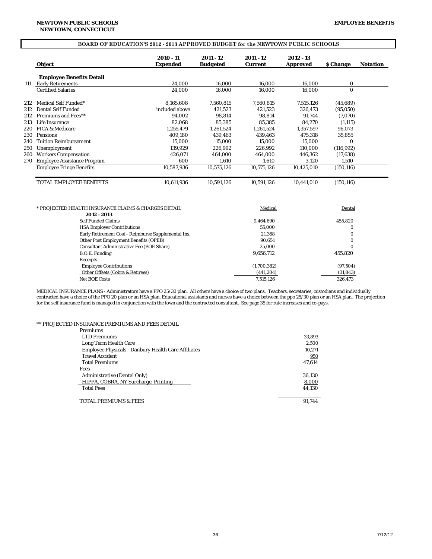# **BOARD OF EDUCATION'S 2012 - 2013 APPROVED BUDGET for the NEWTOWN PUBLIC SCHOOLS**

|     | <b>Object</b>                      | 2010 - 11<br><b>Expended</b> | 2011 - 12<br><b>Budgeted</b> | 2011 - 12<br><b>Current</b> | 2012 - 13<br><b>Approved</b> | <b><i>S</i></b> Change | <b>Notation</b> |
|-----|------------------------------------|------------------------------|------------------------------|-----------------------------|------------------------------|------------------------|-----------------|
|     | <b>Employee Benefits Detail</b>    |                              |                              |                             |                              |                        |                 |
| 111 | <b>Early Retirements</b>           | 24.000                       | 16.000                       | 16.000                      | 16.000                       | $\bf{0}$               |                 |
|     | <b>Certified Salaries</b>          | 24.000                       | 16.000                       | 16.000                      | 16.000                       | $\bf{0}$               |                 |
| 212 | Medical Self Funded*               | 8.165.608                    | 7,560,815                    | 7.560.815                   | 7,515,126                    | (45, 689)              |                 |
| 212 | Dental Self Funded                 | included above               | 421.523                      | 421,523                     | 326.473                      | (95,050)               |                 |
| 212 | Premiums and Fees**                | 94.002                       | 98.814                       | 98.814                      | 91.744                       | (7,070)                |                 |
| 213 | Life Insurance                     | 82.068                       | 85.385                       | 85.385                      | 84.270                       | (1, 115)               |                 |
| 220 | <b>FICA &amp; Medicare</b>         | 1.255.479                    | 1.261.524                    | 1.261.524                   | 1.357.597                    | 96.073                 |                 |
| 230 | <b>Pensions</b>                    | 409.180                      | 439.463                      | 439.463                     | 475.318                      | 35.855                 |                 |
| 240 | <b>Tuition Reimbursement</b>       | 15.000                       | 15.000                       | 15.000                      | 15.000                       | $\Omega$               |                 |
| 250 | Unemployment                       | 139.929                      | 226.992                      | 226.992                     | 110.000                      | (116, 992)             |                 |
| 260 | <b>Workers Compensation</b>        | 426,071                      | 464,000                      | 464.000                     | 446,362                      | (17, 638)              |                 |
| 270 | <b>Employee Assistance Program</b> | 600                          | 1,610                        | 1,610                       | 3.120                        | 1,510                  |                 |
|     | <b>Employee Fringe Benefits</b>    | 10,587,936                   | 10,575,126                   | 10,575,126                  | 10,425,010                   | (150, 116)             |                 |
|     | <b>TOTAL EMPLOYEE BENEFITS</b>     | 10.611.936                   | 10,591,126                   | 10,591,126                  | 10,441,010                   | (150, 116)             |                 |

| * PROJECTED HEALTH INSURANCE CLAIMS & CHARGES DETAIL | Medical     | Dental    |
|------------------------------------------------------|-------------|-----------|
| 2012 - 2013                                          |             |           |
| <b>Self Funded Claims</b>                            | 9.464.690   | 455.820   |
| <b>HSA Employer Contributions</b>                    | 55.000      |           |
| Early Retirement Cost - Reimburse Supplemental Ins.  | 21.368      | 0         |
| Other Post Employment Benefits (OPEB)                | 90.654      | 0         |
| <b>Consultant Administrative Fee (BOE Share)</b>     | 25,000      |           |
| B.O.E. Funding                                       | 9,656,712   | 455.820   |
| <b>Receipts</b>                                      |             |           |
| <b>Employee Contributions</b>                        | (1,700,382) | (97,504)  |
| Other Offsets (Cobra & Retirees)                     | (441, 204)  | (31, 843) |
| <b>Net BOE Costs</b>                                 | 7,515,126   | 326.473   |
|                                                      |             |           |

MEDICAL INSURANCE PLANS - Administrators have a PPO 25/30 plan. All others have a choice of two plans. Teachers, secretaries, custodians and individually contracted have a choice of the PPO 20 plan or an HSA plan. Educational assistants and nurses have a choice between the ppo 25/30 plan or an HSA plan. The projection for the self insurance fund is managed in conjunction with the town and the contracted consultant. See page 35 for rate increases and co-pays.

#### \*\* PROJECTED INSURANCE PREMIUMS AND FEES DETAIL

| Premiums                                                   |        |
|------------------------------------------------------------|--------|
| <b>LTD Premiums</b>                                        | 33,893 |
| Long Term Health Care                                      | 2.500  |
| <b>Employee Physicals - Danbury Health Care Affiliates</b> | 10.271 |
| <b>Travel Accident</b>                                     | 950    |
| <b>Total Premiums</b>                                      | 47.614 |
| Fees                                                       |        |
| Administrative (Dental Only)                               | 36.130 |
| HIPPA, COBRA, NY Surcharge, Printing                       | 8.000  |
| <b>Total Fees</b>                                          | 44.130 |
| <b>TOTAL PREMIUMS &amp; FEES</b>                           | 91.744 |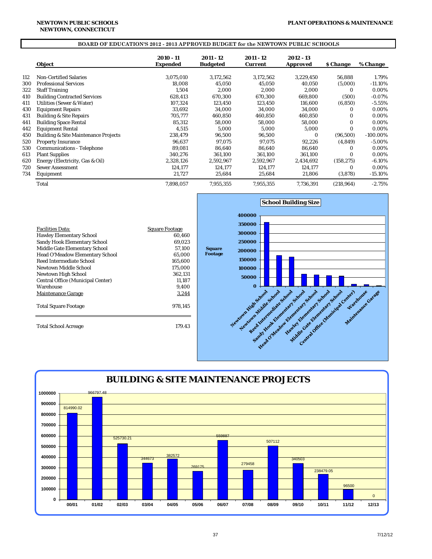#### **NEWTOWN, CONNECTICUT NEWTOWN PUBLIC SCHOOLS**

#### **BOARD OF EDUCATION'S 2012 - 2013 APPROVED BUDGET for the NEWTOWN PUBLIC SCHOOLS**

|     | <b>Object</b>                                   | 2010 - 11<br>Expended | 2011 - 12<br><b>Budgeted</b> | 2011 - 12<br><b>Current</b> | 2012 - 13<br><b>Approved</b> | <b><i><u>S</u></i></b> Change | % Change    |
|-----|-------------------------------------------------|-----------------------|------------------------------|-----------------------------|------------------------------|-------------------------------|-------------|
| 112 | <b>Non-Certified Salaries</b>                   | 3,075,010             | 3,172,562                    | 3,172,562                   | 3,229,450                    | 56,888                        | 1.79%       |
| 300 | <b>Professional Services</b>                    | 18.008                | 45,050                       | 45,050                      | 40,050                       | (5,000)                       | $-11.10\%$  |
| 322 | <b>Staff Training</b>                           | 1,504                 | 2,000                        | 2,000                       | 2,000                        | $\Omega$                      | 0.00%       |
| 410 | <b>Building Contracted Services</b>             | 628,413               | 670,300                      | 670.300                     | 669.800                      | (500)                         | $-0.07%$    |
| 411 | Utilities (Sewer & Water)                       | 107,324               | 123,450                      | 123,450                     | 116,600                      | (6, 850)                      | $-5.55\%$   |
| 430 | <b>Equipment Repairs</b>                        | 33,692                | 34,000                       | 34,000                      | 34,000                       | 0                             | 0.00%       |
| 431 | <b>Building &amp; Site Repairs</b>              | 705,777               | 460,850                      | 460,850                     | 460,850                      | 0                             | 0.00%       |
| 441 | <b>Building Space Rental</b>                    | 85,312                | 58,000                       | 58,000                      | 58,000                       | $\Omega$                      | 0.00%       |
| 442 | <b>Equipment Rental</b>                         | 4,515                 | 5,000                        | 5,000                       | 5,000                        | $\Omega$                      | 0.00%       |
| 450 | <b>Building &amp; Site Maintenance Projects</b> | 238,479               | 96,500                       | 96.500                      | $\Omega$                     | (96, 500)                     | $-100.00\%$ |
| 520 | <b>Property Insurance</b>                       | 96.637                | 97,075                       | 97,075                      | 92,226                       | (4,849)                       | $-5.00\%$   |
| 530 | <b>Communications - Telephone</b>               | 89,081                | 86,640                       | 86,640                      | 86,640                       | 0                             | 0.00%       |
| 613 | <b>Plant Supplies</b>                           | 340,276               | 361,100                      | 361,100                     | 361,100                      | $\Omega$                      | 0.00%       |
| 620 | Energy (Electricity, Gas & Oil)                 | 2,328,126             | 2,592,967                    | 2,592,967                   | 2,434,692                    | (158, 275)                    | $-6.10%$    |
| 720 | <b>Sewer Assessment</b>                         | 124,177               | 124,177                      | 124,177                     | 124,177                      | 0                             | 0.00%       |
| 734 | Equipment                                       | 21,727                | 25,684                       | 25,684                      | 21,806                       | (3,878)                       | $-15.10\%$  |
|     | Total                                           | 7,898,057             | 7,955,355                    | 7,955,355                   | 7,736,391                    | (218, 964)                    | $-2.75%$    |



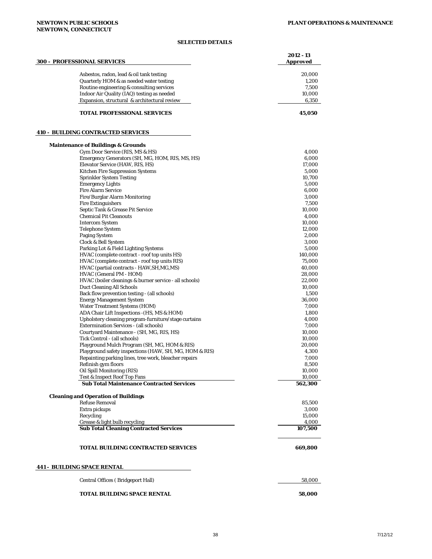## *SELECTED DETAILS*

| <b>300 - PROFESSIONAL SERVICES</b>                                               | 2012 - 13<br><b>Approved</b> |
|----------------------------------------------------------------------------------|------------------------------|
| Asbestos, radon, lead & oil tank testing                                         | 20,000                       |
| Quarterly HOM & as needed water testing                                          | 1,200                        |
| Routine engineering & consulting services                                        | 7,500                        |
| Indoor Air Quality (IAQ) testing as needed                                       | 10,000                       |
| Expansion, structural & architectural review                                     | 6,350                        |
| <b>TOTAL PROFESSIONAL SERVICES</b>                                               | 45,050                       |
| <b>410 - BUILDING CONTRACTED SERVICES</b>                                        |                              |
| <b>Maintenance of Buildings &amp; Grounds</b><br>Gym Door Service (RIS, MS & HS) | 4,000                        |
| Emergency Generators (SH, MG, HOM, RIS, MS, HS)                                  | 6,000                        |
| Elevator Service (HAW, RIS, HS)                                                  | 17,000                       |
| Kitchen Fire Suppression Systems                                                 | 5,000                        |
| <b>Sprinkler System Testing</b>                                                  | 10,700                       |
| <b>Emergency Lights</b>                                                          | 5,000                        |
| <b>Fire Alarm Service</b>                                                        | 6,000                        |
| Fire/Burglar Alarm Monitoring                                                    | 3,000                        |
| <b>Fire Extinguishers</b>                                                        | 7,500                        |
| Septic Tank & Grease Pit Service<br><b>Chemical Pit Cleanouts</b>                | 10,000<br>4,000              |
| <b>Intercom System</b>                                                           | 10,000                       |
| <b>Telephone System</b>                                                          | 12,000                       |
| <b>Paging System</b>                                                             | 2,000                        |
| Clock & Bell System                                                              | 3,000                        |
| Parking Lot & Field Lighting Systems                                             | 5,000                        |
| HVAC (complete contract - roof top units HS)                                     | 140,000                      |
| HVAC (complete contract - roof top units RIS)                                    | 75,000                       |
| HVAC (partial contracts - HAW, SH, MG, MS)                                       | 40,000                       |
| HVAC (General PM - HOM)                                                          | 28,000                       |
| HVAC (boiler cleanings & burner service - all schools)                           | 22,000                       |
| Duct Cleaning All Schools<br>Back flow prevention testing - (all schools)        | 10,000<br>1,500              |
| <b>Energy Management System</b>                                                  | 36,000                       |
| <b>Water Treatment Systems (HOM)</b>                                             | 7,000                        |
| ADA Chair Lift Inspections - (HS, MS & HOM)                                      | 1,800                        |
| Upholstery cleaning program-furniture/stage curtains                             | 4,000                        |
| <b>Extermination Services - (all schools)</b>                                    | 7,000                        |
| Courtyard Maintenance - (SH, MG, RIS, HS)                                        | 10,000                       |
| Tick Control - (all schools)                                                     | 10,000                       |
| Playground Mulch Program (SH, MG, HOM & RIS)                                     | 20,000                       |
| Playground safety inspections (HAW, SH, MG, HOM & RIS)                           | 4,300                        |
| Repainting parking lines, tree work, bleacher repairs                            | 7,000                        |
| Refinish gym floors                                                              | 8,500                        |
| Oil Spill Monitoring (RIS)                                                       | 10,000                       |
| Test & Inspect Roof Top Fans<br><b>Sub Total Maintenance Contracted Services</b> | 10,000<br>562,300            |
| <b>Cleaning and Operation of Buildings</b>                                       |                              |
| <b>Refuse Removal</b>                                                            | 85,500                       |
| Extra pickups                                                                    | 3,000                        |
| Recycling                                                                        | 15,000                       |
| Grease & light bulb recycling<br><b>Sub Total Cleaning Contracted Services</b>   | 4,000<br>107,500             |
|                                                                                  |                              |
| <b>TOTAL BUILDING CONTRACTED SERVICES</b>                                        | 669,800                      |
| <b>441 - BUILDING SPACE RENTAL</b>                                               |                              |
| Central Offices (Bridgeport Hall)                                                | 58,000                       |
| TOTAL BUILDING SPACE RENTAL                                                      | 58,000                       |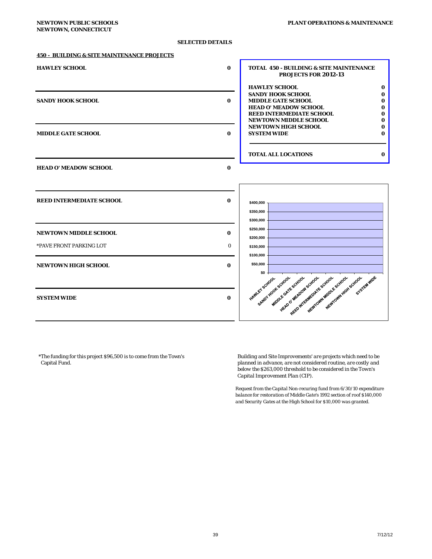### *SELECTED DETAILS*

#### **450 - BUILDING & SITE MAINTENANCE PROJECTS**

| <b>HAWLEY SCHOOL</b>                                  | $\bf{0}$                                                   | <b>TOTAL 450 - BUILDING &amp; SITE MAINTENANCE</b><br><b>PROJECTS FOR 2012-13</b>                                                                                                             |
|-------------------------------------------------------|------------------------------------------------------------|-----------------------------------------------------------------------------------------------------------------------------------------------------------------------------------------------|
| <b>SANDY HOOK SCHOOL</b>                              | $\bf{0}$                                                   | <b>HAWLEY SCHOOL</b><br>$\bf{0}$<br><b>SANDY HOOK SCHOOL</b><br>0<br><b>MIDDLE GATE SCHOOL</b><br>$\bf{0}$<br><b>HEAD O' MEADOW SCHOOL</b><br>0<br><b>REED INTERMEDIATE SCHOOL</b><br>O       |
| <b>MIDDLE GATE SCHOOL</b>                             | $\bf{0}$                                                   | <b>NEWTOWN MIDDLE SCHOOL</b><br>0<br><b>NEWTOWN HIGH SCHOOL</b><br>0<br><b>SYSTEM WIDE</b><br>$\bf{0}$                                                                                        |
|                                                       |                                                            | <b>TOTAL ALL LOCATIONS</b><br>$\bf{0}$                                                                                                                                                        |
| <b>HEAD O' MEADOW SCHOOL</b>                          | $\bf{0}$                                                   |                                                                                                                                                                                               |
| <b>REED INTERMEDIATE SCHOOL</b>                       | $\bf{0}$<br>\$400,000<br>\$350,000                         |                                                                                                                                                                                               |
| <b>NEWTOWN MIDDLE SCHOOL</b>                          | \$300,000<br>\$250,000<br>$\bf{0}$<br>\$200,000            |                                                                                                                                                                                               |
| *PAVE FRONT PARKING LOT<br><b>NEWTOWN HIGH SCHOOL</b> | $\Omega$<br>\$150,000<br>\$100,000<br>\$50,000<br>$\bf{0}$ |                                                                                                                                                                                               |
| <b>SYSTEM WIDE</b>                                    | $\bf{0}$                                                   | \$0<br>SYSTEM WIDE<br>Newtown work Scyclar<br>SANDY HOOKSCHOOL<br>HELPO OF MEADOW SCHOOL<br>NewTork Mary Escription<br>MIDOLE GATE SCHOOL<br>extremely requirement of school<br>HAWLEY SCHOOL |

| HAWLEY SCHOOL      |                              |  |
|--------------------|------------------------------|--|
|                    | <b>SANDY HOOK SCHOOL</b>     |  |
|                    | MIDDLE GATE SCHOOL.          |  |
|                    | <b>HEAD O' MEADOW SCHOOL</b> |  |
|                    | REED INTERMEDIATE SCHOOL     |  |
|                    | NEWTOWN MIDDLE SCHOOL.       |  |
|                    | NEWTOWN HIGH SCHOOL          |  |
| <b>SYSTEM WIDE</b> |                              |  |



\*The funding for this project \$96,500 is to come from the Town's *Building and Site Improvements' are projects which need to be* 

planned in advance, are not considered routine, are costly and *below the \$263,000 threshold to be considered in the Town's Capital Improvement Plan (CIP).*

*Request from the Capital Non-recuring fund from 6/30/10 expenditure balance for restoration of Middle Gate's 1992 section of roof \$140,000 and Security Gates at the High School for \$10,000 was granted.*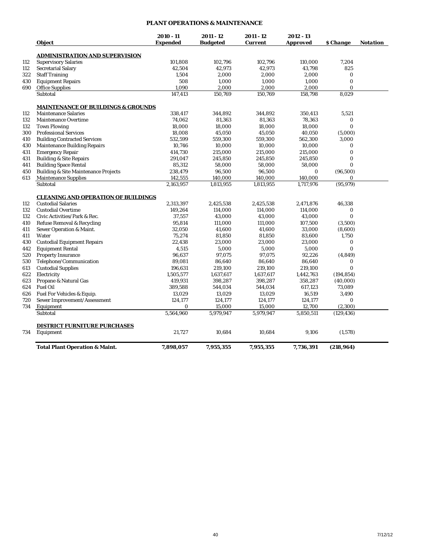## **PLANT OPERATIONS & MAINTENANCE**

|     |                                                 | $2010 - 11$     | $2011 - 12$     | 2011 - 12      | 2012 - 13       |              |          |
|-----|-------------------------------------------------|-----------------|-----------------|----------------|-----------------|--------------|----------|
|     | <i><b>Object</b></i>                            | <b>Expended</b> | <b>Budgeted</b> | <b>Current</b> | <b>Approved</b> | \$ Change    | Notation |
|     | <b>ADMINISTRATION AND SUPERVISION</b>           |                 |                 |                |                 |              |          |
| 112 | <b>Supervisory Salaries</b>                     | 101,808         | 102,796         | 102,796        | 110,000         | 7,204        |          |
| 112 | <b>Secretarial Salary</b>                       | 42,504          | 42,973          | 42,973         | 43,798          | 825          |          |
| 322 | <b>Staff Training</b>                           | 1,504           | 2,000           | 2,000          | 2,000           | $\bf{0}$     |          |
| 430 | <b>Equipment Repairs</b>                        | 508             | 1,000           | 1,000          | 1,000           | $\bf{0}$     |          |
| 690 | <b>Office Supplies</b>                          | 1,090           | 2,000           | 2,000          | 2,000           | $\mathbf{0}$ |          |
|     | Subtotal                                        | 147,413         | 150,769         | 150,769        | 158,798         | 8,029        |          |
|     | <b>MAINTENANCE OF BUILDINGS &amp; GROUNDS</b>   |                 |                 |                |                 |              |          |
| 112 | <b>Maintenance Salaries</b>                     | 338,417         | 344.892         | 344,892        | 350,413         | 5,521        |          |
| 132 | <b>Maintenance Overtime</b>                     | 74,062          | 81,363          | 81,363         | 78,363          | 0            |          |
| 132 | <b>Town Plowing</b>                             | 18,000          | 18,000          | 18,000         | 18,000          | $\bf{0}$     |          |
| 300 | <b>Professional Services</b>                    | 18,008          | 45,050          | 45,050         | 40,050          | (5,000)      |          |
| 410 | <b>Building Contracted Services</b>             | 532,599         | 559,300         | 559,300        | 562,300         | 3,000        |          |
| 430 | <b>Maintenance Building Repairs</b>             | 10,746          | 10,000          | 10,000         | 10,000          | $\bf{0}$     |          |
| 431 | <b>Emergency Repair</b>                         | 414,730         | 215,000         | 215,000        | 215,000         | $\bf{0}$     |          |
| 431 | <b>Building &amp; Site Repairs</b>              | 291,047         | 245,850         | 245,850        | 245,850         | $\bf{0}$     |          |
| 441 | <b>Building Space Rental</b>                    | 85,312          | 58,000          | 58,000         | 58,000          | $\bf{0}$     |          |
| 450 | <b>Building &amp; Site Maintenance Projects</b> | 238,479         | 96,500          | 96,500         | 0               | (96, 500)    |          |
| 613 | <b>Maintenance Supplies</b>                     | 142,555         | 140,000         | 140,000        | 140,000         | 0            |          |
|     | Subtotal                                        | 2.163.957       | 1,813,955       | 1,813,955      | 1.717.976       | (95, 979)    |          |
|     |                                                 |                 |                 |                |                 |              |          |
|     | <b>CLEANING AND OPERATION OF BUILDINGS</b>      |                 |                 |                |                 |              |          |
| 112 | <b>Custodial Salaries</b>                       | 2,313,397       | 2,425,538       | 2,425,538      | 2,471,876       | 46,338       |          |
| 132 | <b>Custodial Overtime</b>                       | 149,264         | 114.000         | 114,000        | 114,000         | $\bf{0}$     |          |
| 132 | Civic Activities/Park & Rec.                    | 37,557          | 43,000          | 43,000         | 43,000          | $\bf{0}$     |          |
| 410 | Refuse Removal & Recycling                      | 95,814          | 111,000         | 111,000        | 107,500         | (3,500)      |          |
| 411 | Sewer Operation & Maint.                        | 32,050          | 41,600          | 41,600         | 33,000          | (8,600)      |          |
| 411 | Water                                           | 75,274          | 81,850          | 81,850         | 83,600          | 1,750        |          |
| 430 | <b>Custodial Equipment Repairs</b>              | 22,438          | 23,000          | 23,000         | 23,000          | 0            |          |
| 442 | <b>Equipment Rental</b>                         | 4,515           | 5,000           | 5,000          | 5,000           | $\bf{0}$     |          |
| 520 | <b>Property Insurance</b>                       | 96,637          | 97,075          | 97,075         | 92,226          | (4, 849)     |          |
| 530 | Telephone/Communication                         | 89,081          | 86,640          | 86,640         | 86,640          | 0            |          |
| 613 | <b>Custodial Supplies</b>                       | 196,631         | 219,100         | 219,100        | 219,100         | $\bf{0}$     |          |
| 622 | Electricity                                     | 1,505,577       | 1,637,617       | 1,637,617      | 1,442,763       | (194, 854)   |          |
| 623 | Propane & Natural Gas                           | 419,931         | 398,287         | 398,287        | 358,287         | (40,000)     |          |
| 624 | <b>Fuel Oil</b>                                 | 389,588         | 544,034         | 544,034        | 617,123         | 73,089       |          |
| 626 | Fuel For Vehicles & Equip.                      | 13,029          | 13,029          | 13,029         | 16,519          | 3,490        |          |
| 720 | Sewer Improvement/Assessment                    | 124,177         | 124,177         | 124,177        | 124,177         | 0            |          |
| 734 | Equipment                                       | 0               | 15,000          | 15,000         | 12,700          | (2,300)      |          |
|     | Subtotal                                        | 5,564,960       | 5,979,947       | 5,979,947      | 5,850,511       | (129, 436)   |          |
|     | <b>DISTRICT FURNITURE PURCHASES</b>             |                 |                 |                |                 |              |          |
| 734 | Equipment                                       | 21,727          | 10,684          | 10,684         | 9,106           | (1,578)      |          |
|     | <b>Total Plant Operation &amp; Maint.</b>       | 7,898,057       | 7,955,355       | 7,955,355      | 7,736,391       | (218, 964)   |          |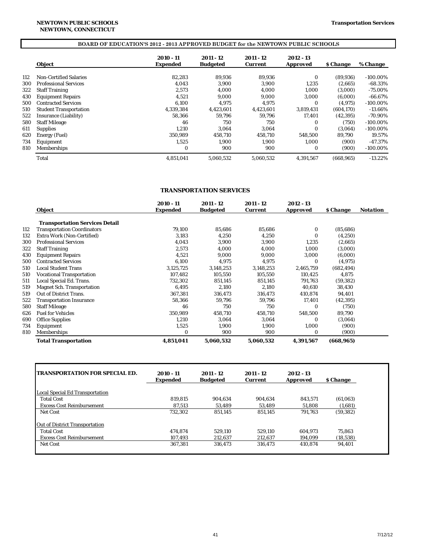# **BOARD OF EDUCATION'S 2012 - 2013 APPROVED BUDGET for the NEWTOWN PUBLIC SCHOOLS**

|     | <b>Object</b>                 | 2010 - 11<br><b>Expended</b> | 2011 - 12<br><b>Budgeted</b> | 2011 - 12<br><b>Current</b> | 2012 - 13<br><b>Approved</b> | <i><b>S</b></i> Change | % Change    |
|-----|-------------------------------|------------------------------|------------------------------|-----------------------------|------------------------------|------------------------|-------------|
| 112 | <b>Non-Certified Salaries</b> | 82.283                       | 89.936                       | 89.936                      | $\Omega$                     | (89,936)               | $-100.00\%$ |
| 300 | <b>Professional Services</b>  | 4.043                        | 3,900                        | 3.900                       | 1,235                        | (2,665)                | $-68.33\%$  |
| 322 | <b>Staff Training</b>         | 2.573                        | 4,000                        | 4.000                       | 1,000                        | (3,000)                | $-75.00\%$  |
| 430 | <b>Equipment Repairs</b>      | 4.521                        | 9.000                        | 9.000                       | 3.000                        | (6.000)                | $-66.67%$   |
| 500 | <b>Contracted Services</b>    | 6.100                        | 4.975                        | 4.975                       | $\Omega$                     | (4.975)                | $-100.00\%$ |
| 510 | <b>Student Transportation</b> | 4.339.384                    | 4,423,601                    | 4.423.601                   | 3.819.431                    | (604, 170)             | $-13.66\%$  |
| 522 | Insurance (Liability)         | 58.366                       | 59.796                       | 59.796                      | 17.401                       | (42, 395)              | -70.90%     |
| 580 | <b>Staff Mileage</b>          | 46                           | 750                          | 750                         | 0                            | (750)                  | $-100.00\%$ |
| 611 | <b>Supplies</b>               | 1.210                        | 3.064                        | 3.064                       | $\Omega$                     | (3.064)                | $-100.00\%$ |
| 620 | Energy (Fuel)                 | 350.989                      | 458.710                      | 458.710                     | 548.500                      | 89.790                 | 19.57%      |
| 734 | Equipment                     | 1.525                        | 1.900                        | 1.900                       | 1.000                        | (900)                  | $-47.37%$   |
| 810 | Memberships                   | $\bf{0}$                     | 900                          | 900                         | $\bf{0}$                     | (900)                  | $-100.00\%$ |
|     | Total                         | 4,851,041                    | 5.060.532                    | 5.060.532                   | 4.391.567                    | (668.965)              | $-13.22\%$  |

### **TRANSPORTATION SERVICES**

|     |                                       | 2010 - 11       | 2011 - 12       | 2011 - 12      | 2012 - 13       |                        |                 |
|-----|---------------------------------------|-----------------|-----------------|----------------|-----------------|------------------------|-----------------|
|     | <b>Object</b>                         | <b>Expended</b> | <b>Budgeted</b> | <b>Current</b> | <b>Approved</b> | <b><i>S</i></b> Change | <b>Notation</b> |
|     | <b>Transportation Services Detail</b> |                 |                 |                |                 |                        |                 |
| 112 | <b>Transportation Coordinators</b>    | 79,100          | 85,686          | 85,686         | 0               | (85, 686)              |                 |
| 132 | Extra Work (Non-Certified)            | 3,183           | 4,250           | 4,250          | $\Omega$        | (4,250)                |                 |
| 300 | <b>Professional Services</b>          | 4,043           | 3,900           | 3,900          | 1,235           | (2,665)                |                 |
| 322 | <b>Staff Training</b>                 | 2,573           | 4,000           | 4.000          | 1,000           | (3,000)                |                 |
| 430 | <b>Equipment Repairs</b>              | 4,521           | 9,000           | 9,000          | 3,000           | (6,000)                |                 |
| 500 | <b>Contracted Services</b>            | 6,100           | 4,975           | 4,975          | $\Omega$        | (4, 975)               |                 |
| 510 | <b>Local Student Trans</b>            | 3,125,725       | 3,148,253       | 3,148,253      | 2,465,759       | (682, 494)             |                 |
| 510 | <b>Vocational Transportation</b>      | 107,482         | 105,550         | 105,550        | 110,425         | 4,875                  |                 |
| 511 | Local Special Ed. Trans.              | 732,302         | 851,145         | 851,145        | 791,763         | (59, 382)              |                 |
| 519 | <b>Magnet Sch. Transportation</b>     | 6.495           | 2,180           | 2,180          | 40,610          | 38,430                 |                 |
| 519 | <b>Out of District Trans.</b>         | 367,381         | 316,473         | 316,473        | 410,874         | 94,401                 |                 |
| 522 | <b>Transportation Insurance</b>       | 58,366          | 59,796          | 59,796         | 17,401          | (42, 395)              |                 |
| 580 | <b>Staff Mileage</b>                  | 46              | 750             | 750            | 0               | (750)                  |                 |
| 626 | <b>Fuel for Vehicles</b>              | 350,989         | 458,710         | 458,710        | 548,500         | 89,790                 |                 |
| 690 | <b>Office Supplies</b>                | 1,210           | 3,064           | 3,064          | 0               | (3,064)                |                 |
| 734 | Equipment                             | 1,525           | 1,900           | 1,900          | 1,000           | (900)                  |                 |
| 810 | Memberships                           | 0               | 900             | 900            | 0               | (900)                  |                 |
|     | <b>Total Transportation</b>           | 4,851,041       | 5,060,532       | 5,060,532      | 4,391,567       | (668, 965)             |                 |

| <b>TRANSPORTATION FOR SPECIAL ED.</b>  | $2010 - 11$<br><b>Expended</b> | 2011 - 12<br><b>Budgeted</b> | 2011 - 12<br><b>Current</b> | 2012 - 13<br><b>Approved</b> | <i><b>S</b></i> Change |
|----------------------------------------|--------------------------------|------------------------------|-----------------------------|------------------------------|------------------------|
|                                        |                                |                              |                             |                              |                        |
| <b>Local Special Ed Transportation</b> |                                |                              |                             |                              |                        |
| <b>Total Cost</b>                      | 819.815                        | 904.634                      | 904.634                     | 843.571                      | (61,063)               |
| <b>Excess Cost Reimbursement</b>       | 87.513                         | 53.489                       | 53.489                      | 51.808                       | (1,681)                |
| <b>Net Cost</b>                        | 732,302                        | 851.145                      | 851.145                     | 791.763                      | (59, 382)              |
| <b>Out of District Transportation</b>  |                                |                              |                             |                              |                        |
| <b>Total Cost</b>                      | 474.874                        | 529.110                      | 529.110                     | 604.973                      | 75.863                 |
| <b>Excess Cost Reimbursement</b>       | 107.493                        | 212.637                      | 212.637                     | 194.099                      | (18, 538)              |
| <b>Net Cost</b>                        | 367,381                        | 316.473                      | 316,473                     | 410.874                      | 94,401                 |